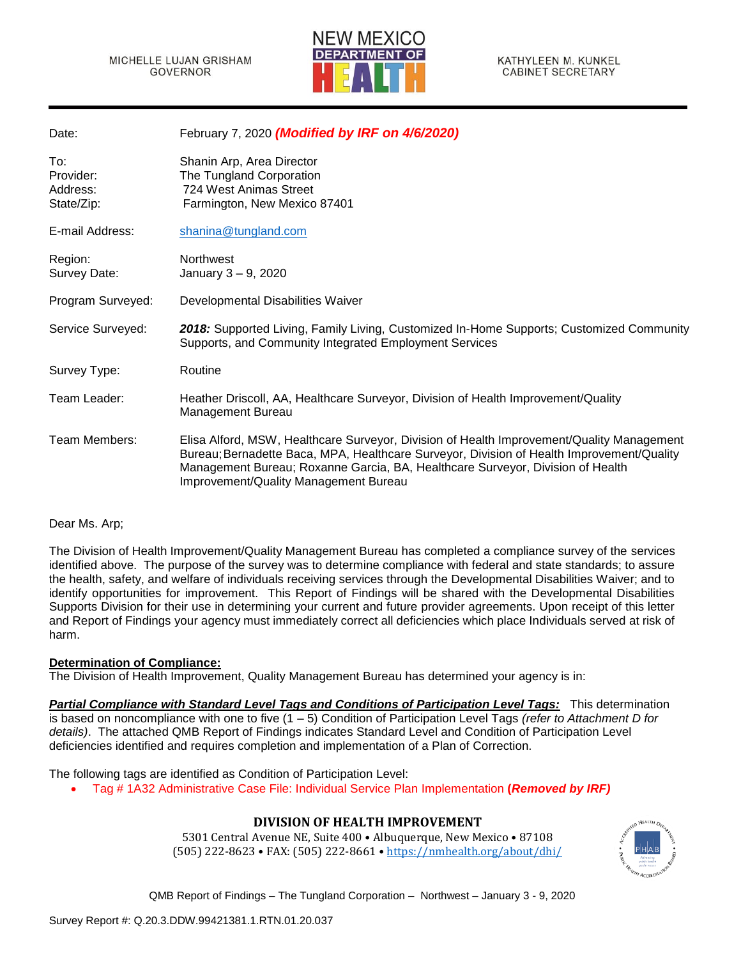

| Date:                                      | February 7, 2020 (Modified by IRF on 4/6/2020)                                                                                                                                                                                                                                                                    |
|--------------------------------------------|-------------------------------------------------------------------------------------------------------------------------------------------------------------------------------------------------------------------------------------------------------------------------------------------------------------------|
| To:<br>Provider:<br>Address:<br>State/Zip: | Shanin Arp, Area Director<br>The Tungland Corporation<br>724 West Animas Street<br>Farmington, New Mexico 87401                                                                                                                                                                                                   |
| E-mail Address:                            | shanina@tungland.com                                                                                                                                                                                                                                                                                              |
| Region:<br>Survey Date:                    | Northwest<br>January 3 - 9, 2020                                                                                                                                                                                                                                                                                  |
| Program Surveyed:                          | Developmental Disabilities Waiver                                                                                                                                                                                                                                                                                 |
| Service Surveyed:                          | 2018: Supported Living, Family Living, Customized In-Home Supports; Customized Community<br>Supports, and Community Integrated Employment Services                                                                                                                                                                |
| Survey Type:                               | Routine                                                                                                                                                                                                                                                                                                           |
| Team Leader:                               | Heather Driscoll, AA, Healthcare Surveyor, Division of Health Improvement/Quality<br>Management Bureau                                                                                                                                                                                                            |
| Team Members:                              | Elisa Alford, MSW, Healthcare Surveyor, Division of Health Improvement/Quality Management<br>Bureau; Bernadette Baca, MPA, Healthcare Surveyor, Division of Health Improvement/Quality<br>Management Bureau; Roxanne Garcia, BA, Healthcare Surveyor, Division of Health<br>Improvement/Quality Management Bureau |

#### Dear Ms. Arp;

The Division of Health Improvement/Quality Management Bureau has completed a compliance survey of the services identified above. The purpose of the survey was to determine compliance with federal and state standards; to assure the health, safety, and welfare of individuals receiving services through the Developmental Disabilities Waiver; and to identify opportunities for improvement. This Report of Findings will be shared with the Developmental Disabilities Supports Division for their use in determining your current and future provider agreements. Upon receipt of this letter and Report of Findings your agency must immediately correct all deficiencies which place Individuals served at risk of harm.

## **Determination of Compliance:**

The Division of Health Improvement, Quality Management Bureau has determined your agency is in:

*Partial Compliance with Standard Level Tags and Conditions of Participation Level Tags:* This determination is based on noncompliance with one to five (1 – 5) Condition of Participation Level Tags *(refer to Attachment D for details)*. The attached QMB Report of Findings indicates Standard Level and Condition of Participation Level deficiencies identified and requires completion and implementation of a Plan of Correction.

The following tags are identified as Condition of Participation Level:

• Tag # 1A32 Administrative Case File: Individual Service Plan Implementation **(***Removed by IRF)*

## **DIVISION OF HEALTH IMPROVEMENT**

5301 Central Avenue NE, Suite 400 • Albuquerque, New Mexico • 87108 (505) 222-8623 • FAX: (505) 222-8661 • <https://nmhealth.org/about/dhi/>

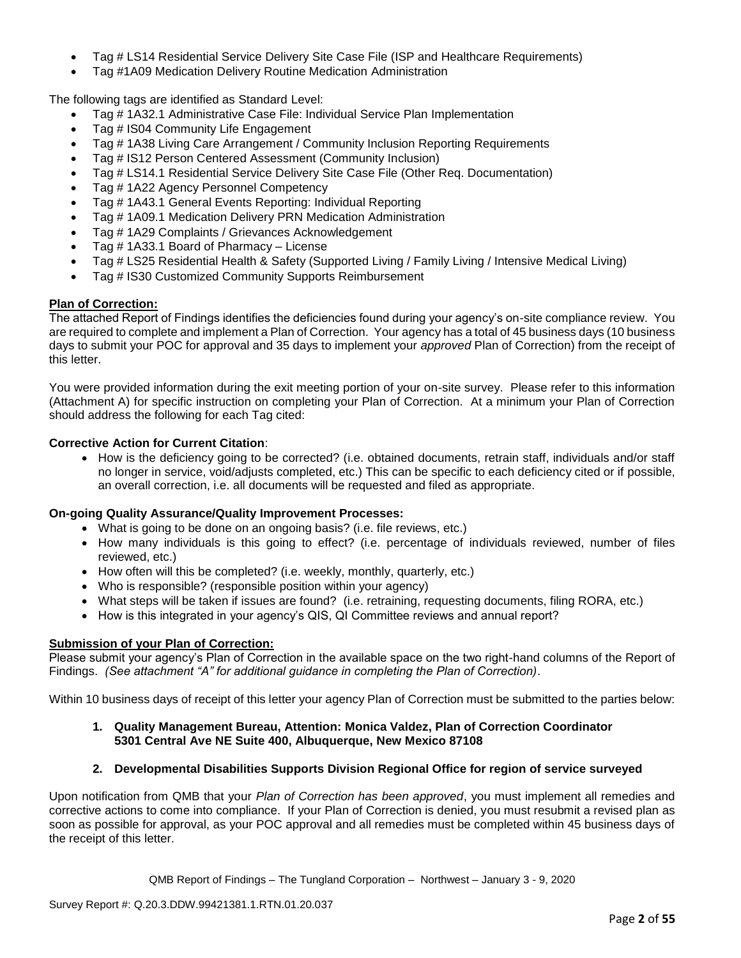- Tag # LS14 Residential Service Delivery Site Case File (ISP and Healthcare Requirements)
- Tag #1A09 Medication Delivery Routine Medication Administration

The following tags are identified as Standard Level:

- Tag # 1A32.1 Administrative Case File: Individual Service Plan Implementation
- Tag # IS04 Community Life Engagement
- Tag # 1A38 Living Care Arrangement / Community Inclusion Reporting Requirements
- Tag # IS12 Person Centered Assessment (Community Inclusion)
- Tag # LS14.1 Residential Service Delivery Site Case File (Other Req. Documentation)
- Tag # 1A22 Agency Personnel Competency
- Tag # 1A43.1 General Events Reporting: Individual Reporting
- Tag # 1A09.1 Medication Delivery PRN Medication Administration
- Tag # 1A29 Complaints / Grievances Acknowledgement
- Tag # 1A33.1 Board of Pharmacy License
- Tag # LS25 Residential Health & Safety (Supported Living / Family Living / Intensive Medical Living)
- Tag # IS30 Customized Community Supports Reimbursement

#### **Plan of Correction:**

The attached Report of Findings identifies the deficiencies found during your agency's on-site compliance review. You are required to complete and implement a Plan of Correction. Your agency has a total of 45 business days (10 business days to submit your POC for approval and 35 days to implement your *approved* Plan of Correction) from the receipt of this letter.

You were provided information during the exit meeting portion of your on-site survey. Please refer to this information (Attachment A) for specific instruction on completing your Plan of Correction. At a minimum your Plan of Correction should address the following for each Tag cited:

## **Corrective Action for Current Citation**:

• How is the deficiency going to be corrected? (i.e. obtained documents, retrain staff, individuals and/or staff no longer in service, void/adjusts completed, etc.) This can be specific to each deficiency cited or if possible, an overall correction, i.e. all documents will be requested and filed as appropriate.

## **On-going Quality Assurance/Quality Improvement Processes:**

- What is going to be done on an ongoing basis? (i.e. file reviews, etc.)
- How many individuals is this going to effect? (i.e. percentage of individuals reviewed, number of files reviewed, etc.)
- How often will this be completed? (i.e. weekly, monthly, quarterly, etc.)
- Who is responsible? (responsible position within your agency)
- What steps will be taken if issues are found? (i.e. retraining, requesting documents, filing RORA, etc.)
- How is this integrated in your agency's QIS, QI Committee reviews and annual report?

#### **Submission of your Plan of Correction:**

Please submit your agency's Plan of Correction in the available space on the two right-hand columns of the Report of Findings. *(See attachment "A" for additional guidance in completing the Plan of Correction)*.

Within 10 business days of receipt of this letter your agency Plan of Correction must be submitted to the parties below:

#### **1. Quality Management Bureau, Attention: Monica Valdez, Plan of Correction Coordinator 5301 Central Ave NE Suite 400, Albuquerque, New Mexico 87108**

## **2. Developmental Disabilities Supports Division Regional Office for region of service surveyed**

Upon notification from QMB that your *Plan of Correction has been approved*, you must implement all remedies and corrective actions to come into compliance. If your Plan of Correction is denied, you must resubmit a revised plan as soon as possible for approval, as your POC approval and all remedies must be completed within 45 business days of the receipt of this letter.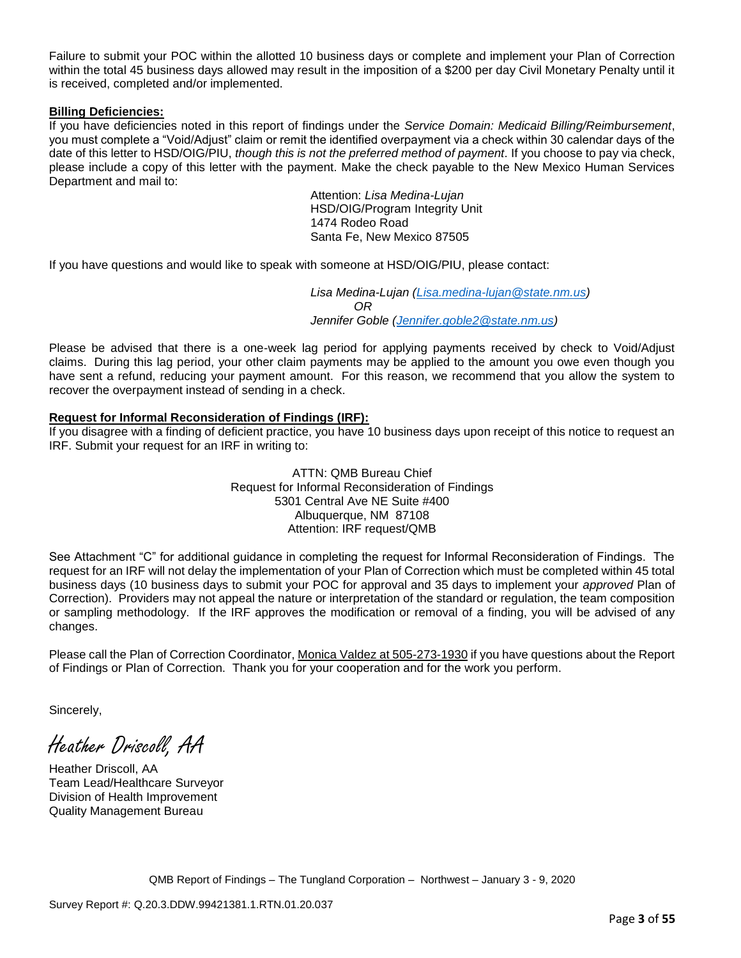Failure to submit your POC within the allotted 10 business days or complete and implement your Plan of Correction within the total 45 business days allowed may result in the imposition of a \$200 per day Civil Monetary Penalty until it is received, completed and/or implemented.

## **Billing Deficiencies:**

If you have deficiencies noted in this report of findings under the *Service Domain: Medicaid Billing/Reimbursement*, you must complete a "Void/Adjust" claim or remit the identified overpayment via a check within 30 calendar days of the date of this letter to HSD/OIG/PIU, *though this is not the preferred method of payment*. If you choose to pay via check, please include a copy of this letter with the payment. Make the check payable to the New Mexico Human Services Department and mail to:

> Attention: *Lisa Medina-Lujan* HSD/OIG/Program Integrity Unit 1474 Rodeo Road Santa Fe, New Mexico 87505

If you have questions and would like to speak with someone at HSD/OIG/PIU, please contact:

*Lisa Medina-Lujan [\(Lisa.medina-lujan@state.nm.us\)](mailto:Lisa.medina-lujan@state.nm.us) OR Jennifer Goble [\(Jennifer.goble2@state.nm.us\)](mailto:Jennifer.goble2@state.nm.us)*

Please be advised that there is a one-week lag period for applying payments received by check to Void/Adjust claims. During this lag period, your other claim payments may be applied to the amount you owe even though you have sent a refund, reducing your payment amount. For this reason, we recommend that you allow the system to recover the overpayment instead of sending in a check.

## **Request for Informal Reconsideration of Findings (IRF):**

If you disagree with a finding of deficient practice, you have 10 business days upon receipt of this notice to request an IRF. Submit your request for an IRF in writing to:

> ATTN: QMB Bureau Chief Request for Informal Reconsideration of Findings 5301 Central Ave NE Suite #400 Albuquerque, NM 87108 Attention: IRF request/QMB

See Attachment "C" for additional guidance in completing the request for Informal Reconsideration of Findings. The request for an IRF will not delay the implementation of your Plan of Correction which must be completed within 45 total business days (10 business days to submit your POC for approval and 35 days to implement your *approved* Plan of Correction). Providers may not appeal the nature or interpretation of the standard or regulation, the team composition or sampling methodology. If the IRF approves the modification or removal of a finding, you will be advised of any changes.

Please call the Plan of Correction Coordinator, Monica Valdez at 505-273-1930 if you have questions about the Report of Findings or Plan of Correction. Thank you for your cooperation and for the work you perform.

Sincerely,

Heather Driscoll, AA

Heather Driscoll, AA Team Lead/Healthcare Surveyor Division of Health Improvement Quality Management Bureau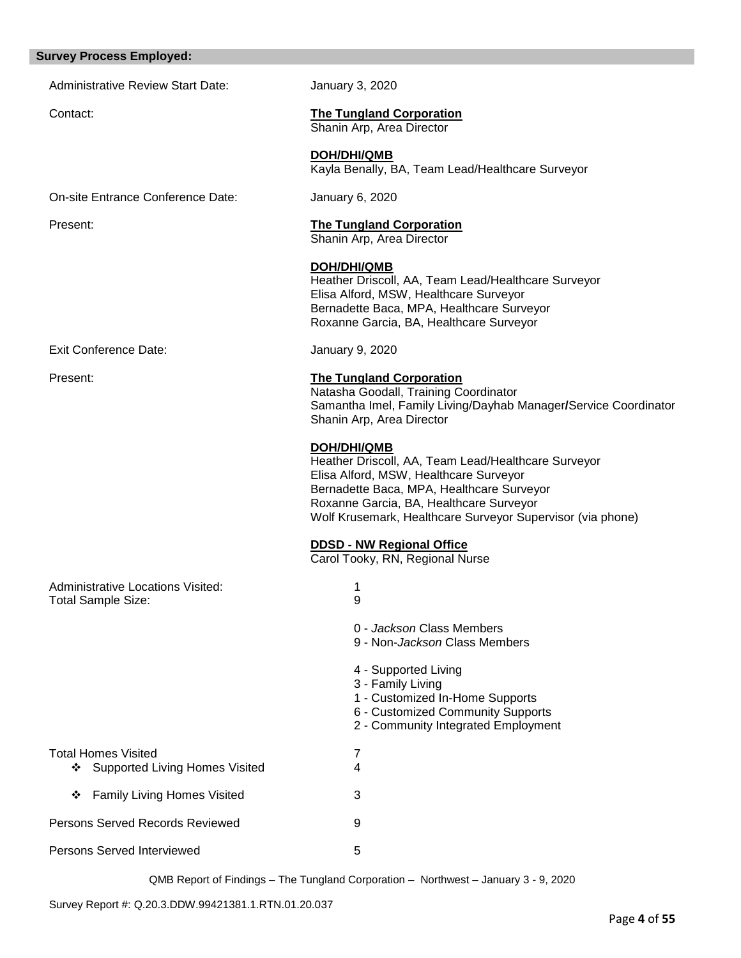## **Survey Process Employed:**

Administrative Review Start Date: January 3, 2020

Contact: **The Tungland Corporation** Shanin Arp, Area Director

Shanin Arp, Area Director

**DOH/DHI/QMB** Kayla Benally, BA, Team Lead/Healthcare Surveyor

On-site Entrance Conference Date: January 6, 2020

Present: **The Tungland Corporation**

|                                                                       | <b>DOH/DHI/QMB</b><br>Heather Driscoll, AA, Team Lead/Healthcare Surveyor<br>Elisa Alford, MSW, Healthcare Surveyor<br>Bernadette Baca, MPA, Healthcare Surveyor<br>Roxanne Garcia, BA, Healthcare Surveyor                                                        |
|-----------------------------------------------------------------------|--------------------------------------------------------------------------------------------------------------------------------------------------------------------------------------------------------------------------------------------------------------------|
| <b>Exit Conference Date:</b>                                          | January 9, 2020                                                                                                                                                                                                                                                    |
| Present:                                                              | <b>The Tungland Corporation</b><br>Natasha Goodall, Training Coordinator<br>Samantha Imel, Family Living/Dayhab Manager/Service Coordinator<br>Shanin Arp, Area Director                                                                                           |
|                                                                       | DOH/DHI/QMB<br>Heather Driscoll, AA, Team Lead/Healthcare Surveyor<br>Elisa Alford, MSW, Healthcare Surveyor<br>Bernadette Baca, MPA, Healthcare Surveyor<br>Roxanne Garcia, BA, Healthcare Surveyor<br>Wolf Krusemark, Healthcare Surveyor Supervisor (via phone) |
|                                                                       | <b>DDSD - NW Regional Office</b><br>Carol Tooky, RN, Regional Nurse                                                                                                                                                                                                |
| <b>Administrative Locations Visited:</b><br><b>Total Sample Size:</b> | 1<br>9                                                                                                                                                                                                                                                             |
|                                                                       | 0 - Jackson Class Members<br>9 - Non- <i>Jackson</i> Class Members                                                                                                                                                                                                 |
|                                                                       | 4 - Supported Living<br>3 - Family Living<br>1 - Customized In-Home Supports<br>6 - Customized Community Supports<br>2 - Community Integrated Employment                                                                                                           |
| Total Homes Visited<br>❖ Supported Living Homes Visited               | 7<br>4                                                                                                                                                                                                                                                             |
| ❖ Family Living Homes Visited                                         | 3                                                                                                                                                                                                                                                                  |
| Persons Served Records Reviewed                                       | 9                                                                                                                                                                                                                                                                  |
| <b>Persons Served Interviewed</b>                                     | 5                                                                                                                                                                                                                                                                  |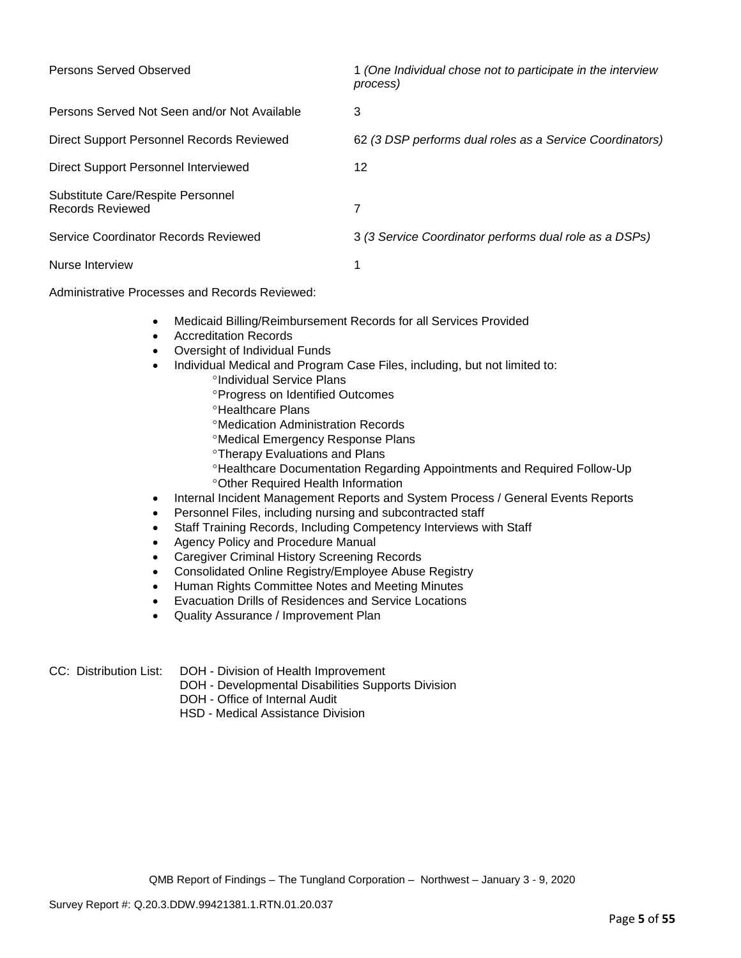| Persons Served Observed                                      | 1 (One Individual chose not to participate in the interview<br>process) |
|--------------------------------------------------------------|-------------------------------------------------------------------------|
| Persons Served Not Seen and/or Not Available                 | 3                                                                       |
| Direct Support Personnel Records Reviewed                    | 62 (3 DSP performs dual roles as a Service Coordinators)                |
| Direct Support Personnel Interviewed                         | 12                                                                      |
| Substitute Care/Respite Personnel<br><b>Records Reviewed</b> | 7                                                                       |
| Service Coordinator Records Reviewed                         | 3 (3 Service Coordinator performs dual role as a DSPs)                  |
| Nurse Interview                                              |                                                                         |

Administrative Processes and Records Reviewed:

- Medicaid Billing/Reimbursement Records for all Services Provided
- Accreditation Records
- Oversight of Individual Funds
- Individual Medical and Program Case Files, including, but not limited to:
	- °Individual Service Plans
	- **Progress on Identified Outcomes**
	- **<sup>o</sup>Healthcare Plans**
	- Medication Administration Records
	- Medical Emergency Response Plans
	- **Therapy Evaluations and Plans**
	- Healthcare Documentation Regarding Appointments and Required Follow-Up Other Required Health Information
- Internal Incident Management Reports and System Process / General Events Reports
- Personnel Files, including nursing and subcontracted staff
- Staff Training Records, Including Competency Interviews with Staff
- Agency Policy and Procedure Manual
- Caregiver Criminal History Screening Records
- Consolidated Online Registry/Employee Abuse Registry
- Human Rights Committee Notes and Meeting Minutes
- Evacuation Drills of Residences and Service Locations
- Quality Assurance / Improvement Plan
- CC: Distribution List: DOH Division of Health Improvement
	- DOH Developmental Disabilities Supports Division
	- DOH Office of Internal Audit
	- HSD Medical Assistance Division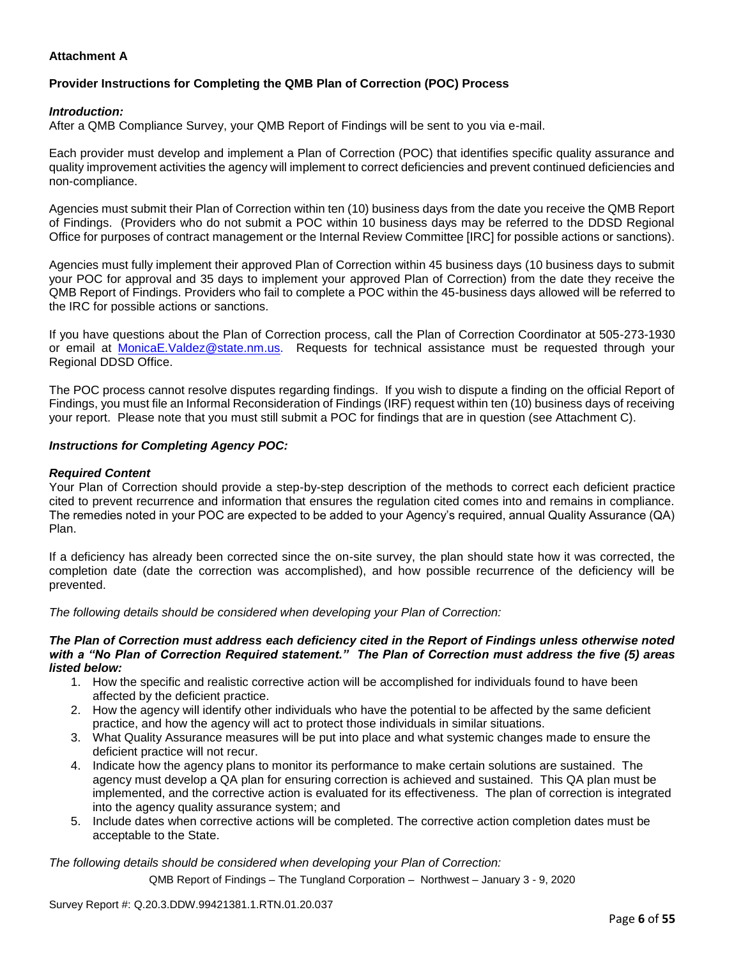## **Attachment A**

# **Provider Instructions for Completing the QMB Plan of Correction (POC) Process**

## *Introduction:*

After a QMB Compliance Survey, your QMB Report of Findings will be sent to you via e-mail.

Each provider must develop and implement a Plan of Correction (POC) that identifies specific quality assurance and quality improvement activities the agency will implement to correct deficiencies and prevent continued deficiencies and non-compliance.

Agencies must submit their Plan of Correction within ten (10) business days from the date you receive the QMB Report of Findings. (Providers who do not submit a POC within 10 business days may be referred to the DDSD Regional Office for purposes of contract management or the Internal Review Committee [IRC] for possible actions or sanctions).

Agencies must fully implement their approved Plan of Correction within 45 business days (10 business days to submit your POC for approval and 35 days to implement your approved Plan of Correction) from the date they receive the QMB Report of Findings. Providers who fail to complete a POC within the 45-business days allowed will be referred to the IRC for possible actions or sanctions.

If you have questions about the Plan of Correction process, call the Plan of Correction Coordinator at 505-273-1930 or email at [MonicaE.Valdez@state.nm.us.](mailto:MonicaE.Valdez@state.nm.us) Requests for technical assistance must be requested through your Regional DDSD Office.

The POC process cannot resolve disputes regarding findings. If you wish to dispute a finding on the official Report of Findings, you must file an Informal Reconsideration of Findings (IRF) request within ten (10) business days of receiving your report. Please note that you must still submit a POC for findings that are in question (see Attachment C).

#### *Instructions for Completing Agency POC:*

## *Required Content*

Your Plan of Correction should provide a step-by-step description of the methods to correct each deficient practice cited to prevent recurrence and information that ensures the regulation cited comes into and remains in compliance. The remedies noted in your POC are expected to be added to your Agency's required, annual Quality Assurance (QA) Plan.

If a deficiency has already been corrected since the on-site survey, the plan should state how it was corrected, the completion date (date the correction was accomplished), and how possible recurrence of the deficiency will be prevented.

*The following details should be considered when developing your Plan of Correction:*

#### *The Plan of Correction must address each deficiency cited in the Report of Findings unless otherwise noted with a "No Plan of Correction Required statement." The Plan of Correction must address the five (5) areas listed below:*

- 1. How the specific and realistic corrective action will be accomplished for individuals found to have been affected by the deficient practice.
- 2. How the agency will identify other individuals who have the potential to be affected by the same deficient practice, and how the agency will act to protect those individuals in similar situations.
- 3. What Quality Assurance measures will be put into place and what systemic changes made to ensure the deficient practice will not recur.
- 4. Indicate how the agency plans to monitor its performance to make certain solutions are sustained. The agency must develop a QA plan for ensuring correction is achieved and sustained. This QA plan must be implemented, and the corrective action is evaluated for its effectiveness. The plan of correction is integrated into the agency quality assurance system; and
- 5. Include dates when corrective actions will be completed. The corrective action completion dates must be acceptable to the State.

*The following details should be considered when developing your Plan of Correction:*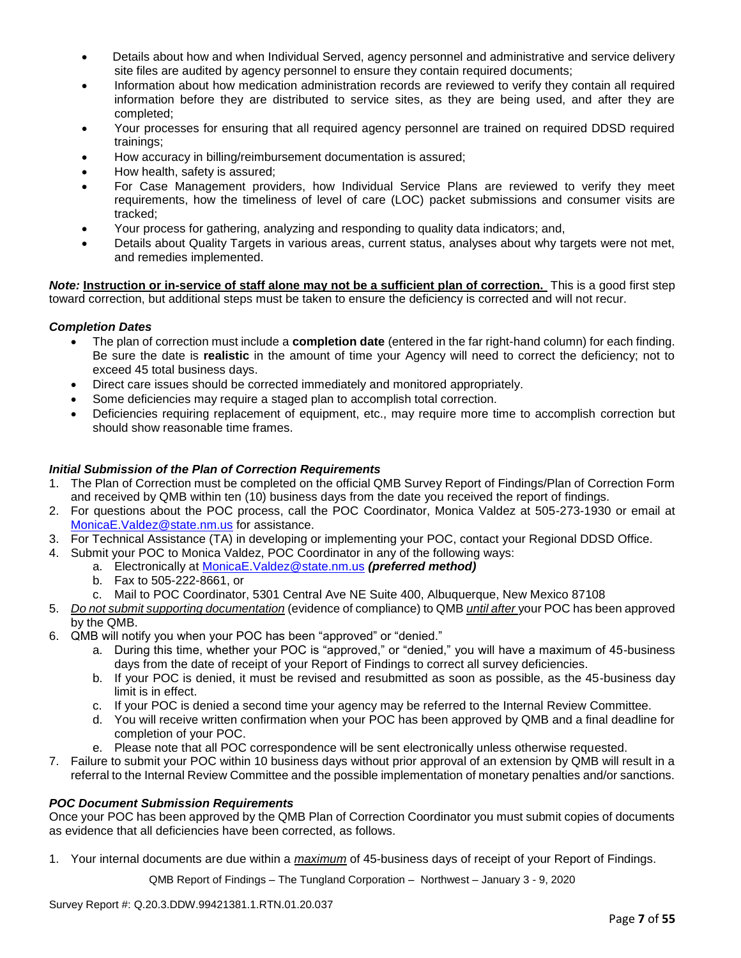- Details about how and when Individual Served, agency personnel and administrative and service delivery site files are audited by agency personnel to ensure they contain required documents;
- Information about how medication administration records are reviewed to verify they contain all required information before they are distributed to service sites, as they are being used, and after they are completed;
- Your processes for ensuring that all required agency personnel are trained on required DDSD required trainings;
- How accuracy in billing/reimbursement documentation is assured;
- How health, safety is assured;
- For Case Management providers, how Individual Service Plans are reviewed to verify they meet requirements, how the timeliness of level of care (LOC) packet submissions and consumer visits are tracked;
- Your process for gathering, analyzing and responding to quality data indicators; and,
- Details about Quality Targets in various areas, current status, analyses about why targets were not met, and remedies implemented.

*Note:* **Instruction or in-service of staff alone may not be a sufficient plan of correction.** This is a good first step toward correction, but additional steps must be taken to ensure the deficiency is corrected and will not recur.

## *Completion Dates*

- The plan of correction must include a **completion date** (entered in the far right-hand column) for each finding. Be sure the date is **realistic** in the amount of time your Agency will need to correct the deficiency; not to exceed 45 total business days.
- Direct care issues should be corrected immediately and monitored appropriately.
- Some deficiencies may require a staged plan to accomplish total correction.
- Deficiencies requiring replacement of equipment, etc., may require more time to accomplish correction but should show reasonable time frames.

## *Initial Submission of the Plan of Correction Requirements*

- 1. The Plan of Correction must be completed on the official QMB Survey Report of Findings/Plan of Correction Form and received by QMB within ten (10) business days from the date you received the report of findings.
- 2. For questions about the POC process, call the POC Coordinator, Monica Valdez at 505-273-1930 or email at [MonicaE.Valdez@state.nm.us](mailto:MonicaE.Valdez@state.nm.us) for assistance.
- 3. For Technical Assistance (TA) in developing or implementing your POC, contact your Regional DDSD Office.
- 4. Submit your POC to Monica Valdez, POC Coordinator in any of the following ways:
	- a. Electronically at [MonicaE.Valdez@state.nm.us](mailto:MonicaE.Valdez@state.nm.us) *(preferred method)*
	- b. Fax to 505-222-8661, or
	- c. Mail to POC Coordinator, 5301 Central Ave NE Suite 400, Albuquerque, New Mexico 87108
- 5. *Do not submit supporting documentation* (evidence of compliance) to QMB *until after* your POC has been approved by the QMB.
- 6. QMB will notify you when your POC has been "approved" or "denied."
	- a. During this time, whether your POC is "approved," or "denied," you will have a maximum of 45-business days from the date of receipt of your Report of Findings to correct all survey deficiencies.
	- b. If your POC is denied, it must be revised and resubmitted as soon as possible, as the 45-business day limit is in effect.
	- c. If your POC is denied a second time your agency may be referred to the Internal Review Committee.
	- d. You will receive written confirmation when your POC has been approved by QMB and a final deadline for completion of your POC.
	- e. Please note that all POC correspondence will be sent electronically unless otherwise requested.
- 7. Failure to submit your POC within 10 business days without prior approval of an extension by QMB will result in a referral to the Internal Review Committee and the possible implementation of monetary penalties and/or sanctions.

#### *POC Document Submission Requirements*

Once your POC has been approved by the QMB Plan of Correction Coordinator you must submit copies of documents as evidence that all deficiencies have been corrected, as follows.

1. Your internal documents are due within a *maximum* of 45-business days of receipt of your Report of Findings.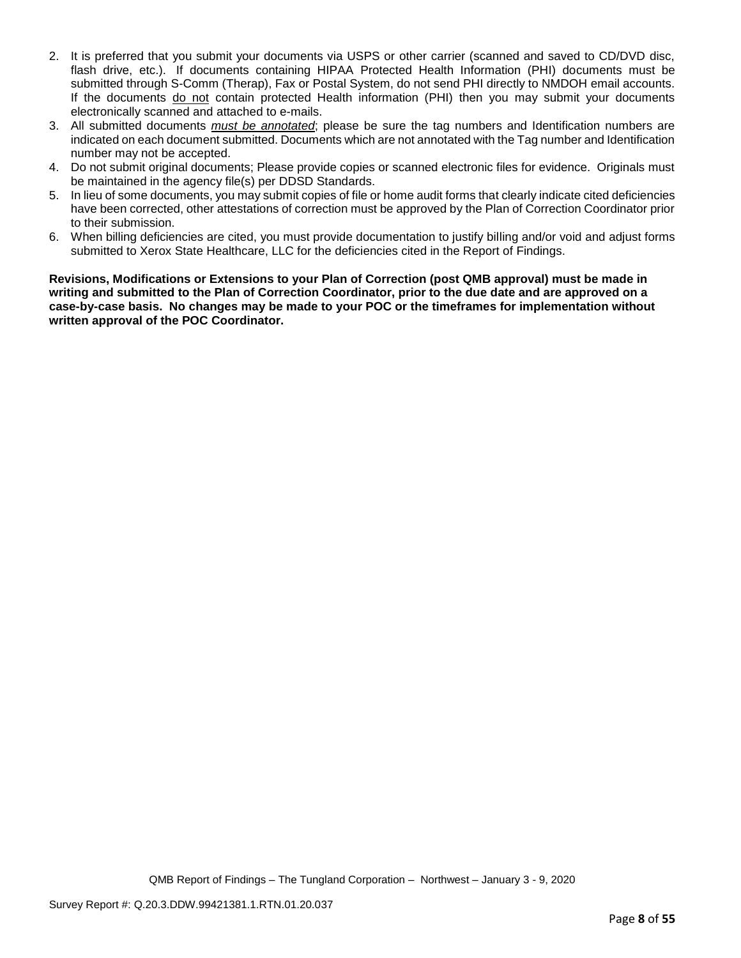- 2. It is preferred that you submit your documents via USPS or other carrier (scanned and saved to CD/DVD disc, flash drive, etc.). If documents containing HIPAA Protected Health Information (PHI) documents must be submitted through S-Comm (Therap), Fax or Postal System, do not send PHI directly to NMDOH email accounts. If the documents do not contain protected Health information (PHI) then you may submit your documents electronically scanned and attached to e-mails.
- 3. All submitted documents *must be annotated*; please be sure the tag numbers and Identification numbers are indicated on each document submitted. Documents which are not annotated with the Tag number and Identification number may not be accepted.
- 4. Do not submit original documents; Please provide copies or scanned electronic files for evidence. Originals must be maintained in the agency file(s) per DDSD Standards.
- 5. In lieu of some documents, you may submit copies of file or home audit forms that clearly indicate cited deficiencies have been corrected, other attestations of correction must be approved by the Plan of Correction Coordinator prior to their submission.
- 6. When billing deficiencies are cited, you must provide documentation to justify billing and/or void and adjust forms submitted to Xerox State Healthcare, LLC for the deficiencies cited in the Report of Findings.

**Revisions, Modifications or Extensions to your Plan of Correction (post QMB approval) must be made in writing and submitted to the Plan of Correction Coordinator, prior to the due date and are approved on a case-by-case basis. No changes may be made to your POC or the timeframes for implementation without written approval of the POC Coordinator.**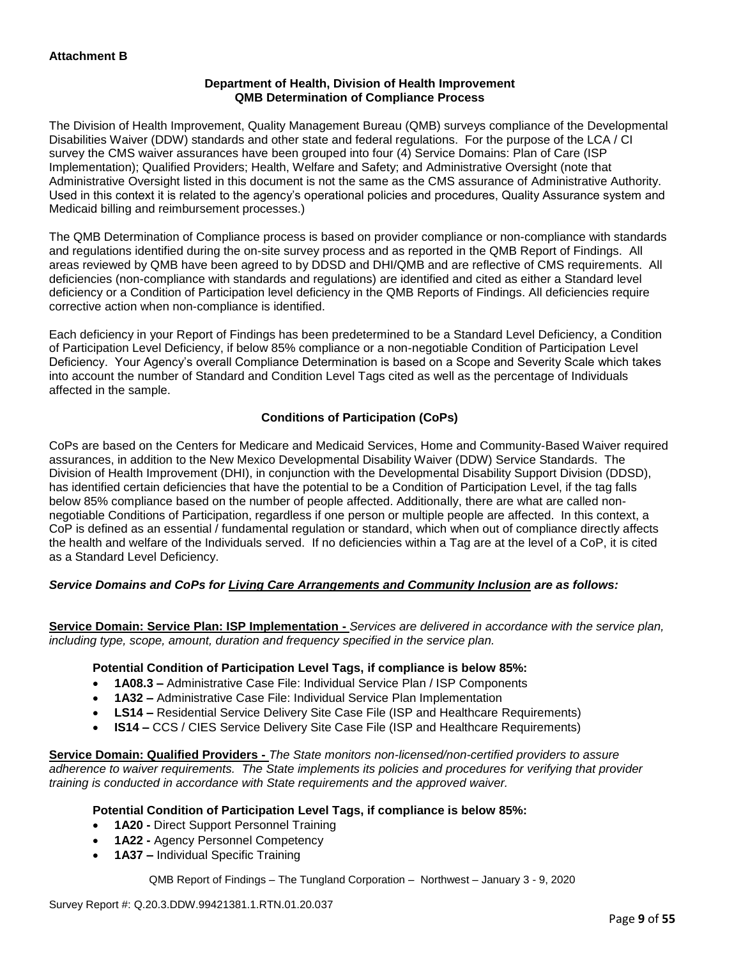## **Department of Health, Division of Health Improvement QMB Determination of Compliance Process**

The Division of Health Improvement, Quality Management Bureau (QMB) surveys compliance of the Developmental Disabilities Waiver (DDW) standards and other state and federal regulations. For the purpose of the LCA / CI survey the CMS waiver assurances have been grouped into four (4) Service Domains: Plan of Care (ISP Implementation); Qualified Providers; Health, Welfare and Safety; and Administrative Oversight (note that Administrative Oversight listed in this document is not the same as the CMS assurance of Administrative Authority. Used in this context it is related to the agency's operational policies and procedures, Quality Assurance system and Medicaid billing and reimbursement processes.)

The QMB Determination of Compliance process is based on provider compliance or non-compliance with standards and regulations identified during the on-site survey process and as reported in the QMB Report of Findings. All areas reviewed by QMB have been agreed to by DDSD and DHI/QMB and are reflective of CMS requirements. All deficiencies (non-compliance with standards and regulations) are identified and cited as either a Standard level deficiency or a Condition of Participation level deficiency in the QMB Reports of Findings. All deficiencies require corrective action when non-compliance is identified.

Each deficiency in your Report of Findings has been predetermined to be a Standard Level Deficiency, a Condition of Participation Level Deficiency, if below 85% compliance or a non-negotiable Condition of Participation Level Deficiency. Your Agency's overall Compliance Determination is based on a Scope and Severity Scale which takes into account the number of Standard and Condition Level Tags cited as well as the percentage of Individuals affected in the sample.

## **Conditions of Participation (CoPs)**

CoPs are based on the Centers for Medicare and Medicaid Services, Home and Community-Based Waiver required assurances, in addition to the New Mexico Developmental Disability Waiver (DDW) Service Standards. The Division of Health Improvement (DHI), in conjunction with the Developmental Disability Support Division (DDSD), has identified certain deficiencies that have the potential to be a Condition of Participation Level, if the tag falls below 85% compliance based on the number of people affected. Additionally, there are what are called nonnegotiable Conditions of Participation, regardless if one person or multiple people are affected. In this context, a CoP is defined as an essential / fundamental regulation or standard, which when out of compliance directly affects the health and welfare of the Individuals served. If no deficiencies within a Tag are at the level of a CoP, it is cited as a Standard Level Deficiency.

## *Service Domains and CoPs for Living Care Arrangements and Community Inclusion are as follows:*

**Service Domain: Service Plan: ISP Implementation -** *Services are delivered in accordance with the service plan, including type, scope, amount, duration and frequency specified in the service plan.*

#### **Potential Condition of Participation Level Tags, if compliance is below 85%:**

- **1A08.3 –** Administrative Case File: Individual Service Plan / ISP Components
- **1A32 –** Administrative Case File: Individual Service Plan Implementation
- **LS14 –** Residential Service Delivery Site Case File (ISP and Healthcare Requirements)
- **IS14 –** CCS / CIES Service Delivery Site Case File (ISP and Healthcare Requirements)

**Service Domain: Qualified Providers -** *The State monitors non-licensed/non-certified providers to assure adherence to waiver requirements. The State implements its policies and procedures for verifying that provider training is conducted in accordance with State requirements and the approved waiver.*

#### **Potential Condition of Participation Level Tags, if compliance is below 85%:**

- **1A20 -** Direct Support Personnel Training
- **1A22 -** Agency Personnel Competency
- **1A37 –** Individual Specific Training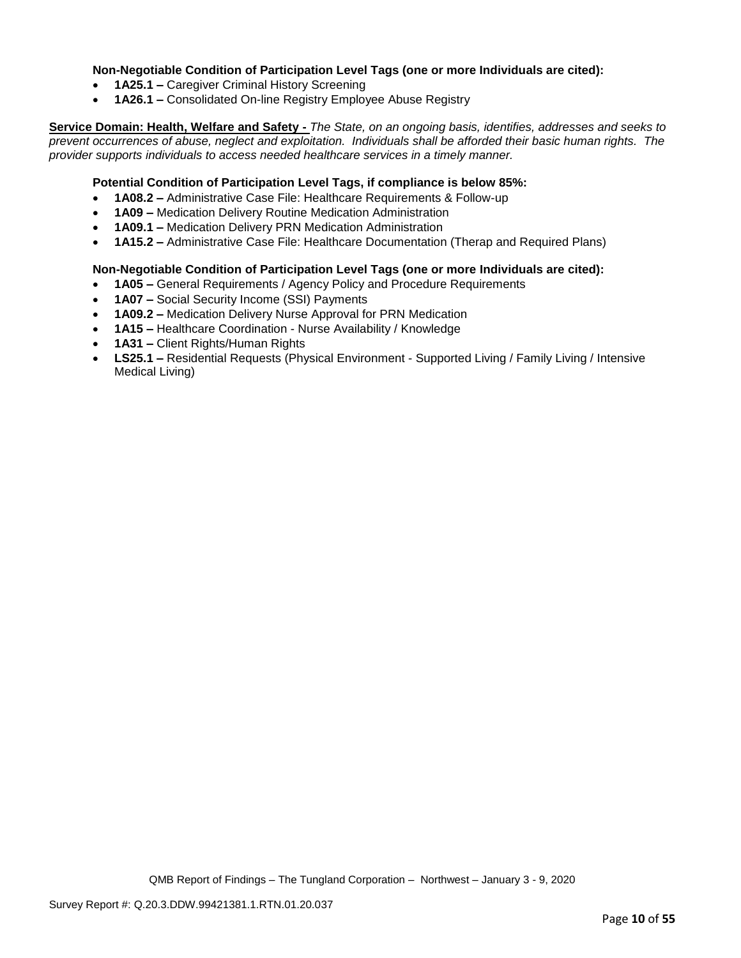## **Non-Negotiable Condition of Participation Level Tags (one or more Individuals are cited):**

- **1A25.1 –** Caregiver Criminal History Screening
- **1A26.1 –** Consolidated On-line Registry Employee Abuse Registry

**Service Domain: Health, Welfare and Safety -** *The State, on an ongoing basis, identifies, addresses and seeks to prevent occurrences of abuse, neglect and exploitation. Individuals shall be afforded their basic human rights. The provider supports individuals to access needed healthcare services in a timely manner.*

## **Potential Condition of Participation Level Tags, if compliance is below 85%:**

- **1A08.2 –** Administrative Case File: Healthcare Requirements & Follow-up
- **1A09 –** Medication Delivery Routine Medication Administration
- **1A09.1 –** Medication Delivery PRN Medication Administration
- **1A15.2 –** Administrative Case File: Healthcare Documentation (Therap and Required Plans)

#### **Non-Negotiable Condition of Participation Level Tags (one or more Individuals are cited):**

- **1A05 –** General Requirements / Agency Policy and Procedure Requirements
- **1A07 –** Social Security Income (SSI) Payments
- **1A09.2 –** Medication Delivery Nurse Approval for PRN Medication
- **1A15 –** Healthcare Coordination Nurse Availability / Knowledge
- **1A31 –** Client Rights/Human Rights
- **LS25.1 –** Residential Requests (Physical Environment Supported Living / Family Living / Intensive Medical Living)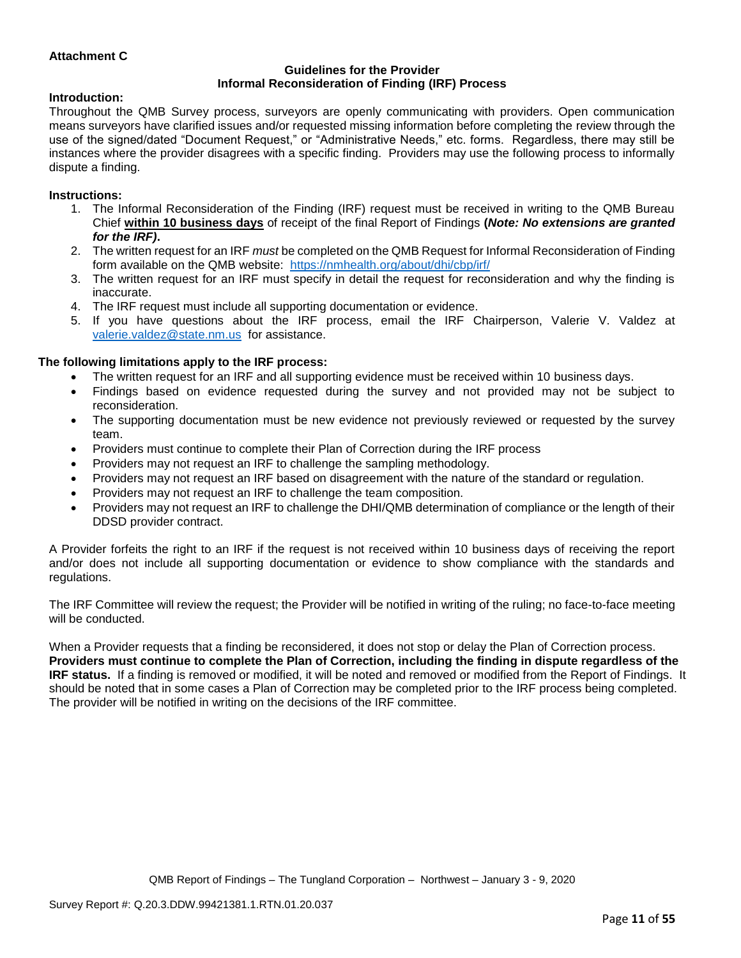## **Attachment C**

#### **Guidelines for the Provider Informal Reconsideration of Finding (IRF) Process**

#### **Introduction:**

Throughout the QMB Survey process, surveyors are openly communicating with providers. Open communication means surveyors have clarified issues and/or requested missing information before completing the review through the use of the signed/dated "Document Request," or "Administrative Needs," etc. forms. Regardless, there may still be instances where the provider disagrees with a specific finding. Providers may use the following process to informally dispute a finding.

#### **Instructions:**

- 1. The Informal Reconsideration of the Finding (IRF) request must be received in writing to the QMB Bureau Chief **within 10 business days** of receipt of the final Report of Findings **(***Note: No extensions are granted for the IRF)***.**
- 2. The written request for an IRF *must* be completed on the QMB Request for Informal Reconsideration of Finding form available on the QMB website: <https://nmhealth.org/about/dhi/cbp/irf/>
- 3. The written request for an IRF must specify in detail the request for reconsideration and why the finding is inaccurate.
- 4. The IRF request must include all supporting documentation or evidence.
- 5. If you have questions about the IRF process, email the IRF Chairperson, Valerie V. Valdez at [valerie.valdez@state.nm.us](mailto:valerie.valdez@state.nm.us) for assistance.

#### **The following limitations apply to the IRF process:**

- The written request for an IRF and all supporting evidence must be received within 10 business days.
- Findings based on evidence requested during the survey and not provided may not be subject to reconsideration.
- The supporting documentation must be new evidence not previously reviewed or requested by the survey team.
- Providers must continue to complete their Plan of Correction during the IRF process
- Providers may not request an IRF to challenge the sampling methodology.
- Providers may not request an IRF based on disagreement with the nature of the standard or regulation.
- Providers may not request an IRF to challenge the team composition.
- Providers may not request an IRF to challenge the DHI/QMB determination of compliance or the length of their DDSD provider contract.

A Provider forfeits the right to an IRF if the request is not received within 10 business days of receiving the report and/or does not include all supporting documentation or evidence to show compliance with the standards and regulations.

The IRF Committee will review the request; the Provider will be notified in writing of the ruling; no face-to-face meeting will be conducted.

When a Provider requests that a finding be reconsidered, it does not stop or delay the Plan of Correction process. **Providers must continue to complete the Plan of Correction, including the finding in dispute regardless of the IRF status.** If a finding is removed or modified, it will be noted and removed or modified from the Report of Findings. It should be noted that in some cases a Plan of Correction may be completed prior to the IRF process being completed. The provider will be notified in writing on the decisions of the IRF committee.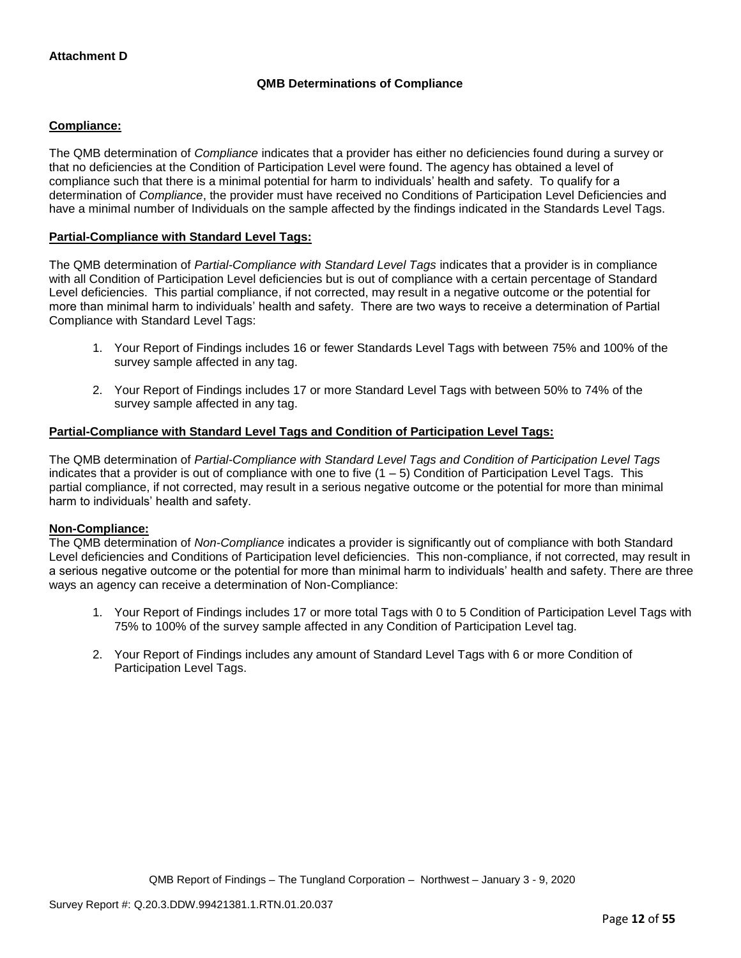## **QMB Determinations of Compliance**

## **Compliance:**

The QMB determination of *Compliance* indicates that a provider has either no deficiencies found during a survey or that no deficiencies at the Condition of Participation Level were found. The agency has obtained a level of compliance such that there is a minimal potential for harm to individuals' health and safety. To qualify for a determination of *Compliance*, the provider must have received no Conditions of Participation Level Deficiencies and have a minimal number of Individuals on the sample affected by the findings indicated in the Standards Level Tags.

## **Partial-Compliance with Standard Level Tags:**

The QMB determination of *Partial-Compliance with Standard Level Tags* indicates that a provider is in compliance with all Condition of Participation Level deficiencies but is out of compliance with a certain percentage of Standard Level deficiencies. This partial compliance, if not corrected, may result in a negative outcome or the potential for more than minimal harm to individuals' health and safety. There are two ways to receive a determination of Partial Compliance with Standard Level Tags:

- 1. Your Report of Findings includes 16 or fewer Standards Level Tags with between 75% and 100% of the survey sample affected in any tag.
- 2. Your Report of Findings includes 17 or more Standard Level Tags with between 50% to 74% of the survey sample affected in any tag.

## **Partial-Compliance with Standard Level Tags and Condition of Participation Level Tags:**

The QMB determination of *Partial-Compliance with Standard Level Tags and Condition of Participation Level Tags*  indicates that a provider is out of compliance with one to five (1 – 5) Condition of Participation Level Tags. This partial compliance, if not corrected, may result in a serious negative outcome or the potential for more than minimal harm to individuals' health and safety.

#### **Non-Compliance:**

The QMB determination of *Non-Compliance* indicates a provider is significantly out of compliance with both Standard Level deficiencies and Conditions of Participation level deficiencies. This non-compliance, if not corrected, may result in a serious negative outcome or the potential for more than minimal harm to individuals' health and safety. There are three ways an agency can receive a determination of Non-Compliance:

- 1. Your Report of Findings includes 17 or more total Tags with 0 to 5 Condition of Participation Level Tags with 75% to 100% of the survey sample affected in any Condition of Participation Level tag.
- 2. Your Report of Findings includes any amount of Standard Level Tags with 6 or more Condition of Participation Level Tags.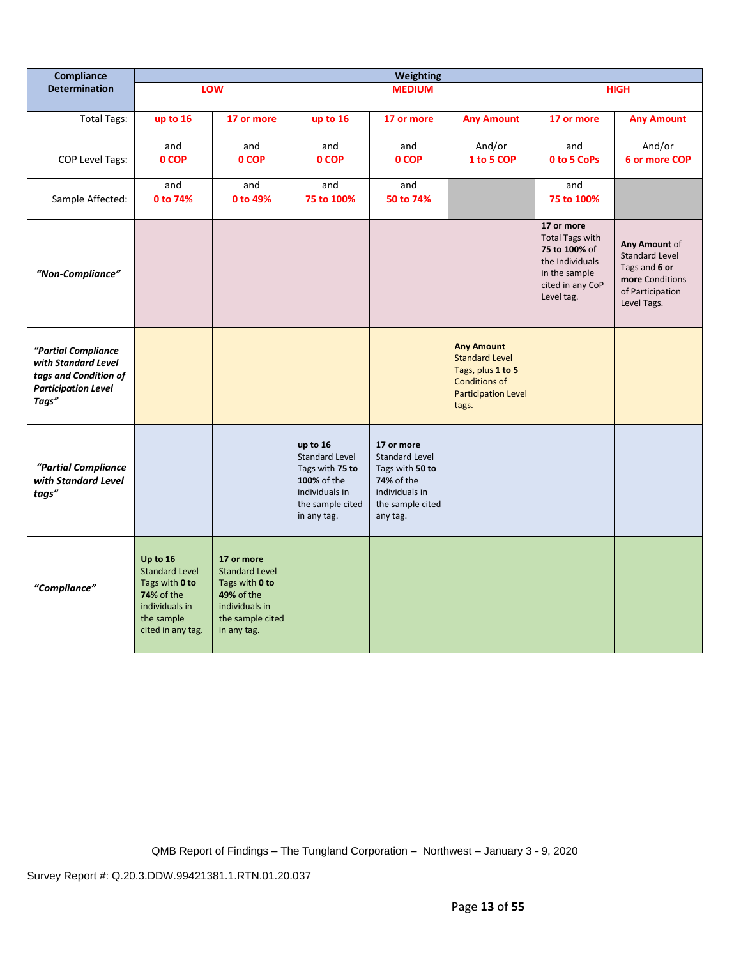| Compliance                                                                                                 |                                                                                                                               |                                                                                                                          |                                                                                                                   | Weighting                                                                                                              |                                                                                                                                |                                                                                                                             |                                                                                                               |
|------------------------------------------------------------------------------------------------------------|-------------------------------------------------------------------------------------------------------------------------------|--------------------------------------------------------------------------------------------------------------------------|-------------------------------------------------------------------------------------------------------------------|------------------------------------------------------------------------------------------------------------------------|--------------------------------------------------------------------------------------------------------------------------------|-----------------------------------------------------------------------------------------------------------------------------|---------------------------------------------------------------------------------------------------------------|
| <b>Determination</b>                                                                                       |                                                                                                                               | LOW                                                                                                                      |                                                                                                                   | <b>MEDIUM</b>                                                                                                          |                                                                                                                                |                                                                                                                             | <b>HIGH</b>                                                                                                   |
| <b>Total Tags:</b>                                                                                         | up to 16                                                                                                                      | 17 or more                                                                                                               | up to 16                                                                                                          | 17 or more                                                                                                             | <b>Any Amount</b>                                                                                                              | 17 or more                                                                                                                  | <b>Any Amount</b>                                                                                             |
|                                                                                                            | and                                                                                                                           | and                                                                                                                      | and                                                                                                               | and                                                                                                                    | And/or                                                                                                                         | and                                                                                                                         | And/or                                                                                                        |
| <b>COP Level Tags:</b>                                                                                     | 0 COP                                                                                                                         | 0 COP                                                                                                                    | 0 COP                                                                                                             | 0 COP                                                                                                                  | 1 to 5 COP                                                                                                                     | 0 to 5 CoPs                                                                                                                 | 6 or more COP                                                                                                 |
|                                                                                                            | and                                                                                                                           | and                                                                                                                      | and                                                                                                               | and                                                                                                                    |                                                                                                                                | and                                                                                                                         |                                                                                                               |
| Sample Affected:                                                                                           | 0 to 74%                                                                                                                      | 0 to 49%                                                                                                                 | 75 to 100%                                                                                                        | 50 to 74%                                                                                                              |                                                                                                                                | 75 to 100%                                                                                                                  |                                                                                                               |
| "Non-Compliance"                                                                                           |                                                                                                                               |                                                                                                                          |                                                                                                                   |                                                                                                                        |                                                                                                                                | 17 or more<br><b>Total Tags with</b><br>75 to 100% of<br>the Individuals<br>in the sample<br>cited in any CoP<br>Level tag. | Any Amount of<br><b>Standard Level</b><br>Tags and 6 or<br>more Conditions<br>of Participation<br>Level Tags. |
| "Partial Compliance<br>with Standard Level<br>tags and Condition of<br><b>Participation Level</b><br>Tags" |                                                                                                                               |                                                                                                                          |                                                                                                                   |                                                                                                                        | <b>Any Amount</b><br><b>Standard Level</b><br>Tags, plus 1 to 5<br><b>Conditions of</b><br><b>Participation Level</b><br>tags. |                                                                                                                             |                                                                                                               |
| "Partial Compliance<br>with Standard Level<br>tags"                                                        |                                                                                                                               |                                                                                                                          | up to 16<br>Standard Level<br>Tags with 75 to<br>100% of the<br>individuals in<br>the sample cited<br>in any tag. | 17 or more<br><b>Standard Level</b><br>Tags with 50 to<br>74% of the<br>individuals in<br>the sample cited<br>any tag. |                                                                                                                                |                                                                                                                             |                                                                                                               |
| "Compliance"                                                                                               | Up to 16<br><b>Standard Level</b><br>Tags with 0 to<br><b>74%</b> of the<br>individuals in<br>the sample<br>cited in any tag. | 17 or more<br><b>Standard Level</b><br>Tags with 0 to<br>49% of the<br>individuals in<br>the sample cited<br>in any tag. |                                                                                                                   |                                                                                                                        |                                                                                                                                |                                                                                                                             |                                                                                                               |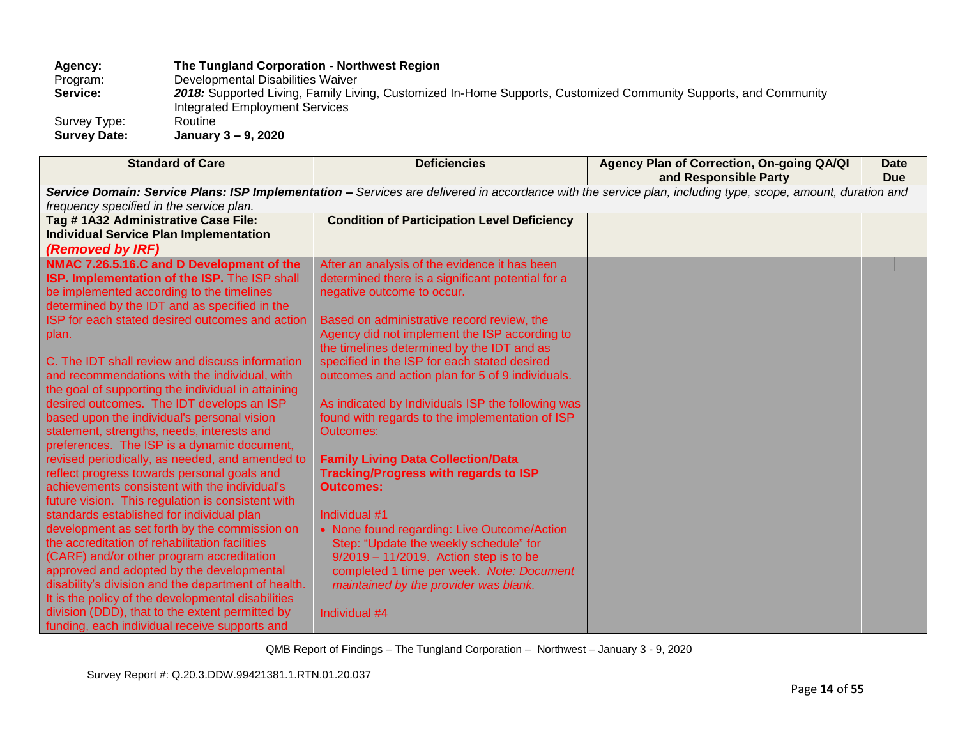# Agency: The Tungland Corporation - Northwest Region<br>
Program: Developmental Disabilities Waiver

Program: Developmental Disabilities Waiver<br>
Service: 2018: Supported Living, Family Livi 2018: Supported Living, Family Living, Customized In-Home Supports, Customized Community Supports, and Community

Integrated Employment Services

Survey Type:

**Survey Date: January 3 – 9, 2020**

| <b>Standard of Care</b>                                                                                                                                                                                                                                                                                                                                                                                                                                                                                                                                                                                                                                                                                                                                                                                                                                                                                                                                                                                                                                                                                                                                                                                                   | <b>Deficiencies</b>                                                                                                                                                                                                                                                                                                                                                                                                                                                                                                                                                                                                                                                                                                                                                                                                                                                                          | Agency Plan of Correction, On-going QA/QI<br>and Responsible Party                                                                                          | <b>Date</b><br><b>Due</b> |
|---------------------------------------------------------------------------------------------------------------------------------------------------------------------------------------------------------------------------------------------------------------------------------------------------------------------------------------------------------------------------------------------------------------------------------------------------------------------------------------------------------------------------------------------------------------------------------------------------------------------------------------------------------------------------------------------------------------------------------------------------------------------------------------------------------------------------------------------------------------------------------------------------------------------------------------------------------------------------------------------------------------------------------------------------------------------------------------------------------------------------------------------------------------------------------------------------------------------------|----------------------------------------------------------------------------------------------------------------------------------------------------------------------------------------------------------------------------------------------------------------------------------------------------------------------------------------------------------------------------------------------------------------------------------------------------------------------------------------------------------------------------------------------------------------------------------------------------------------------------------------------------------------------------------------------------------------------------------------------------------------------------------------------------------------------------------------------------------------------------------------------|-------------------------------------------------------------------------------------------------------------------------------------------------------------|---------------------------|
| frequency specified in the service plan.                                                                                                                                                                                                                                                                                                                                                                                                                                                                                                                                                                                                                                                                                                                                                                                                                                                                                                                                                                                                                                                                                                                                                                                  |                                                                                                                                                                                                                                                                                                                                                                                                                                                                                                                                                                                                                                                                                                                                                                                                                                                                                              | Service Domain: Service Plans: ISP Implementation - Services are delivered in accordance with the service plan, including type, scope, amount, duration and |                           |
| Tag #1A32 Administrative Case File:<br><b>Individual Service Plan Implementation</b><br>(Removed by IRF)                                                                                                                                                                                                                                                                                                                                                                                                                                                                                                                                                                                                                                                                                                                                                                                                                                                                                                                                                                                                                                                                                                                  | <b>Condition of Participation Level Deficiency</b>                                                                                                                                                                                                                                                                                                                                                                                                                                                                                                                                                                                                                                                                                                                                                                                                                                           |                                                                                                                                                             |                           |
| NMAC 7.26.5.16.C and D Development of the<br>ISP. Implementation of the ISP. The ISP shall<br>be implemented according to the timelines<br>determined by the IDT and as specified in the<br>ISP for each stated desired outcomes and action<br>plan.<br>C. The IDT shall review and discuss information<br>and recommendations with the individual, with<br>the goal of supporting the individual in attaining<br>desired outcomes. The IDT develops an ISP<br>based upon the individual's personal vision<br>statement, strengths, needs, interests and<br>preferences. The ISP is a dynamic document,<br>revised periodically, as needed, and amended to<br>reflect progress towards personal goals and<br>achievements consistent with the individual's<br>future vision. This regulation is consistent with<br>standards established for individual plan<br>development as set forth by the commission on<br>the accreditation of rehabilitation facilities<br>(CARF) and/or other program accreditation<br>approved and adopted by the developmental<br>disability's division and the department of health.<br>It is the policy of the developmental disabilities<br>division (DDD), that to the extent permitted by | After an analysis of the evidence it has been<br>determined there is a significant potential for a<br>negative outcome to occur.<br>Based on administrative record review, the<br>Agency did not implement the ISP according to<br>the timelines determined by the IDT and as<br>specified in the ISP for each stated desired<br>outcomes and action plan for 5 of 9 individuals.<br>As indicated by Individuals ISP the following was<br>found with regards to the implementation of ISP<br><b>Outcomes:</b><br><b>Family Living Data Collection/Data</b><br><b>Tracking/Progress with regards to ISP</b><br><b>Outcomes:</b><br>Individual #1<br>• None found regarding: Live Outcome/Action<br>Step: "Update the weekly schedule" for<br>$9/2019 - 11/2019$ . Action step is to be<br>completed 1 time per week. Note: Document<br>maintained by the provider was blank.<br>Individual #4 |                                                                                                                                                             |                           |
| funding, each individual receive supports and                                                                                                                                                                                                                                                                                                                                                                                                                                                                                                                                                                                                                                                                                                                                                                                                                                                                                                                                                                                                                                                                                                                                                                             |                                                                                                                                                                                                                                                                                                                                                                                                                                                                                                                                                                                                                                                                                                                                                                                                                                                                                              |                                                                                                                                                             |                           |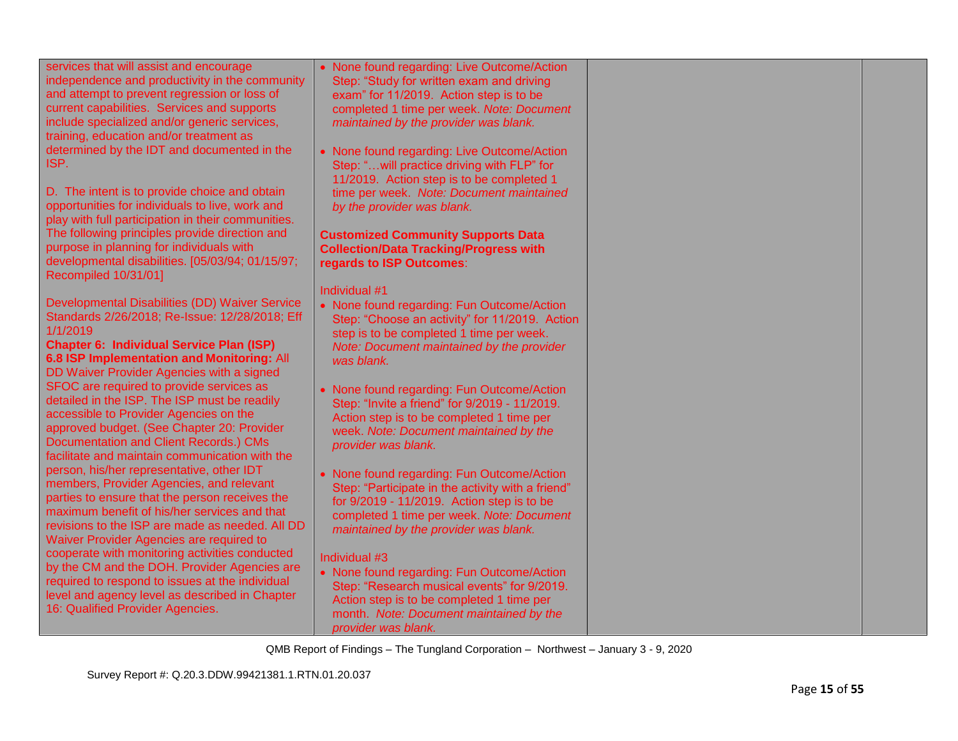| services that will assist and encourage<br>independence and productivity in the community<br>and attempt to prevent regression or loss of<br>current capabilities. Services and supports<br>include specialized and/or generic services,<br>training, education and/or treatment as<br>determined by the IDT and documented in the | • None found regarding: Live Outcome/Action<br>Step: "Study for written exam and driving<br>exam" for 11/2019. Action step is to be<br>completed 1 time per week. Note: Document<br>maintained by the provider was blank.<br>• None found regarding: Live Outcome/Action |  |
|------------------------------------------------------------------------------------------------------------------------------------------------------------------------------------------------------------------------------------------------------------------------------------------------------------------------------------|--------------------------------------------------------------------------------------------------------------------------------------------------------------------------------------------------------------------------------------------------------------------------|--|
| ISP.                                                                                                                                                                                                                                                                                                                               | Step: " will practice driving with FLP" for<br>11/2019. Action step is to be completed 1                                                                                                                                                                                 |  |
| D. The intent is to provide choice and obtain<br>opportunities for individuals to live, work and<br>play with full participation in their communities.                                                                                                                                                                             | time per week. Note: Document maintained<br>by the provider was blank.                                                                                                                                                                                                   |  |
| The following principles provide direction and<br>purpose in planning for individuals with<br>developmental disabilities. [05/03/94; 01/15/97;<br>Recompiled 10/31/01]                                                                                                                                                             | <b>Customized Community Supports Data</b><br><b>Collection/Data Tracking/Progress with</b><br>regards to ISP Outcomes:                                                                                                                                                   |  |
|                                                                                                                                                                                                                                                                                                                                    | Individual #1                                                                                                                                                                                                                                                            |  |
| Developmental Disabilities (DD) Waiver Service<br>Standards 2/26/2018; Re-Issue: 12/28/2018; Eff<br>1/1/2019<br><b>Chapter 6: Individual Service Plan (ISP)</b><br>6.8 ISP Implementation and Monitoring: All<br>DD Waiver Provider Agencies with a signed                                                                         | • None found regarding: Fun Outcome/Action<br>Step: "Choose an activity" for 11/2019. Action<br>step is to be completed 1 time per week.<br>Note: Document maintained by the provider<br>was blank.                                                                      |  |
| SFOC are required to provide services as<br>detailed in the ISP. The ISP must be readily<br>accessible to Provider Agencies on the<br>approved budget. (See Chapter 20: Provider<br>Documentation and Client Records.) CMs<br>facilitate and maintain communication with the                                                       | • None found regarding: Fun Outcome/Action<br>Step: "Invite a friend" for 9/2019 - 11/2019.<br>Action step is to be completed 1 time per<br>week. Note: Document maintained by the<br>provider was blank.                                                                |  |
| person, his/her representative, other IDT<br>members, Provider Agencies, and relevant<br>parties to ensure that the person receives the<br>maximum benefit of his/her services and that<br>revisions to the ISP are made as needed. All DD<br>Waiver Provider Agencies are required to                                             | • None found regarding: Fun Outcome/Action<br>Step: "Participate in the activity with a friend"<br>for 9/2019 - 11/2019. Action step is to be<br>completed 1 time per week. Note: Document<br>maintained by the provider was blank.                                      |  |
| cooperate with monitoring activities conducted<br>by the CM and the DOH. Provider Agencies are<br>required to respond to issues at the individual<br>level and agency level as described in Chapter<br>16: Qualified Provider Agencies.                                                                                            | Individual #3<br>• None found regarding: Fun Outcome/Action<br>Step: "Research musical events" for 9/2019.<br>Action step is to be completed 1 time per<br>month. Note: Document maintained by the<br>provider was blank.                                                |  |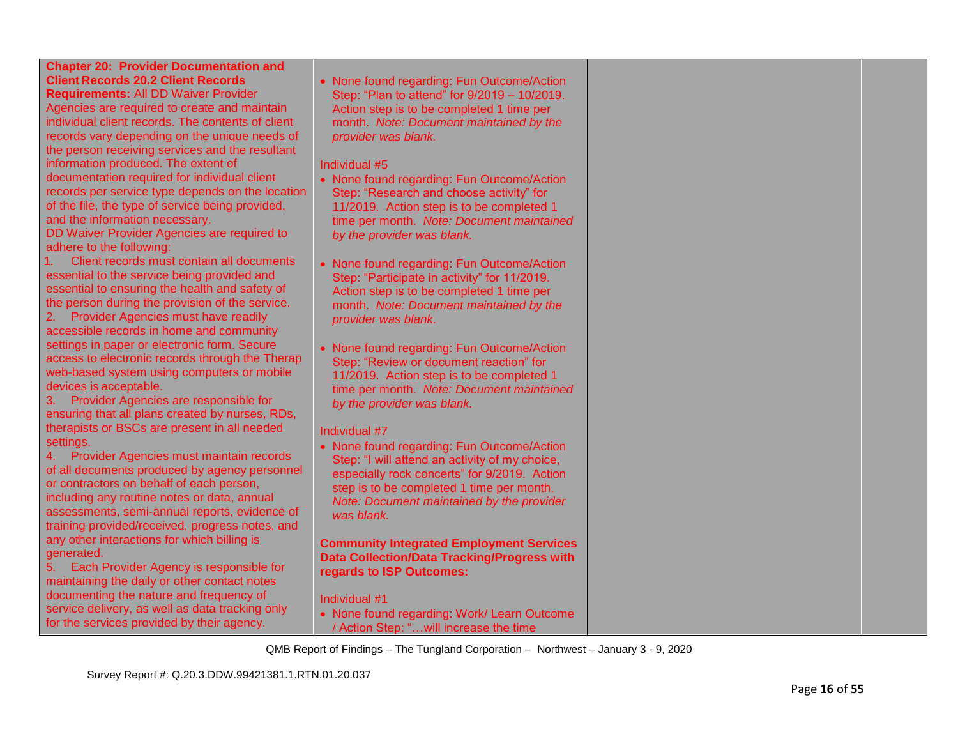| <b>Chapter 20: Provider Documentation and</b><br><b>Client Records 20.2 Client Records</b><br><b>Requirements: All DD Waiver Provider</b><br>Agencies are required to create and maintain<br>individual client records. The contents of client<br>records vary depending on the unique needs of<br>the person receiving services and the resultant<br>information produced. The extent of<br>documentation required for individual client<br>records per service type depends on the location<br>of the file, the type of service being provided,<br>and the information necessary.<br>DD Waiver Provider Agencies are required to | • None found regarding: Fun Outcome/Action<br>Step: "Plan to attend" for 9/2019 - 10/2019.<br>Action step is to be completed 1 time per<br>month. Note: Document maintained by the<br>provider was blank.<br>Individual #5<br>• None found regarding: Fun Outcome/Action<br>Step: "Research and choose activity" for<br>11/2019. Action step is to be completed 1<br>time per month. Note: Document maintained<br>by the provider was blank. |  |
|------------------------------------------------------------------------------------------------------------------------------------------------------------------------------------------------------------------------------------------------------------------------------------------------------------------------------------------------------------------------------------------------------------------------------------------------------------------------------------------------------------------------------------------------------------------------------------------------------------------------------------|----------------------------------------------------------------------------------------------------------------------------------------------------------------------------------------------------------------------------------------------------------------------------------------------------------------------------------------------------------------------------------------------------------------------------------------------|--|
| adhere to the following:<br>1.<br>Client records must contain all documents<br>essential to the service being provided and<br>essential to ensuring the health and safety of<br>the person during the provision of the service.<br>Provider Agencies must have readily<br>accessible records in home and community                                                                                                                                                                                                                                                                                                                 | • None found regarding: Fun Outcome/Action<br>Step: "Participate in activity" for 11/2019.<br>Action step is to be completed 1 time per<br>month. Note: Document maintained by the<br>provider was blank.                                                                                                                                                                                                                                    |  |
| settings in paper or electronic form. Secure<br>access to electronic records through the Therap<br>web-based system using computers or mobile<br>devices is acceptable.<br>Provider Agencies are responsible for<br>3.<br>ensuring that all plans created by nurses, RDs,                                                                                                                                                                                                                                                                                                                                                          | • None found regarding: Fun Outcome/Action<br>Step: "Review or document reaction" for<br>11/2019. Action step is to be completed 1<br>time per month. Note: Document maintained<br>by the provider was blank.                                                                                                                                                                                                                                |  |
| therapists or BSCs are present in all needed<br>settings.<br>4. Provider Agencies must maintain records<br>of all documents produced by agency personnel<br>or contractors on behalf of each person,<br>including any routine notes or data, annual<br>assessments, semi-annual reports, evidence of<br>training provided/received, progress notes, and                                                                                                                                                                                                                                                                            | Individual #7<br>• None found regarding: Fun Outcome/Action<br>Step: "I will attend an activity of my choice,<br>especially rock concerts" for 9/2019. Action<br>step is to be completed 1 time per month.<br>Note: Document maintained by the provider<br>was blank.                                                                                                                                                                        |  |
| any other interactions for which billing is<br>generated.<br>Each Provider Agency is responsible for<br>5.<br>maintaining the daily or other contact notes<br>documenting the nature and frequency of<br>service delivery, as well as data tracking only<br>for the services provided by their agency.                                                                                                                                                                                                                                                                                                                             | <b>Community Integrated Employment Services</b><br><b>Data Collection/Data Tracking/Progress with</b><br>regards to ISP Outcomes:<br>Individual #1<br>• None found regarding: Work/ Learn Outcome<br>/ Action Step: "will increase the time                                                                                                                                                                                                  |  |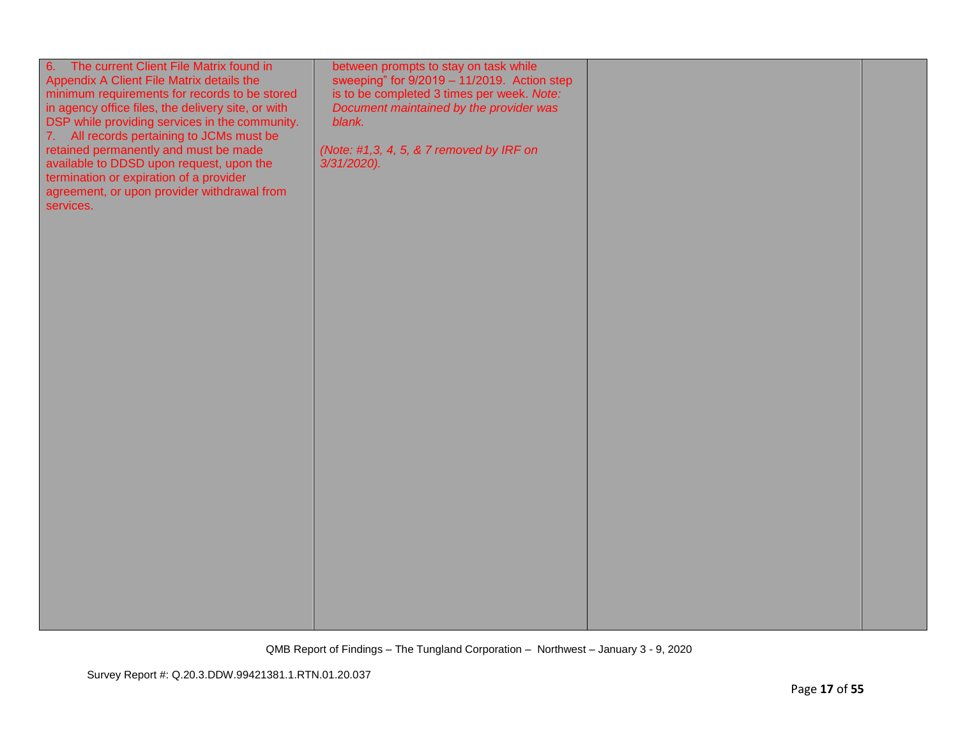| 6. The current Client File Matrix found in<br>Appendix A Client File Matrix details the<br>minimum requirements for records to be stored<br>in agency office files, the delivery site, or with<br>DSP while providing services in the community.<br>7. All records pertaining to JCMs must be<br>retained permanently and must be made<br>available to DDSD upon request, upon the<br>termination or expiration of a provider<br>agreement, or upon provider withdrawal from<br>services. | between prompts to stay on task while<br>sweeping" for $9/2019 - 11/2019$ . Action step<br>is to be completed 3 times per week. Note:<br>Document maintained by the provider was<br>blank.<br>(Note: #1,3, 4, 5, & 7 removed by IRF on<br>3/31/2020). |  |
|-------------------------------------------------------------------------------------------------------------------------------------------------------------------------------------------------------------------------------------------------------------------------------------------------------------------------------------------------------------------------------------------------------------------------------------------------------------------------------------------|-------------------------------------------------------------------------------------------------------------------------------------------------------------------------------------------------------------------------------------------------------|--|
|                                                                                                                                                                                                                                                                                                                                                                                                                                                                                           |                                                                                                                                                                                                                                                       |  |
|                                                                                                                                                                                                                                                                                                                                                                                                                                                                                           |                                                                                                                                                                                                                                                       |  |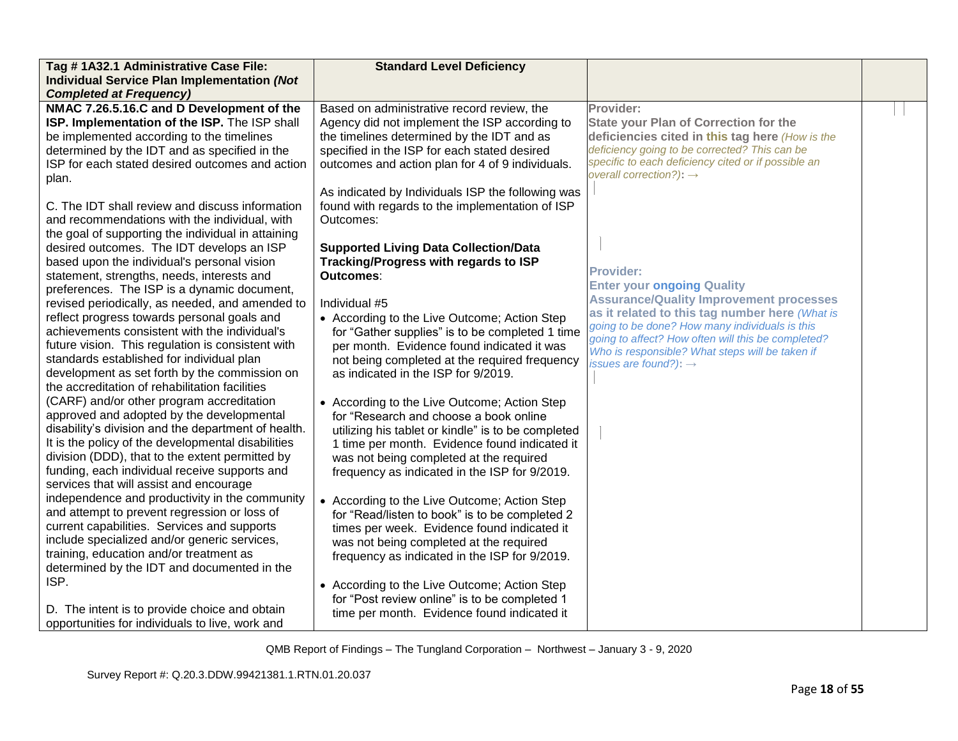| Tag #1A32.1 Administrative Case File:               | <b>Standard Level Deficiency</b>                   |                                                                                                      |  |
|-----------------------------------------------------|----------------------------------------------------|------------------------------------------------------------------------------------------------------|--|
| <b>Individual Service Plan Implementation (Not</b>  |                                                    |                                                                                                      |  |
| <b>Completed at Frequency)</b>                      |                                                    |                                                                                                      |  |
| NMAC 7.26.5.16.C and D Development of the           | Based on administrative record review, the         | Provider:                                                                                            |  |
| ISP. Implementation of the ISP. The ISP shall       | Agency did not implement the ISP according to      | <b>State your Plan of Correction for the</b>                                                         |  |
| be implemented according to the timelines           | the timelines determined by the IDT and as         | deficiencies cited in this tag here (How is the                                                      |  |
| determined by the IDT and as specified in the       | specified in the ISP for each stated desired       | deficiency going to be corrected? This can be                                                        |  |
| ISP for each stated desired outcomes and action     | outcomes and action plan for 4 of 9 individuals.   | specific to each deficiency cited or if possible an                                                  |  |
| plan.                                               |                                                    | overall correction?): $\rightarrow$                                                                  |  |
|                                                     | As indicated by Individuals ISP the following was  |                                                                                                      |  |
| C. The IDT shall review and discuss information     | found with regards to the implementation of ISP    |                                                                                                      |  |
| and recommendations with the individual, with       | Outcomes:                                          |                                                                                                      |  |
| the goal of supporting the individual in attaining  |                                                    |                                                                                                      |  |
| desired outcomes. The IDT develops an ISP           | <b>Supported Living Data Collection/Data</b>       |                                                                                                      |  |
| based upon the individual's personal vision         | Tracking/Progress with regards to ISP              |                                                                                                      |  |
| statement, strengths, needs, interests and          | Outcomes:                                          | <b>Provider:</b>                                                                                     |  |
| preferences. The ISP is a dynamic document,         |                                                    | <b>Enter your ongoing Quality</b>                                                                    |  |
| revised periodically, as needed, and amended to     | Individual #5                                      | <b>Assurance/Quality Improvement processes</b>                                                       |  |
| reflect progress towards personal goals and         | • According to the Live Outcome; Action Step       | as it related to this tag number here (What is                                                       |  |
| achievements consistent with the individual's       | for "Gather supplies" is to be completed 1 time    | going to be done? How many individuals is this<br>going to affect? How often will this be completed? |  |
| future vision. This regulation is consistent with   | per month. Evidence found indicated it was         | Who is responsible? What steps will be taken if                                                      |  |
| standards established for individual plan           | not being completed at the required frequency      | issues are found?): $\rightarrow$                                                                    |  |
| development as set forth by the commission on       | as indicated in the ISP for 9/2019.                |                                                                                                      |  |
| the accreditation of rehabilitation facilities      |                                                    |                                                                                                      |  |
| (CARF) and/or other program accreditation           | • According to the Live Outcome; Action Step       |                                                                                                      |  |
| approved and adopted by the developmental           | for "Research and choose a book online             |                                                                                                      |  |
| disability's division and the department of health. | utilizing his tablet or kindle" is to be completed |                                                                                                      |  |
| It is the policy of the developmental disabilities  | 1 time per month. Evidence found indicated it      |                                                                                                      |  |
| division (DDD), that to the extent permitted by     | was not being completed at the required            |                                                                                                      |  |
| funding, each individual receive supports and       | frequency as indicated in the ISP for 9/2019.      |                                                                                                      |  |
| services that will assist and encourage             |                                                    |                                                                                                      |  |
| independence and productivity in the community      | • According to the Live Outcome; Action Step       |                                                                                                      |  |
| and attempt to prevent regression or loss of        | for "Read/listen to book" is to be completed 2     |                                                                                                      |  |
| current capabilities. Services and supports         | times per week. Evidence found indicated it        |                                                                                                      |  |
| include specialized and/or generic services,        | was not being completed at the required            |                                                                                                      |  |
| training, education and/or treatment as             | frequency as indicated in the ISP for 9/2019.      |                                                                                                      |  |
| determined by the IDT and documented in the         |                                                    |                                                                                                      |  |
| ISP.                                                | • According to the Live Outcome; Action Step       |                                                                                                      |  |
|                                                     | for "Post review online" is to be completed 1      |                                                                                                      |  |
| D. The intent is to provide choice and obtain       | time per month. Evidence found indicated it        |                                                                                                      |  |
| opportunities for individuals to live, work and     |                                                    |                                                                                                      |  |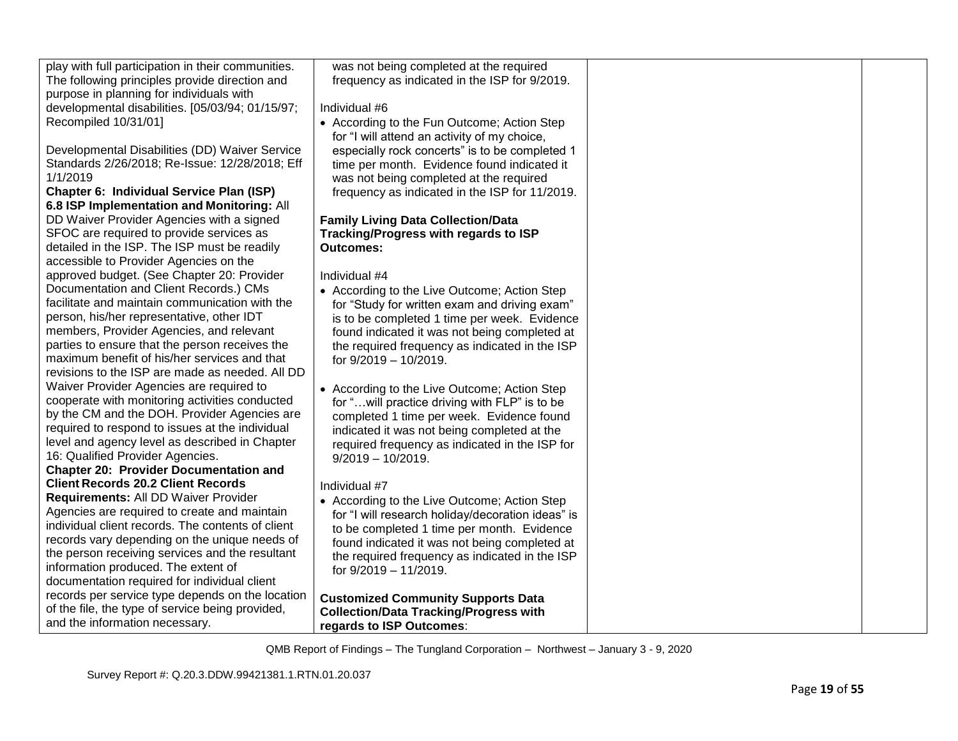| play with full participation in their communities.                                       | was not being completed at the required                                                       |  |
|------------------------------------------------------------------------------------------|-----------------------------------------------------------------------------------------------|--|
| The following principles provide direction and                                           | frequency as indicated in the ISP for 9/2019.                                                 |  |
| purpose in planning for individuals with                                                 |                                                                                               |  |
| developmental disabilities. [05/03/94; 01/15/97;                                         | Individual #6                                                                                 |  |
| Recompiled 10/31/01]                                                                     | • According to the Fun Outcome; Action Step                                                   |  |
|                                                                                          | for "I will attend an activity of my choice,                                                  |  |
| Developmental Disabilities (DD) Waiver Service                                           | especially rock concerts" is to be completed 1                                                |  |
| Standards 2/26/2018; Re-Issue: 12/28/2018; Eff                                           | time per month. Evidence found indicated it                                                   |  |
| 1/1/2019                                                                                 | was not being completed at the required                                                       |  |
| Chapter 6: Individual Service Plan (ISP)                                                 | frequency as indicated in the ISP for 11/2019.                                                |  |
| 6.8 ISP Implementation and Monitoring: All                                               |                                                                                               |  |
| DD Waiver Provider Agencies with a signed                                                | <b>Family Living Data Collection/Data</b>                                                     |  |
| SFOC are required to provide services as                                                 | Tracking/Progress with regards to ISP                                                         |  |
| detailed in the ISP. The ISP must be readily                                             | <b>Outcomes:</b>                                                                              |  |
| accessible to Provider Agencies on the                                                   |                                                                                               |  |
| approved budget. (See Chapter 20: Provider                                               | Individual #4                                                                                 |  |
| Documentation and Client Records.) CMs<br>facilitate and maintain communication with the | • According to the Live Outcome; Action Step                                                  |  |
|                                                                                          | for "Study for written exam and driving exam"                                                 |  |
| person, his/her representative, other IDT<br>members, Provider Agencies, and relevant    | is to be completed 1 time per week. Evidence                                                  |  |
| parties to ensure that the person receives the                                           | found indicated it was not being completed at                                                 |  |
| maximum benefit of his/her services and that                                             | the required frequency as indicated in the ISP                                                |  |
| revisions to the ISP are made as needed. All DD                                          | for 9/2019 - 10/2019.                                                                         |  |
| Waiver Provider Agencies are required to                                                 |                                                                                               |  |
| cooperate with monitoring activities conducted                                           | • According to the Live Outcome; Action Step                                                  |  |
| by the CM and the DOH. Provider Agencies are                                             | for " will practice driving with FLP" is to be                                                |  |
| required to respond to issues at the individual                                          | completed 1 time per week. Evidence found                                                     |  |
| level and agency level as described in Chapter                                           | indicated it was not being completed at the<br>required frequency as indicated in the ISP for |  |
| 16: Qualified Provider Agencies.                                                         | $9/2019 - 10/2019.$                                                                           |  |
| <b>Chapter 20: Provider Documentation and</b>                                            |                                                                                               |  |
| <b>Client Records 20.2 Client Records</b>                                                | Individual #7                                                                                 |  |
| Requirements: All DD Waiver Provider                                                     | • According to the Live Outcome; Action Step                                                  |  |
| Agencies are required to create and maintain                                             | for "I will research holiday/decoration ideas" is                                             |  |
| individual client records. The contents of client                                        | to be completed 1 time per month. Evidence                                                    |  |
| records vary depending on the unique needs of                                            | found indicated it was not being completed at                                                 |  |
| the person receiving services and the resultant                                          | the required frequency as indicated in the ISP                                                |  |
| information produced. The extent of                                                      | for 9/2019 - 11/2019.                                                                         |  |
| documentation required for individual client                                             |                                                                                               |  |
| records per service type depends on the location                                         | <b>Customized Community Supports Data</b>                                                     |  |
| of the file, the type of service being provided,                                         | <b>Collection/Data Tracking/Progress with</b>                                                 |  |
| and the information necessary.                                                           | regards to ISP Outcomes:                                                                      |  |
|                                                                                          |                                                                                               |  |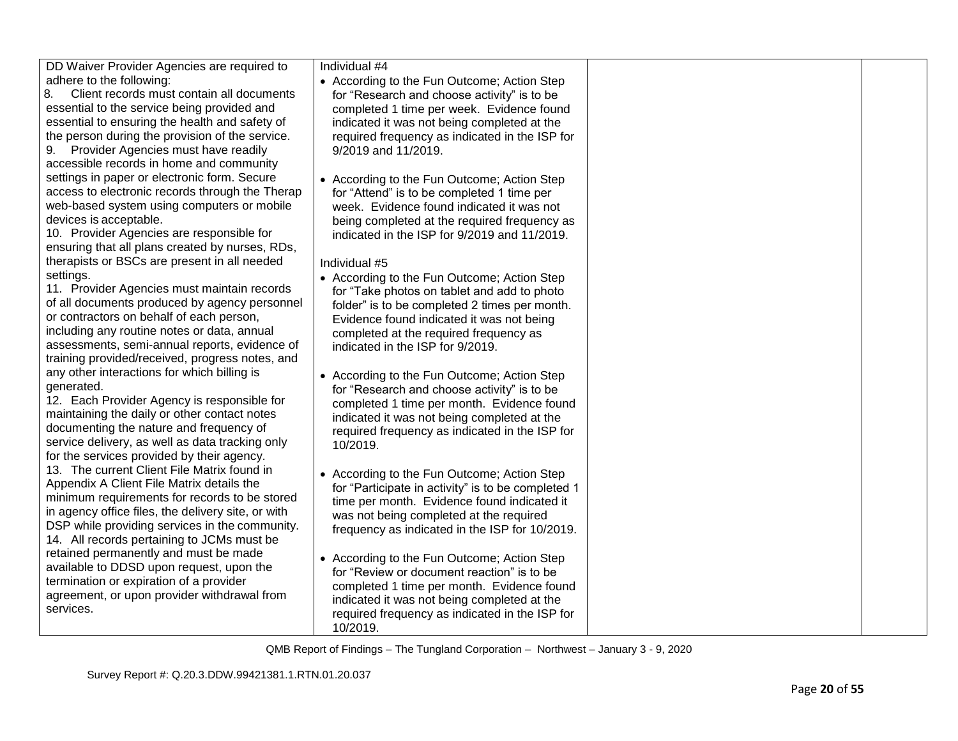DD Waiver Provider Agencies are required to adhere to the following:

8. Client records must contain all documents essential to the service being provided and essential to ensuring the health and safety of the person during the provision of the service.

9. Provider Agencies must have readily accessible records in home and community settings in paper or electronic form. Secure access to electronic records through the Therap web-based system using computers or mobile devices is acceptable.

10. Provider Agencies are responsible for ensuring that all plans created by nurses, RDs, therapists or BSCs are present in all needed settings.

11. Provider Agencies must maintain records of all documents produced by agency personnel or contractors on behalf of each person, including any routine notes or data, annual assessments, semi-annual reports, evidence of training provided/received, progress notes, and any other interactions for which billing is generated.

12. Each Provider Agency is responsible for maintaining the daily or other contact notes documenting the nature and frequency of service delivery, as well as data tracking only for the services provided by their agency. 13. The current Client File Matrix found in Appendix A Client File Matrix details the minimum requirements for records to be stored in agency office files, the delivery site, or with DSP while providing services in the community. 14. All records pertaining to JCMs must be retained permanently and must be made available to DDSD upon request, upon the termination or expiration of a provider agreement, or upon provider withdrawal from services.

Individual #4

- According to the Fun Outcome; Action Step for "Research and choose activity" is to be completed 1 time per week. Evidence found indicated it was not being completed at the required frequency as indicated in the ISP for 9/2019 and 11/2019.
- According to the Fun Outcome; Action Step for "Attend" is to be completed 1 time per week. Evidence found indicated it was not being completed at the required frequency as indicated in the ISP for 9/2019 and 11/2019.

Individual #5

- According to the Fun Outcome; Action Step for "Take photos on tablet and add to photo folder" is to be completed 2 times per month. Evidence found indicated it was not being completed at the required frequency as indicated in the ISP for 9/2019.
- According to the Fun Outcome; Action Step for "Research and choose activity" is to be completed 1 time per month. Evidence found indicated it was not being completed at the required frequency as indicated in the ISP for 10/2019.
- According to the Fun Outcome; Action Step for "Participate in activity" is to be completed 1 time per month. Evidence found indicated it was not being completed at the required frequency as indicated in the ISP for 10/2019.
- According to the Fun Outcome; Action Step for "Review or document reaction" is to be completed 1 time per month. Evidence found indicated it was not being completed at the required frequency as indicated in the ISP for 10/2019.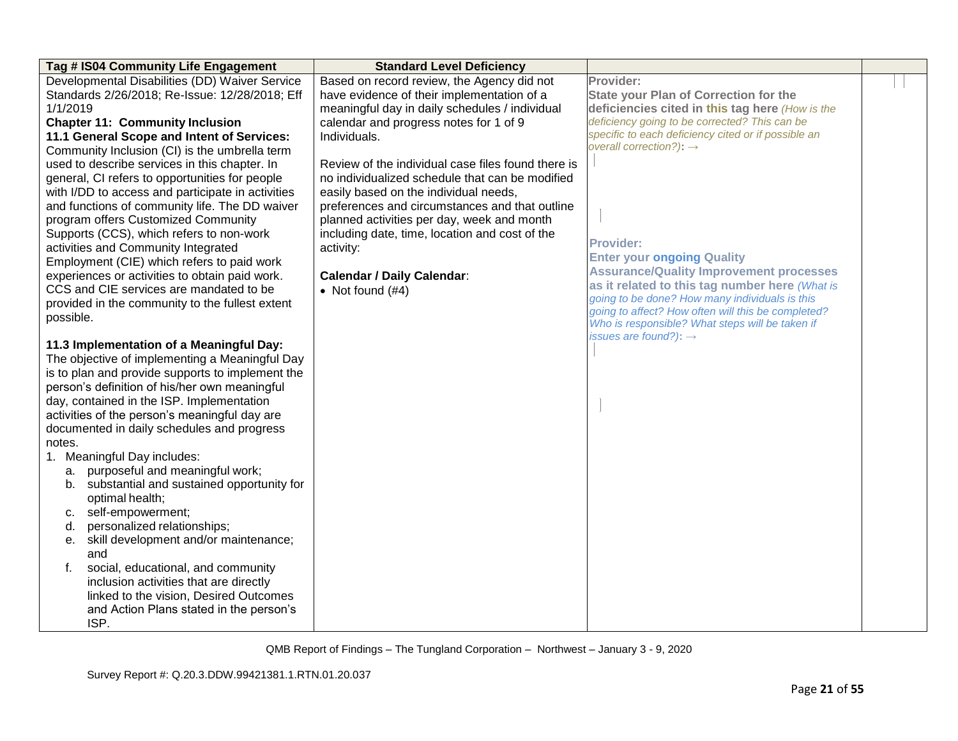| Tag # IS04 Community Life Engagement              | <b>Standard Level Deficiency</b>                   |                                                                                                       |  |
|---------------------------------------------------|----------------------------------------------------|-------------------------------------------------------------------------------------------------------|--|
| Developmental Disabilities (DD) Waiver Service    | Based on record review, the Agency did not         | Provider:                                                                                             |  |
| Standards 2/26/2018; Re-Issue: 12/28/2018; Eff    | have evidence of their implementation of a         | <b>State your Plan of Correction for the</b>                                                          |  |
| 1/1/2019                                          | meaningful day in daily schedules / individual     | deficiencies cited in this tag here (How is the                                                       |  |
| <b>Chapter 11: Community Inclusion</b>            | calendar and progress notes for 1 of 9             | deficiency going to be corrected? This can be                                                         |  |
| 11.1 General Scope and Intent of Services:        | Individuals.                                       | specific to each deficiency cited or if possible an                                                   |  |
| Community Inclusion (CI) is the umbrella term     |                                                    | overall correction?): $\rightarrow$                                                                   |  |
| used to describe services in this chapter. In     | Review of the individual case files found there is |                                                                                                       |  |
| general, CI refers to opportunities for people    | no individualized schedule that can be modified    |                                                                                                       |  |
| with I/DD to access and participate in activities | easily based on the individual needs,              |                                                                                                       |  |
| and functions of community life. The DD waiver    | preferences and circumstances and that outline     |                                                                                                       |  |
| program offers Customized Community               | planned activities per day, week and month         |                                                                                                       |  |
| Supports (CCS), which refers to non-work          | including date, time, location and cost of the     |                                                                                                       |  |
| activities and Community Integrated               | activity:                                          | <b>Provider:</b>                                                                                      |  |
| Employment (CIE) which refers to paid work        |                                                    | <b>Enter your ongoing Quality</b>                                                                     |  |
| experiences or activities to obtain paid work.    | <b>Calendar / Daily Calendar:</b>                  | <b>Assurance/Quality Improvement processes</b>                                                        |  |
| CCS and CIE services are mandated to be           | • Not found $(#4)$                                 | as it related to this tag number here (What is                                                        |  |
| provided in the community to the fullest extent   |                                                    | going to be done? How many individuals is this                                                        |  |
| possible.                                         |                                                    | going to affect? How often will this be completed?<br>Who is responsible? What steps will be taken if |  |
|                                                   |                                                    | issues are found?): $\rightarrow$                                                                     |  |
| 11.3 Implementation of a Meaningful Day:          |                                                    |                                                                                                       |  |
| The objective of implementing a Meaningful Day    |                                                    |                                                                                                       |  |
| is to plan and provide supports to implement the  |                                                    |                                                                                                       |  |
| person's definition of his/her own meaningful     |                                                    |                                                                                                       |  |
| day, contained in the ISP. Implementation         |                                                    |                                                                                                       |  |
| activities of the person's meaningful day are     |                                                    |                                                                                                       |  |
| documented in daily schedules and progress        |                                                    |                                                                                                       |  |
| notes.                                            |                                                    |                                                                                                       |  |
| 1. Meaningful Day includes:                       |                                                    |                                                                                                       |  |
| purposeful and meaningful work;<br>а.             |                                                    |                                                                                                       |  |
| b. substantial and sustained opportunity for      |                                                    |                                                                                                       |  |
| optimal health;                                   |                                                    |                                                                                                       |  |
| self-empowerment;<br>c.                           |                                                    |                                                                                                       |  |
| personalized relationships;<br>d.                 |                                                    |                                                                                                       |  |
| e. skill development and/or maintenance;          |                                                    |                                                                                                       |  |
| and                                               |                                                    |                                                                                                       |  |
| social, educational, and community                |                                                    |                                                                                                       |  |
| inclusion activities that are directly            |                                                    |                                                                                                       |  |
| linked to the vision, Desired Outcomes            |                                                    |                                                                                                       |  |
| and Action Plans stated in the person's           |                                                    |                                                                                                       |  |
| ISP.                                              |                                                    |                                                                                                       |  |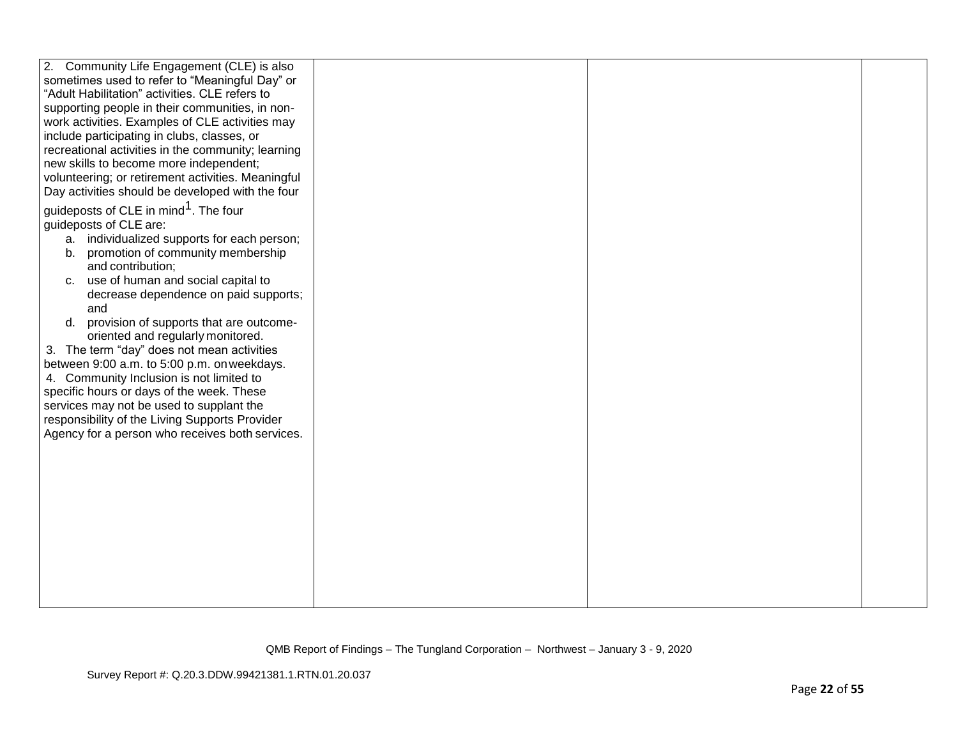| 2. Community Life Engagement (CLE) is also         |  |  |
|----------------------------------------------------|--|--|
| sometimes used to refer to "Meaningful Day" or     |  |  |
| "Adult Habilitation" activities. CLE refers to     |  |  |
| supporting people in their communities, in non-    |  |  |
| work activities. Examples of CLE activities may    |  |  |
| include participating in clubs, classes, or        |  |  |
| recreational activities in the community; learning |  |  |
| new skills to become more independent;             |  |  |
| volunteering; or retirement activities. Meaningful |  |  |
| Day activities should be developed with the four   |  |  |
| guideposts of CLE in mind <sup>1</sup> . The four  |  |  |
|                                                    |  |  |
| guideposts of CLE are:                             |  |  |
| a. individualized supports for each person;        |  |  |
| promotion of community membership<br>b.            |  |  |
| and contribution;                                  |  |  |
| c. use of human and social capital to              |  |  |
| decrease dependence on paid supports;              |  |  |
| and                                                |  |  |
| d. provision of supports that are outcome-         |  |  |
| oriented and regularly monitored.                  |  |  |
| 3. The term "day" does not mean activities         |  |  |
| between 9:00 a.m. to 5:00 p.m. on weekdays.        |  |  |
| 4. Community Inclusion is not limited to           |  |  |
| specific hours or days of the week. These          |  |  |
| services may not be used to supplant the           |  |  |
| responsibility of the Living Supports Provider     |  |  |
| Agency for a person who receives both services.    |  |  |
|                                                    |  |  |
|                                                    |  |  |
|                                                    |  |  |
|                                                    |  |  |
|                                                    |  |  |
|                                                    |  |  |
|                                                    |  |  |
|                                                    |  |  |
|                                                    |  |  |
|                                                    |  |  |
|                                                    |  |  |
|                                                    |  |  |
|                                                    |  |  |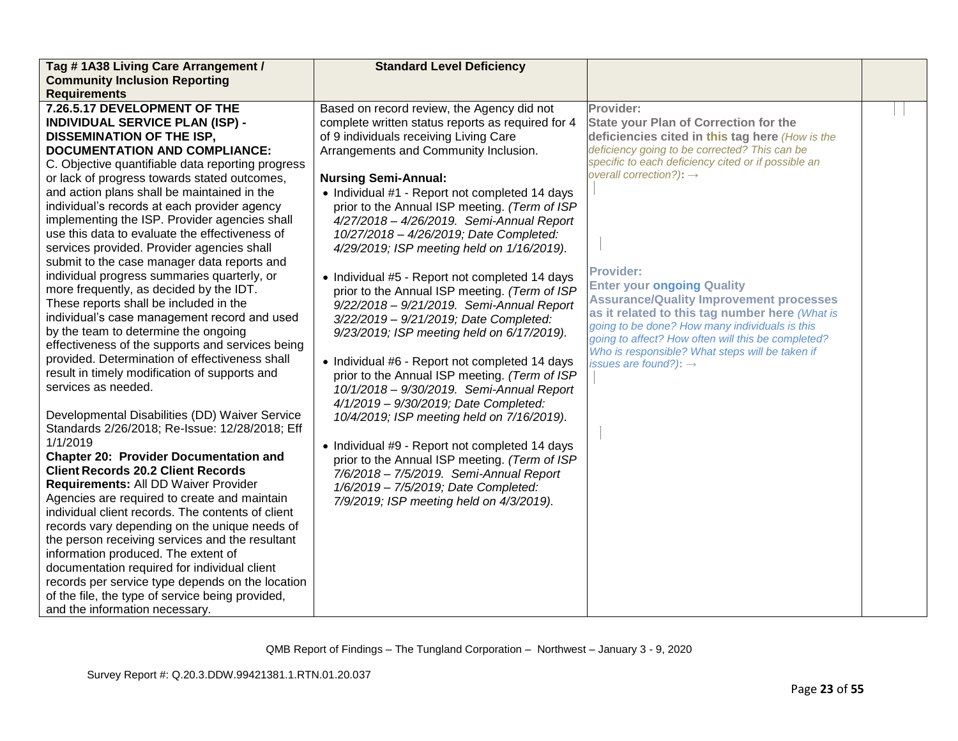| Tag #1A38 Living Care Arrangement /               | <b>Standard Level Deficiency</b>                  |                                                                                                  |  |
|---------------------------------------------------|---------------------------------------------------|--------------------------------------------------------------------------------------------------|--|
| <b>Community Inclusion Reporting</b>              |                                                   |                                                                                                  |  |
| <b>Requirements</b>                               |                                                   |                                                                                                  |  |
| 7.26.5.17 DEVELOPMENT OF THE                      | Based on record review, the Agency did not        | Provider:                                                                                        |  |
| <b>INDIVIDUAL SERVICE PLAN (ISP) -</b>            | complete written status reports as required for 4 | <b>State your Plan of Correction for the</b>                                                     |  |
| <b>DISSEMINATION OF THE ISP,</b>                  | of 9 individuals receiving Living Care            | deficiencies cited in this tag here (How is the                                                  |  |
| <b>DOCUMENTATION AND COMPLIANCE:</b>              | Arrangements and Community Inclusion.             | deficiency going to be corrected? This can be                                                    |  |
| C. Objective quantifiable data reporting progress |                                                   | specific to each deficiency cited or if possible an                                              |  |
| or lack of progress towards stated outcomes,      | <b>Nursing Semi-Annual:</b>                       | overall correction?): $\rightarrow$                                                              |  |
| and action plans shall be maintained in the       | • Individual #1 - Report not completed 14 days    |                                                                                                  |  |
| individual's records at each provider agency      | prior to the Annual ISP meeting. (Term of ISP     |                                                                                                  |  |
| implementing the ISP. Provider agencies shall     | 4/27/2018 - 4/26/2019. Semi-Annual Report         |                                                                                                  |  |
| use this data to evaluate the effectiveness of    | 10/27/2018 - 4/26/2019; Date Completed:           |                                                                                                  |  |
| services provided. Provider agencies shall        | 4/29/2019; ISP meeting held on 1/16/2019).        |                                                                                                  |  |
| submit to the case manager data reports and       |                                                   |                                                                                                  |  |
| individual progress summaries quarterly, or       | • Individual #5 - Report not completed 14 days    | <b>Provider:</b>                                                                                 |  |
| more frequently, as decided by the IDT.           | prior to the Annual ISP meeting. (Term of ISP     | <b>Enter your ongoing Quality</b>                                                                |  |
| These reports shall be included in the            | 9/22/2018 - 9/21/2019. Semi-Annual Report         | <b>Assurance/Quality Improvement processes</b>                                                   |  |
| individual's case management record and used      | 3/22/2019 - 9/21/2019; Date Completed:            | as it related to this tag number here (What is<br>going to be done? How many individuals is this |  |
| by the team to determine the ongoing              | 9/23/2019; ISP meeting held on 6/17/2019).        | going to affect? How often will this be completed?                                               |  |
| effectiveness of the supports and services being  |                                                   | Who is responsible? What steps will be taken if                                                  |  |
| provided. Determination of effectiveness shall    | • Individual #6 - Report not completed 14 days    | issues are found?): $\rightarrow$                                                                |  |
| result in timely modification of supports and     | prior to the Annual ISP meeting. (Term of ISP     |                                                                                                  |  |
| services as needed.                               | 10/1/2018 - 9/30/2019. Semi-Annual Report         |                                                                                                  |  |
|                                                   | 4/1/2019 - 9/30/2019; Date Completed:             |                                                                                                  |  |
| Developmental Disabilities (DD) Waiver Service    | 10/4/2019; ISP meeting held on 7/16/2019).        |                                                                                                  |  |
| Standards 2/26/2018; Re-Issue: 12/28/2018; Eff    |                                                   |                                                                                                  |  |
| 1/1/2019                                          | • Individual #9 - Report not completed 14 days    |                                                                                                  |  |
| <b>Chapter 20: Provider Documentation and</b>     | prior to the Annual ISP meeting. (Term of ISP     |                                                                                                  |  |
| <b>Client Records 20.2 Client Records</b>         | 7/6/2018 - 7/5/2019. Semi-Annual Report           |                                                                                                  |  |
| Requirements: All DD Waiver Provider              | 1/6/2019 - 7/5/2019; Date Completed:              |                                                                                                  |  |
| Agencies are required to create and maintain      | 7/9/2019; ISP meeting held on 4/3/2019).          |                                                                                                  |  |
| individual client records. The contents of client |                                                   |                                                                                                  |  |
| records vary depending on the unique needs of     |                                                   |                                                                                                  |  |
| the person receiving services and the resultant   |                                                   |                                                                                                  |  |
| information produced. The extent of               |                                                   |                                                                                                  |  |
| documentation required for individual client      |                                                   |                                                                                                  |  |
| records per service type depends on the location  |                                                   |                                                                                                  |  |
| of the file, the type of service being provided,  |                                                   |                                                                                                  |  |
| and the information necessary.                    |                                                   |                                                                                                  |  |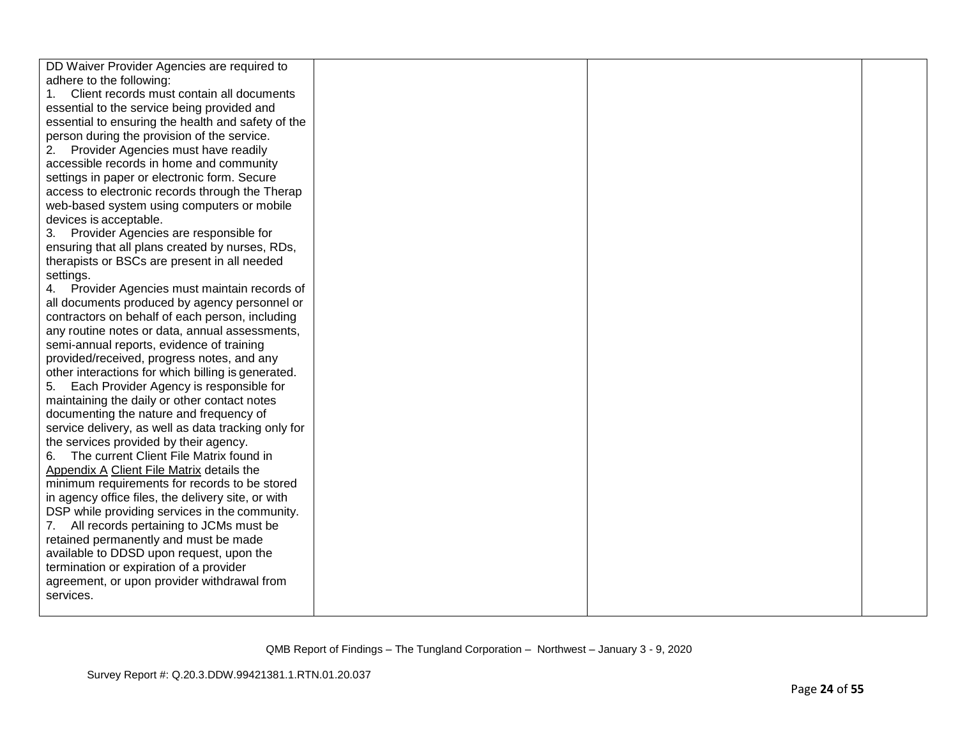| DD Waiver Provider Agencies are required to         |  |  |
|-----------------------------------------------------|--|--|
| adhere to the following:                            |  |  |
| Client records must contain all documents           |  |  |
| essential to the service being provided and         |  |  |
| essential to ensuring the health and safety of the  |  |  |
| person during the provision of the service.         |  |  |
| Provider Agencies must have readily<br>2.           |  |  |
| accessible records in home and community            |  |  |
| settings in paper or electronic form. Secure        |  |  |
| access to electronic records through the Therap     |  |  |
| web-based system using computers or mobile          |  |  |
| devices is acceptable.                              |  |  |
| 3. Provider Agencies are responsible for            |  |  |
| ensuring that all plans created by nurses, RDs,     |  |  |
| therapists or BSCs are present in all needed        |  |  |
| settings.                                           |  |  |
| 4. Provider Agencies must maintain records of       |  |  |
| all documents produced by agency personnel or       |  |  |
| contractors on behalf of each person, including     |  |  |
| any routine notes or data, annual assessments,      |  |  |
| semi-annual reports, evidence of training           |  |  |
| provided/received, progress notes, and any          |  |  |
| other interactions for which billing is generated.  |  |  |
| 5. Each Provider Agency is responsible for          |  |  |
| maintaining the daily or other contact notes        |  |  |
| documenting the nature and frequency of             |  |  |
| service delivery, as well as data tracking only for |  |  |
| the services provided by their agency.              |  |  |
| 6. The current Client File Matrix found in          |  |  |
| Appendix A Client File Matrix details the           |  |  |
| minimum requirements for records to be stored       |  |  |
| in agency office files, the delivery site, or with  |  |  |
| DSP while providing services in the community.      |  |  |
| 7. All records pertaining to JCMs must be           |  |  |
| retained permanently and must be made               |  |  |
| available to DDSD upon request, upon the            |  |  |
| termination or expiration of a provider             |  |  |
| agreement, or upon provider withdrawal from         |  |  |
| services.                                           |  |  |
|                                                     |  |  |
|                                                     |  |  |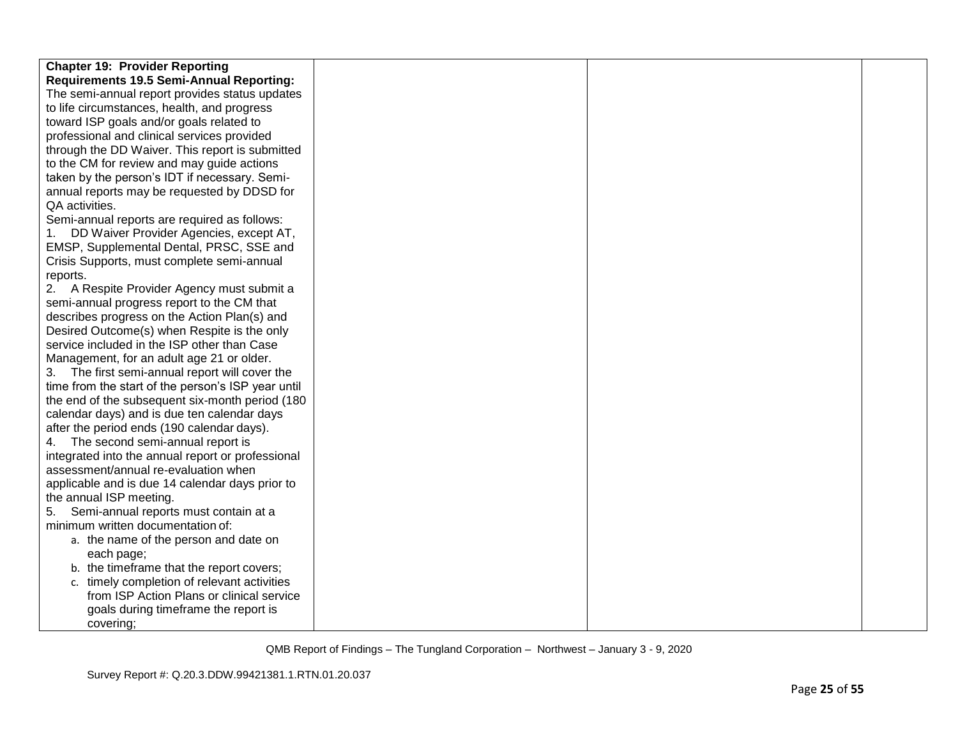| <b>Chapter 19: Provider Reporting</b>              |  |  |
|----------------------------------------------------|--|--|
| <b>Requirements 19.5 Semi-Annual Reporting:</b>    |  |  |
| The semi-annual report provides status updates     |  |  |
| to life circumstances, health, and progress        |  |  |
| toward ISP goals and/or goals related to           |  |  |
| professional and clinical services provided        |  |  |
| through the DD Waiver. This report is submitted    |  |  |
| to the CM for review and may guide actions         |  |  |
| taken by the person's IDT if necessary. Semi-      |  |  |
| annual reports may be requested by DDSD for        |  |  |
| QA activities.                                     |  |  |
| Semi-annual reports are required as follows:       |  |  |
| 1. DD Waiver Provider Agencies, except AT,         |  |  |
| EMSP, Supplemental Dental, PRSC, SSE and           |  |  |
| Crisis Supports, must complete semi-annual         |  |  |
| reports.                                           |  |  |
| 2. A Respite Provider Agency must submit a         |  |  |
| semi-annual progress report to the CM that         |  |  |
| describes progress on the Action Plan(s) and       |  |  |
| Desired Outcome(s) when Respite is the only        |  |  |
| service included in the ISP other than Case        |  |  |
| Management, for an adult age 21 or older.          |  |  |
| 3. The first semi-annual report will cover the     |  |  |
| time from the start of the person's ISP year until |  |  |
| the end of the subsequent six-month period (180)   |  |  |
| calendar days) and is due ten calendar days        |  |  |
| after the period ends (190 calendar days).         |  |  |
| 4. The second semi-annual report is                |  |  |
| integrated into the annual report or professional  |  |  |
| assessment/annual re-evaluation when               |  |  |
| applicable and is due 14 calendar days prior to    |  |  |
| the annual ISP meeting.                            |  |  |
| Semi-annual reports must contain at a<br>5.        |  |  |
| minimum written documentation of:                  |  |  |
| a. the name of the person and date on              |  |  |
| each page;                                         |  |  |
| b. the timeframe that the report covers;           |  |  |
| c. timely completion of relevant activities        |  |  |
| from ISP Action Plans or clinical service          |  |  |
| goals during timeframe the report is               |  |  |
| covering;                                          |  |  |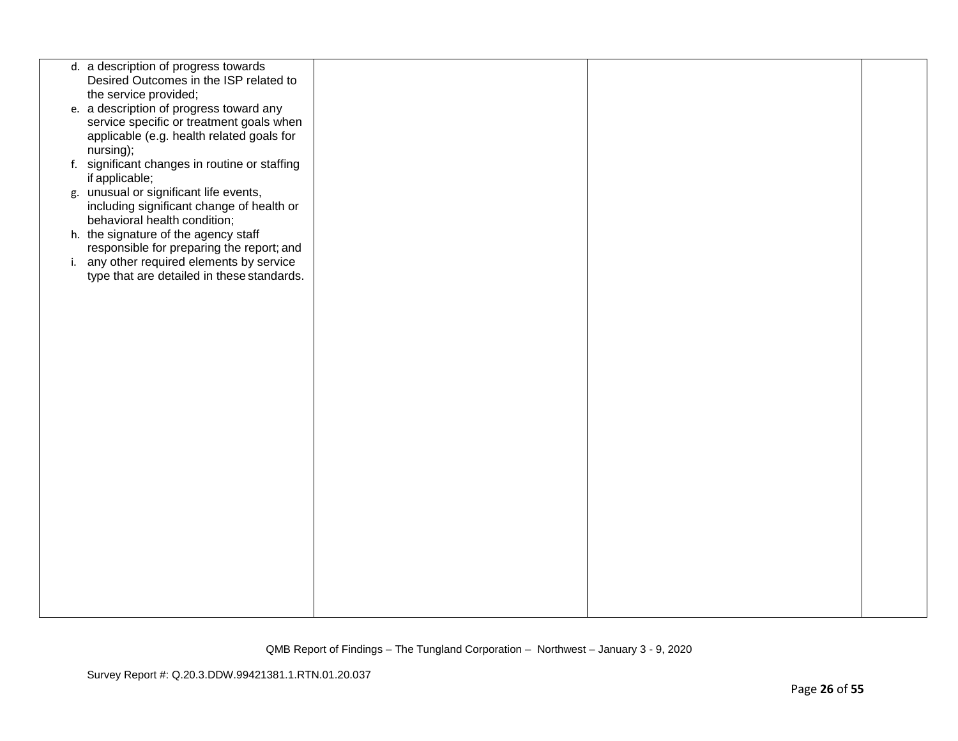| d. a description of progress towards                                                   |  |  |
|----------------------------------------------------------------------------------------|--|--|
| Desired Outcomes in the ISP related to                                                 |  |  |
| the service provided;<br>e. a description of progress toward any                       |  |  |
| service specific or treatment goals when                                               |  |  |
| applicable (e.g. health related goals for                                              |  |  |
| nursing);                                                                              |  |  |
| f. significant changes in routine or staffing                                          |  |  |
| if applicable;<br>g. unusual or significant life events,                               |  |  |
| including significant change of health or                                              |  |  |
| behavioral health condition;                                                           |  |  |
| h. the signature of the agency staff                                                   |  |  |
| responsible for preparing the report; and<br>i. any other required elements by service |  |  |
| type that are detailed in these standards.                                             |  |  |
|                                                                                        |  |  |
|                                                                                        |  |  |
|                                                                                        |  |  |
|                                                                                        |  |  |
|                                                                                        |  |  |
|                                                                                        |  |  |
|                                                                                        |  |  |
|                                                                                        |  |  |
|                                                                                        |  |  |
|                                                                                        |  |  |
|                                                                                        |  |  |
|                                                                                        |  |  |
|                                                                                        |  |  |
|                                                                                        |  |  |
|                                                                                        |  |  |
|                                                                                        |  |  |
|                                                                                        |  |  |
|                                                                                        |  |  |
|                                                                                        |  |  |
|                                                                                        |  |  |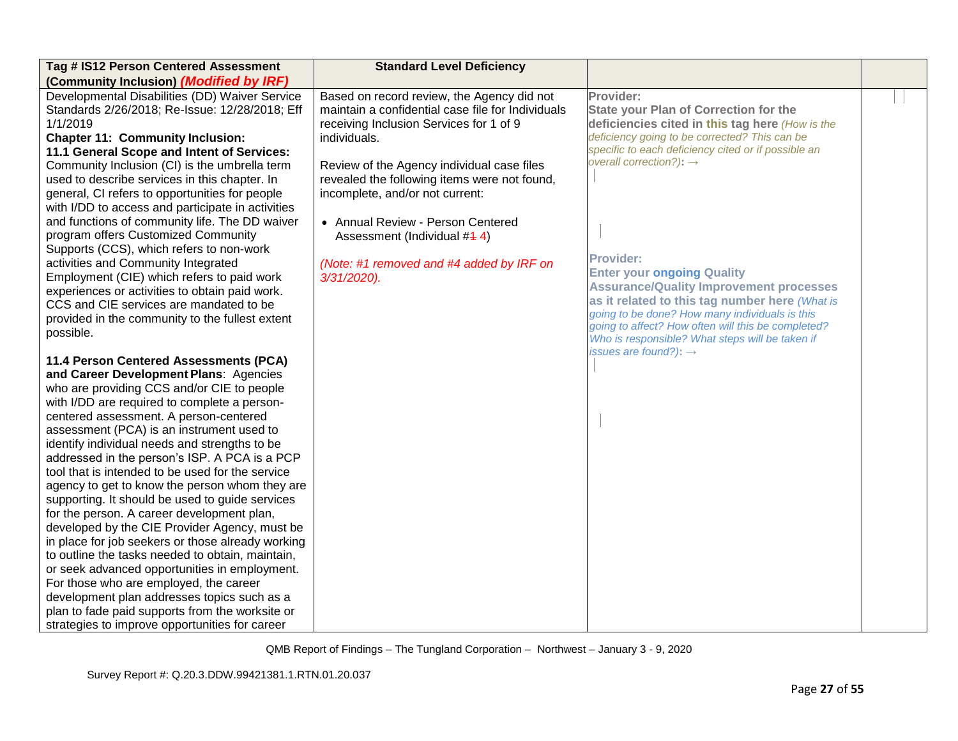| Tag # IS12 Person Centered Assessment             | <b>Standard Level Deficiency</b>                  |                                                                                      |  |
|---------------------------------------------------|---------------------------------------------------|--------------------------------------------------------------------------------------|--|
| (Community Inclusion) (Modified by IRF)           |                                                   |                                                                                      |  |
| Developmental Disabilities (DD) Waiver Service    | Based on record review, the Agency did not        | Provider:                                                                            |  |
| Standards 2/26/2018; Re-Issue: 12/28/2018; Eff    | maintain a confidential case file for Individuals | <b>State your Plan of Correction for the</b>                                         |  |
| 1/1/2019                                          | receiving Inclusion Services for 1 of 9           | deficiencies cited in this tag here (How is the                                      |  |
| <b>Chapter 11: Community Inclusion:</b>           | individuals.                                      | deficiency going to be corrected? This can be                                        |  |
| 11.1 General Scope and Intent of Services:        |                                                   | specific to each deficiency cited or if possible an                                  |  |
| Community Inclusion (CI) is the umbrella term     | Review of the Agency individual case files        | overall correction?): $\rightarrow$                                                  |  |
| used to describe services in this chapter. In     | revealed the following items were not found,      |                                                                                      |  |
| general, CI refers to opportunities for people    | incomplete, and/or not current:                   |                                                                                      |  |
| with I/DD to access and participate in activities |                                                   |                                                                                      |  |
| and functions of community life. The DD waiver    | • Annual Review - Person Centered                 |                                                                                      |  |
| program offers Customized Community               | Assessment (Individual #4 4)                      |                                                                                      |  |
| Supports (CCS), which refers to non-work          |                                                   |                                                                                      |  |
| activities and Community Integrated               | (Note: #1 removed and #4 added by IRF on          | <b>Provider:</b>                                                                     |  |
| Employment (CIE) which refers to paid work        | 3/31/2020).                                       | <b>Enter your ongoing Quality</b>                                                    |  |
| experiences or activities to obtain paid work.    |                                                   | <b>Assurance/Quality Improvement processes</b>                                       |  |
| CCS and CIE services are mandated to be           |                                                   | as it related to this tag number here (What is                                       |  |
| provided in the community to the fullest extent   |                                                   | going to be done? How many individuals is this                                       |  |
| possible.                                         |                                                   | going to affect? How often will this be completed?                                   |  |
|                                                   |                                                   | Who is responsible? What steps will be taken if<br>issues are found?): $\rightarrow$ |  |
| 11.4 Person Centered Assessments (PCA)            |                                                   |                                                                                      |  |
| and Career Development Plans: Agencies            |                                                   |                                                                                      |  |
| who are providing CCS and/or CIE to people        |                                                   |                                                                                      |  |
| with I/DD are required to complete a person-      |                                                   |                                                                                      |  |
| centered assessment. A person-centered            |                                                   |                                                                                      |  |
| assessment (PCA) is an instrument used to         |                                                   |                                                                                      |  |
| identify individual needs and strengths to be     |                                                   |                                                                                      |  |
| addressed in the person's ISP. A PCA is a PCP     |                                                   |                                                                                      |  |
| tool that is intended to be used for the service  |                                                   |                                                                                      |  |
| agency to get to know the person whom they are    |                                                   |                                                                                      |  |
| supporting. It should be used to guide services   |                                                   |                                                                                      |  |
| for the person. A career development plan,        |                                                   |                                                                                      |  |
| developed by the CIE Provider Agency, must be     |                                                   |                                                                                      |  |
| in place for job seekers or those already working |                                                   |                                                                                      |  |
| to outline the tasks needed to obtain, maintain,  |                                                   |                                                                                      |  |
| or seek advanced opportunities in employment.     |                                                   |                                                                                      |  |
| For those who are employed, the career            |                                                   |                                                                                      |  |
| development plan addresses topics such as a       |                                                   |                                                                                      |  |
| plan to fade paid supports from the worksite or   |                                                   |                                                                                      |  |
| strategies to improve opportunities for career    |                                                   |                                                                                      |  |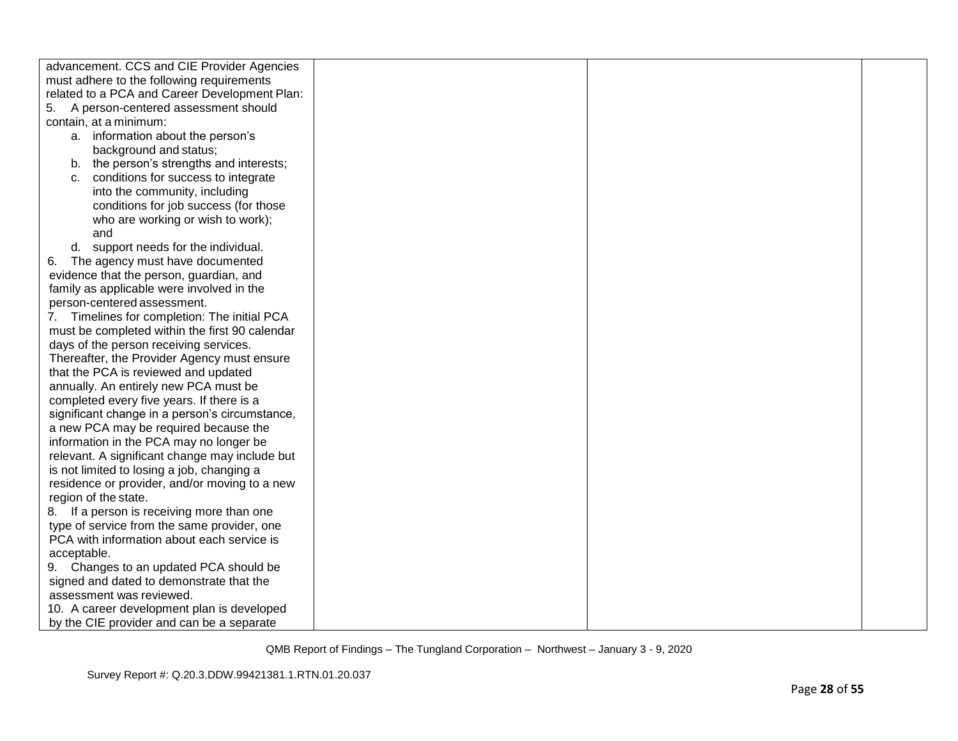| advancement. CCS and CIE Provider Agencies     |  |  |
|------------------------------------------------|--|--|
| must adhere to the following requirements      |  |  |
| related to a PCA and Career Development Plan:  |  |  |
| 5.<br>A person-centered assessment should      |  |  |
| contain, at a minimum:                         |  |  |
| a. information about the person's              |  |  |
| background and status;                         |  |  |
| b. the person's strengths and interests;       |  |  |
| conditions for success to integrate<br>C.      |  |  |
| into the community, including                  |  |  |
| conditions for job success (for those          |  |  |
| who are working or wish to work);              |  |  |
| and                                            |  |  |
| d. support needs for the individual.           |  |  |
| The agency must have documented<br>6.          |  |  |
| evidence that the person, guardian, and        |  |  |
| family as applicable were involved in the      |  |  |
| person-centered assessment.                    |  |  |
| 7. Timelines for completion: The initial PCA   |  |  |
| must be completed within the first 90 calendar |  |  |
| days of the person receiving services.         |  |  |
| Thereafter, the Provider Agency must ensure    |  |  |
| that the PCA is reviewed and updated           |  |  |
| annually. An entirely new PCA must be          |  |  |
| completed every five years. If there is a      |  |  |
| significant change in a person's circumstance, |  |  |
| a new PCA may be required because the          |  |  |
| information in the PCA may no longer be        |  |  |
| relevant. A significant change may include but |  |  |
| is not limited to losing a job, changing a     |  |  |
| residence or provider, and/or moving to a new  |  |  |
| region of the state.                           |  |  |
| 8. If a person is receiving more than one      |  |  |
| type of service from the same provider, one    |  |  |
| PCA with information about each service is     |  |  |
| acceptable.                                    |  |  |
| 9. Changes to an updated PCA should be         |  |  |
| signed and dated to demonstrate that the       |  |  |
| assessment was reviewed.                       |  |  |
| 10. A career development plan is developed     |  |  |
| by the CIE provider and can be a separate      |  |  |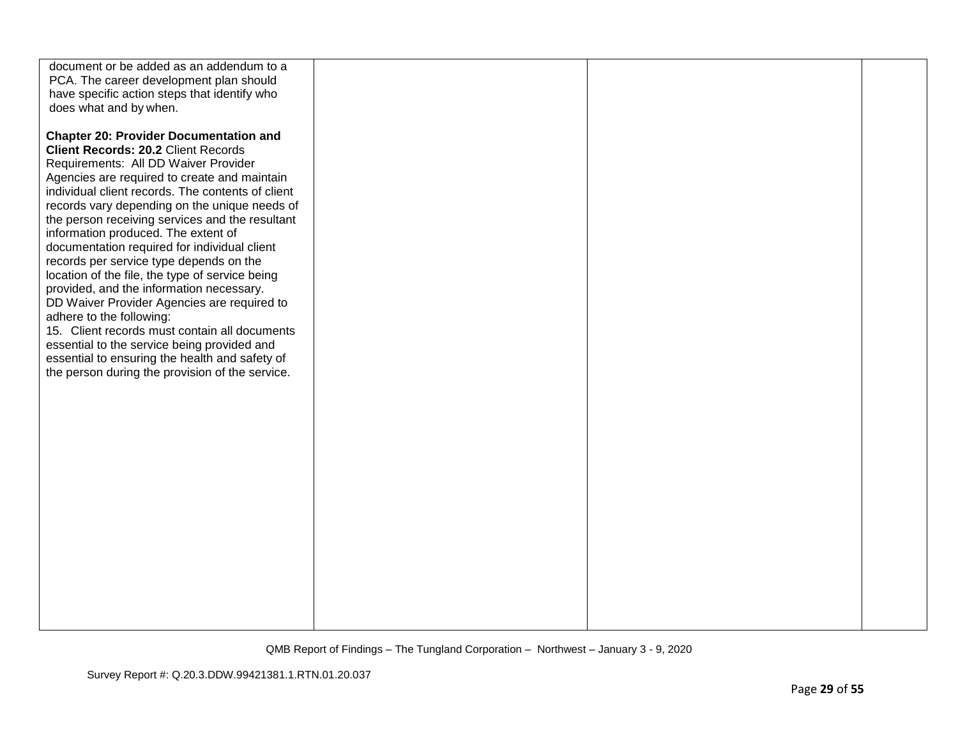| document or be added as an addendum to a<br>PCA. The career development plan should<br>have specific action steps that identify who<br>does what and by when.                                                                                                                                                                                                                                                                                                                                                                                                                                                                                                                                                                                                                                                                                                 |  |  |
|---------------------------------------------------------------------------------------------------------------------------------------------------------------------------------------------------------------------------------------------------------------------------------------------------------------------------------------------------------------------------------------------------------------------------------------------------------------------------------------------------------------------------------------------------------------------------------------------------------------------------------------------------------------------------------------------------------------------------------------------------------------------------------------------------------------------------------------------------------------|--|--|
| <b>Chapter 20: Provider Documentation and</b><br><b>Client Records: 20.2 Client Records</b><br>Requirements: All DD Waiver Provider<br>Agencies are required to create and maintain<br>individual client records. The contents of client<br>records vary depending on the unique needs of<br>the person receiving services and the resultant<br>information produced. The extent of<br>documentation required for individual client<br>records per service type depends on the<br>location of the file, the type of service being<br>provided, and the information necessary.<br>DD Waiver Provider Agencies are required to<br>adhere to the following:<br>15. Client records must contain all documents<br>essential to the service being provided and<br>essential to ensuring the health and safety of<br>the person during the provision of the service. |  |  |
|                                                                                                                                                                                                                                                                                                                                                                                                                                                                                                                                                                                                                                                                                                                                                                                                                                                               |  |  |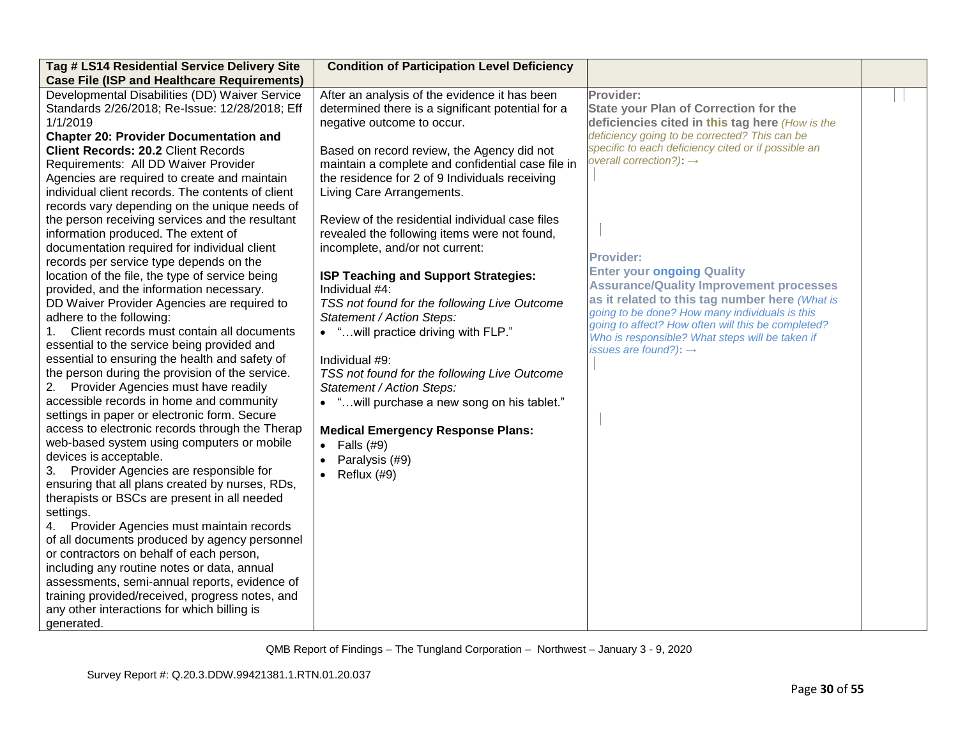| Tag # LS14 Residential Service Delivery Site<br><b>Case File (ISP and Healthcare Requirements)</b>                                                                                                                                                                                                                                                                                                                                                                                                                                                                                                                                                                                                                                                                                                                                                                                                                                                                                                                                                                                                                                                                                                                                                                                                                                                                                                                                                                                                                                                                                                                                                                                                                                                                   | <b>Condition of Participation Level Deficiency</b>                                                                                                                                                                                                                                                                                                                                                                                                                                                                                                                                                                                                                                                                                                                                                                                                                                            |                                                                                                                                                                                                                                                                                                                                                                                                                                                                                                                                                                                                                          |  |
|----------------------------------------------------------------------------------------------------------------------------------------------------------------------------------------------------------------------------------------------------------------------------------------------------------------------------------------------------------------------------------------------------------------------------------------------------------------------------------------------------------------------------------------------------------------------------------------------------------------------------------------------------------------------------------------------------------------------------------------------------------------------------------------------------------------------------------------------------------------------------------------------------------------------------------------------------------------------------------------------------------------------------------------------------------------------------------------------------------------------------------------------------------------------------------------------------------------------------------------------------------------------------------------------------------------------------------------------------------------------------------------------------------------------------------------------------------------------------------------------------------------------------------------------------------------------------------------------------------------------------------------------------------------------------------------------------------------------------------------------------------------------|-----------------------------------------------------------------------------------------------------------------------------------------------------------------------------------------------------------------------------------------------------------------------------------------------------------------------------------------------------------------------------------------------------------------------------------------------------------------------------------------------------------------------------------------------------------------------------------------------------------------------------------------------------------------------------------------------------------------------------------------------------------------------------------------------------------------------------------------------------------------------------------------------|--------------------------------------------------------------------------------------------------------------------------------------------------------------------------------------------------------------------------------------------------------------------------------------------------------------------------------------------------------------------------------------------------------------------------------------------------------------------------------------------------------------------------------------------------------------------------------------------------------------------------|--|
| Developmental Disabilities (DD) Waiver Service<br>Standards 2/26/2018; Re-Issue: 12/28/2018; Eff<br>1/1/2019<br><b>Chapter 20: Provider Documentation and</b><br><b>Client Records: 20.2 Client Records</b><br>Requirements: All DD Waiver Provider<br>Agencies are required to create and maintain<br>individual client records. The contents of client<br>records vary depending on the unique needs of<br>the person receiving services and the resultant<br>information produced. The extent of<br>documentation required for individual client<br>records per service type depends on the<br>location of the file, the type of service being<br>provided, and the information necessary.<br>DD Waiver Provider Agencies are required to<br>adhere to the following:<br>Client records must contain all documents<br>essential to the service being provided and<br>essential to ensuring the health and safety of<br>the person during the provision of the service.<br>Provider Agencies must have readily<br>2.<br>accessible records in home and community<br>settings in paper or electronic form. Secure<br>access to electronic records through the Therap<br>web-based system using computers or mobile<br>devices is acceptable.<br>3. Provider Agencies are responsible for<br>ensuring that all plans created by nurses, RDs,<br>therapists or BSCs are present in all needed<br>settings.<br>4. Provider Agencies must maintain records<br>of all documents produced by agency personnel<br>or contractors on behalf of each person,<br>including any routine notes or data, annual<br>assessments, semi-annual reports, evidence of<br>training provided/received, progress notes, and<br>any other interactions for which billing is<br>generated. | After an analysis of the evidence it has been<br>determined there is a significant potential for a<br>negative outcome to occur.<br>Based on record review, the Agency did not<br>maintain a complete and confidential case file in<br>the residence for 2 of 9 Individuals receiving<br>Living Care Arrangements.<br>Review of the residential individual case files<br>revealed the following items were not found,<br>incomplete, and/or not current:<br>ISP Teaching and Support Strategies:<br>Individual #4:<br>TSS not found for the following Live Outcome<br>Statement / Action Steps:<br>• "will practice driving with FLP."<br>Individual #9:<br>TSS not found for the following Live Outcome<br>Statement / Action Steps:<br>• " will purchase a new song on his tablet."<br><b>Medical Emergency Response Plans:</b><br>Falls (#9)<br>$\bullet$<br>Paralysis (#9)<br>Reflux (#9) | Provider:<br><b>State your Plan of Correction for the</b><br>deficiencies cited in this tag here (How is the<br>deficiency going to be corrected? This can be<br>specific to each deficiency cited or if possible an<br>overall correction?): $\rightarrow$<br><b>Provider:</b><br><b>Enter your ongoing Quality</b><br><b>Assurance/Quality Improvement processes</b><br>as it related to this tag number here (What is<br>going to be done? How many individuals is this<br>going to affect? How often will this be completed?<br>Who is responsible? What steps will be taken if<br>issues are found?): $\rightarrow$ |  |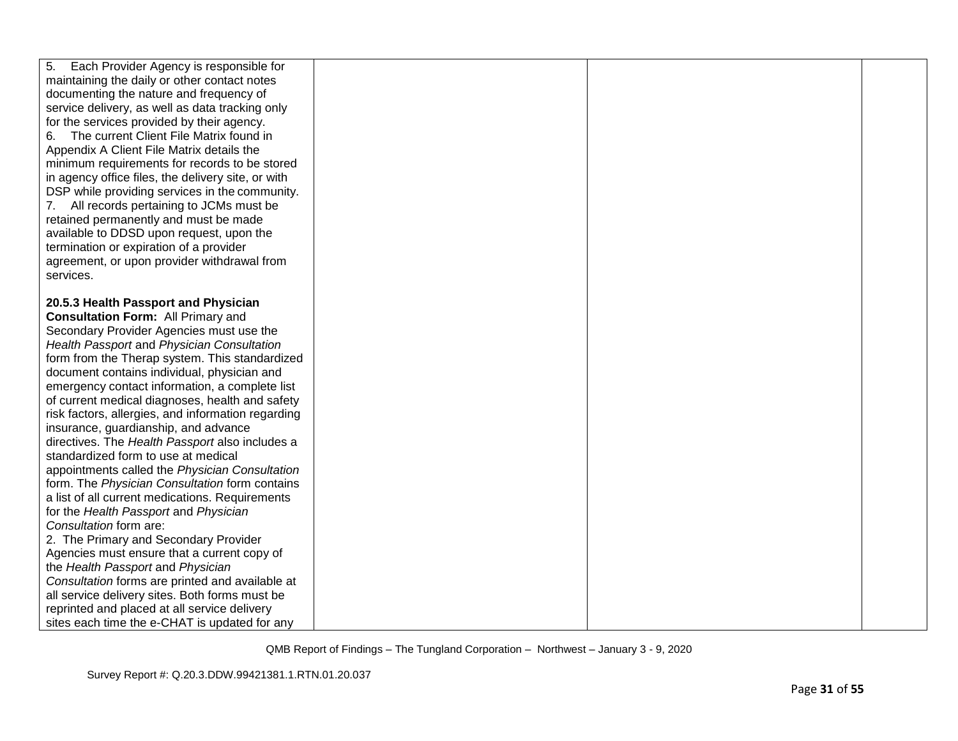| 5.<br>Each Provider Agency is responsible for      |  |  |
|----------------------------------------------------|--|--|
| maintaining the daily or other contact notes       |  |  |
| documenting the nature and frequency of            |  |  |
| service delivery, as well as data tracking only    |  |  |
| for the services provided by their agency.         |  |  |
| The current Client File Matrix found in<br>6.      |  |  |
| Appendix A Client File Matrix details the          |  |  |
| minimum requirements for records to be stored      |  |  |
| in agency office files, the delivery site, or with |  |  |
| DSP while providing services in the community.     |  |  |
| 7. All records pertaining to JCMs must be          |  |  |
| retained permanently and must be made              |  |  |
| available to DDSD upon request, upon the           |  |  |
| termination or expiration of a provider            |  |  |
| agreement, or upon provider withdrawal from        |  |  |
| services.                                          |  |  |
|                                                    |  |  |
| 20.5.3 Health Passport and Physician               |  |  |
| <b>Consultation Form: All Primary and</b>          |  |  |
| Secondary Provider Agencies must use the           |  |  |
| Health Passport and Physician Consultation         |  |  |
| form from the Therap system. This standardized     |  |  |
| document contains individual, physician and        |  |  |
| emergency contact information, a complete list     |  |  |
| of current medical diagnoses, health and safety    |  |  |
| risk factors, allergies, and information regarding |  |  |
| insurance, guardianship, and advance               |  |  |
| directives. The Health Passport also includes a    |  |  |
| standardized form to use at medical                |  |  |
| appointments called the Physician Consultation     |  |  |
| form. The Physician Consultation form contains     |  |  |
| a list of all current medications. Requirements    |  |  |
| for the Health Passport and Physician              |  |  |
| Consultation form are:                             |  |  |
| 2. The Primary and Secondary Provider              |  |  |
| Agencies must ensure that a current copy of        |  |  |
| the Health Passport and Physician                  |  |  |
| Consultation forms are printed and available at    |  |  |
| all service delivery sites. Both forms must be     |  |  |
| reprinted and placed at all service delivery       |  |  |
| sites each time the e-CHAT is updated for any      |  |  |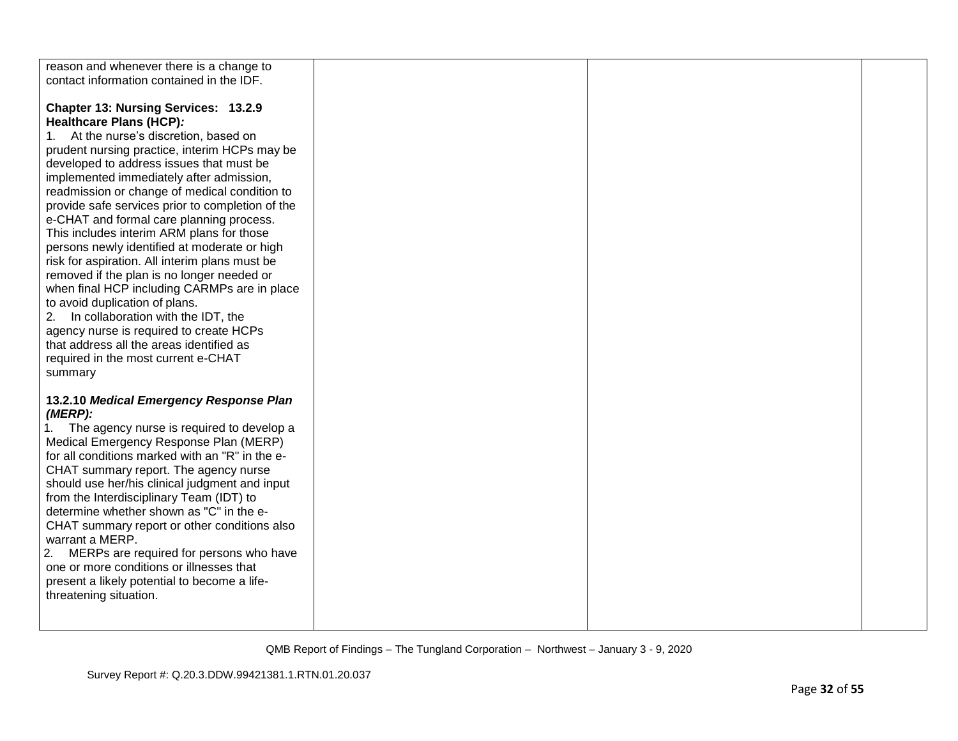| reason and whenever there is a change to<br>contact information contained in the IDF.                                                                                                                                                                                                                                                                                                                                                                                                                                                                                                                                                                                                                                                                                                                                                                                             |  |  |
|-----------------------------------------------------------------------------------------------------------------------------------------------------------------------------------------------------------------------------------------------------------------------------------------------------------------------------------------------------------------------------------------------------------------------------------------------------------------------------------------------------------------------------------------------------------------------------------------------------------------------------------------------------------------------------------------------------------------------------------------------------------------------------------------------------------------------------------------------------------------------------------|--|--|
| <b>Chapter 13: Nursing Services: 13.2.9</b><br>Healthcare Plans (HCP):<br>At the nurse's discretion, based on<br>1.<br>prudent nursing practice, interim HCPs may be<br>developed to address issues that must be<br>implemented immediately after admission,<br>readmission or change of medical condition to<br>provide safe services prior to completion of the<br>e-CHAT and formal care planning process.<br>This includes interim ARM plans for those<br>persons newly identified at moderate or high<br>risk for aspiration. All interim plans must be<br>removed if the plan is no longer needed or<br>when final HCP including CARMPs are in place<br>to avoid duplication of plans.<br>In collaboration with the IDT, the<br>2.<br>agency nurse is required to create HCPs<br>that address all the areas identified as<br>required in the most current e-CHAT<br>summary |  |  |
| 13.2.10 Medical Emergency Response Plan<br>(MERP):<br>The agency nurse is required to develop a<br>Medical Emergency Response Plan (MERP)<br>for all conditions marked with an "R" in the e-<br>CHAT summary report. The agency nurse<br>should use her/his clinical judgment and input<br>from the Interdisciplinary Team (IDT) to<br>determine whether shown as "C" in the e-<br>CHAT summary report or other conditions also<br>warrant a MERP.<br>2. MERPs are required for persons who have<br>one or more conditions or illnesses that<br>present a likely potential to become a life-<br>threatening situation.                                                                                                                                                                                                                                                            |  |  |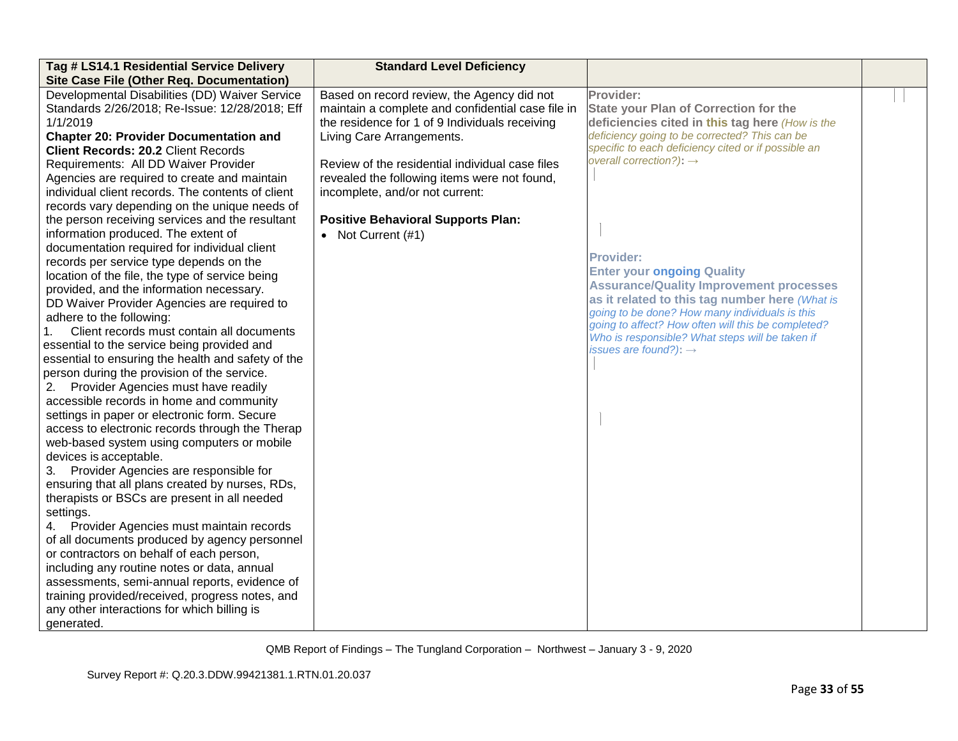| Tag # LS14.1 Residential Service Delivery<br><b>Site Case File (Other Req. Documentation)</b> | <b>Standard Level Deficiency</b>                  |                                                                                     |  |
|-----------------------------------------------------------------------------------------------|---------------------------------------------------|-------------------------------------------------------------------------------------|--|
| Developmental Disabilities (DD) Waiver Service                                                | Based on record review, the Agency did not        | Provider:                                                                           |  |
| Standards 2/26/2018; Re-Issue: 12/28/2018; Eff                                                | maintain a complete and confidential case file in | <b>State your Plan of Correction for the</b>                                        |  |
| 1/1/2019                                                                                      | the residence for 1 of 9 Individuals receiving    | deficiencies cited in this tag here (How is the                                     |  |
| <b>Chapter 20: Provider Documentation and</b>                                                 | Living Care Arrangements.                         | deficiency going to be corrected? This can be                                       |  |
| <b>Client Records: 20.2 Client Records</b>                                                    |                                                   | specific to each deficiency cited or if possible an                                 |  |
| Requirements: All DD Waiver Provider                                                          | Review of the residential individual case files   | overall correction?): $\rightarrow$                                                 |  |
| Agencies are required to create and maintain                                                  | revealed the following items were not found,      |                                                                                     |  |
| individual client records. The contents of client                                             | incomplete, and/or not current:                   |                                                                                     |  |
| records vary depending on the unique needs of                                                 |                                                   |                                                                                     |  |
| the person receiving services and the resultant                                               | <b>Positive Behavioral Supports Plan:</b>         |                                                                                     |  |
| information produced. The extent of                                                           | • Not Current $(#1)$                              |                                                                                     |  |
| documentation required for individual client                                                  |                                                   | <b>Provider:</b>                                                                    |  |
| records per service type depends on the                                                       |                                                   |                                                                                     |  |
| location of the file, the type of service being                                               |                                                   | <b>Enter your ongoing Quality</b><br><b>Assurance/Quality Improvement processes</b> |  |
| provided, and the information necessary.                                                      |                                                   | as it related to this tag number here (What is                                      |  |
| DD Waiver Provider Agencies are required to                                                   |                                                   | going to be done? How many individuals is this                                      |  |
| adhere to the following:                                                                      |                                                   | going to affect? How often will this be completed?                                  |  |
| Client records must contain all documents<br>1.                                               |                                                   | Who is responsible? What steps will be taken if                                     |  |
| essential to the service being provided and                                                   |                                                   | issues are found?): $\rightarrow$                                                   |  |
| essential to ensuring the health and safety of the                                            |                                                   |                                                                                     |  |
| person during the provision of the service.<br>Provider Agencies must have readily<br>2.      |                                                   |                                                                                     |  |
| accessible records in home and community                                                      |                                                   |                                                                                     |  |
| settings in paper or electronic form. Secure                                                  |                                                   |                                                                                     |  |
| access to electronic records through the Therap                                               |                                                   |                                                                                     |  |
| web-based system using computers or mobile                                                    |                                                   |                                                                                     |  |
| devices is acceptable.                                                                        |                                                   |                                                                                     |  |
| 3. Provider Agencies are responsible for                                                      |                                                   |                                                                                     |  |
| ensuring that all plans created by nurses, RDs,                                               |                                                   |                                                                                     |  |
| therapists or BSCs are present in all needed                                                  |                                                   |                                                                                     |  |
| settings.                                                                                     |                                                   |                                                                                     |  |
| 4. Provider Agencies must maintain records                                                    |                                                   |                                                                                     |  |
| of all documents produced by agency personnel                                                 |                                                   |                                                                                     |  |
| or contractors on behalf of each person,                                                      |                                                   |                                                                                     |  |
| including any routine notes or data, annual                                                   |                                                   |                                                                                     |  |
| assessments, semi-annual reports, evidence of                                                 |                                                   |                                                                                     |  |
| training provided/received, progress notes, and                                               |                                                   |                                                                                     |  |
| any other interactions for which billing is                                                   |                                                   |                                                                                     |  |
| generated.                                                                                    |                                                   |                                                                                     |  |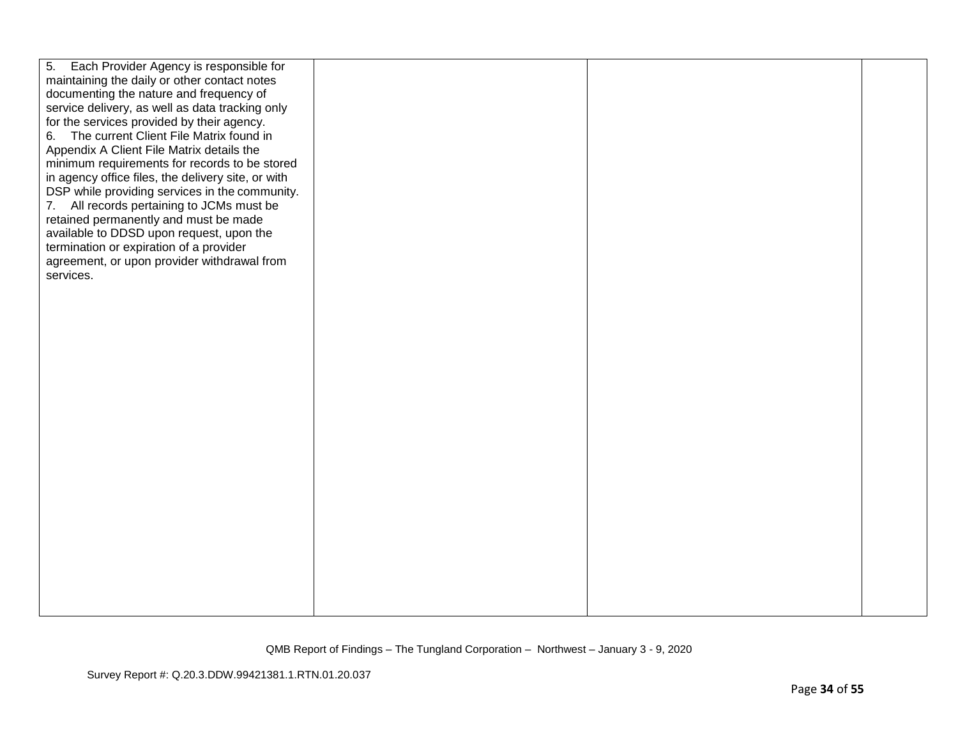| 5. Each Provider Agency is responsible for         |  |  |
|----------------------------------------------------|--|--|
| maintaining the daily or other contact notes       |  |  |
| documenting the nature and frequency of            |  |  |
| service delivery, as well as data tracking only    |  |  |
| for the services provided by their agency.         |  |  |
| 6. The current Client File Matrix found in         |  |  |
| Appendix A Client File Matrix details the          |  |  |
| minimum requirements for records to be stored      |  |  |
| in agency office files, the delivery site, or with |  |  |
| DSP while providing services in the community.     |  |  |
| 7. All records pertaining to JCMs must be          |  |  |
| retained permanently and must be made              |  |  |
| available to DDSD upon request, upon the           |  |  |
| termination or expiration of a provider            |  |  |
| agreement, or upon provider withdrawal from        |  |  |
| services.                                          |  |  |
|                                                    |  |  |
|                                                    |  |  |
|                                                    |  |  |
|                                                    |  |  |
|                                                    |  |  |
|                                                    |  |  |
|                                                    |  |  |
|                                                    |  |  |
|                                                    |  |  |
|                                                    |  |  |
|                                                    |  |  |
|                                                    |  |  |
|                                                    |  |  |
|                                                    |  |  |
|                                                    |  |  |
|                                                    |  |  |
|                                                    |  |  |
|                                                    |  |  |
|                                                    |  |  |
|                                                    |  |  |
|                                                    |  |  |
|                                                    |  |  |
|                                                    |  |  |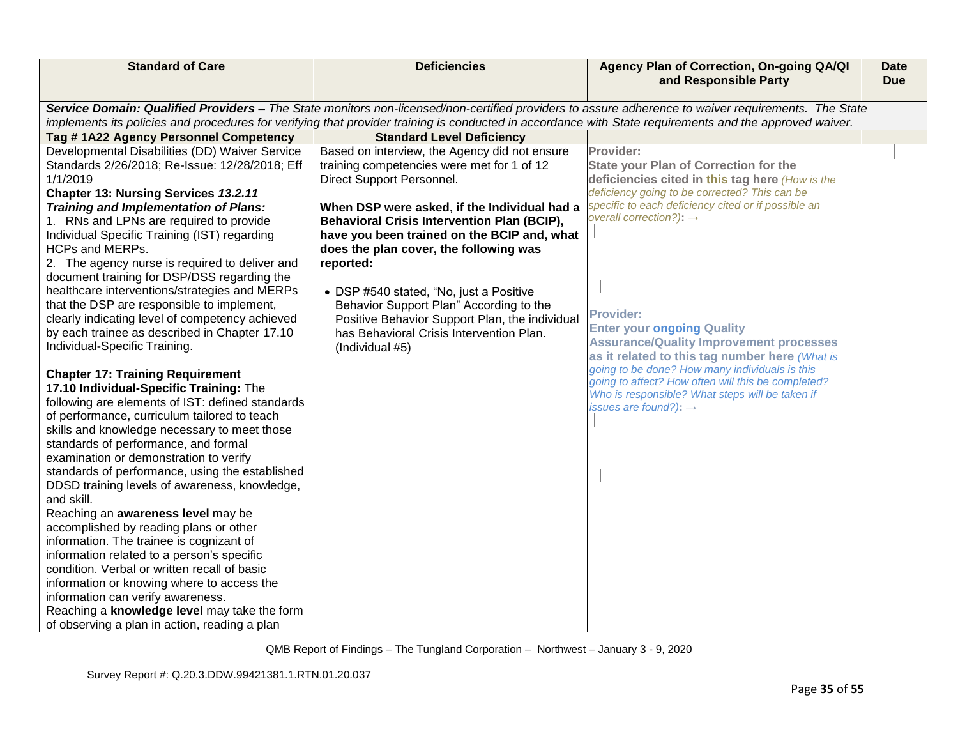| <b>Standard of Care</b>                                                                                                                                                                                                                                                                                        | <b>Deficiencies</b>                                | Agency Plan of Correction, On-going QA/QI<br>and Responsible Party | <b>Date</b><br><b>Due</b> |  |
|----------------------------------------------------------------------------------------------------------------------------------------------------------------------------------------------------------------------------------------------------------------------------------------------------------------|----------------------------------------------------|--------------------------------------------------------------------|---------------------------|--|
| Service Domain: Qualified Providers - The State monitors non-licensed/non-certified providers to assure adherence to waiver requirements. The State<br>implements its policies and procedures for verifying that provider training is conducted in accordance with State requirements and the approved waiver. |                                                    |                                                                    |                           |  |
| Tag #1A22 Agency Personnel Competency                                                                                                                                                                                                                                                                          | <b>Standard Level Deficiency</b>                   |                                                                    |                           |  |
| Developmental Disabilities (DD) Waiver Service                                                                                                                                                                                                                                                                 | Based on interview, the Agency did not ensure      | Provider:                                                          |                           |  |
| Standards 2/26/2018; Re-Issue: 12/28/2018; Eff                                                                                                                                                                                                                                                                 | training competencies were met for 1 of 12         | <b>State your Plan of Correction for the</b>                       |                           |  |
| 1/1/2019                                                                                                                                                                                                                                                                                                       | Direct Support Personnel.                          | deficiencies cited in this tag here (How is the                    |                           |  |
| Chapter 13: Nursing Services 13.2.11                                                                                                                                                                                                                                                                           |                                                    | deficiency going to be corrected? This can be                      |                           |  |
| Training and Implementation of Plans:                                                                                                                                                                                                                                                                          | When DSP were asked, if the Individual had a       | specific to each deficiency cited or if possible an                |                           |  |
| 1. RNs and LPNs are required to provide                                                                                                                                                                                                                                                                        | <b>Behavioral Crisis Intervention Plan (BCIP),</b> | overall correction?): $\rightarrow$                                |                           |  |
| Individual Specific Training (IST) regarding                                                                                                                                                                                                                                                                   | have you been trained on the BCIP and, what        |                                                                    |                           |  |
| HCPs and MERPs.                                                                                                                                                                                                                                                                                                | does the plan cover, the following was             |                                                                    |                           |  |
| 2. The agency nurse is required to deliver and                                                                                                                                                                                                                                                                 | reported:                                          |                                                                    |                           |  |
| document training for DSP/DSS regarding the                                                                                                                                                                                                                                                                    |                                                    |                                                                    |                           |  |
| healthcare interventions/strategies and MERPs                                                                                                                                                                                                                                                                  | • DSP #540 stated, "No, just a Positive            |                                                                    |                           |  |
| that the DSP are responsible to implement,                                                                                                                                                                                                                                                                     | Behavior Support Plan" According to the            | <b>Provider:</b>                                                   |                           |  |
| clearly indicating level of competency achieved                                                                                                                                                                                                                                                                | Positive Behavior Support Plan, the individual     | <b>Enter your ongoing Quality</b>                                  |                           |  |
| by each trainee as described in Chapter 17.10                                                                                                                                                                                                                                                                  | has Behavioral Crisis Intervention Plan.           | <b>Assurance/Quality Improvement processes</b>                     |                           |  |
| Individual-Specific Training.                                                                                                                                                                                                                                                                                  | (Individual #5)                                    | as it related to this tag number here (What is                     |                           |  |
|                                                                                                                                                                                                                                                                                                                |                                                    | going to be done? How many individuals is this                     |                           |  |
| <b>Chapter 17: Training Requirement</b>                                                                                                                                                                                                                                                                        |                                                    | going to affect? How often will this be completed?                 |                           |  |
| 17.10 Individual-Specific Training: The<br>following are elements of IST: defined standards                                                                                                                                                                                                                    |                                                    | Who is responsible? What steps will be taken if                    |                           |  |
| of performance, curriculum tailored to teach                                                                                                                                                                                                                                                                   |                                                    | issues are found?): $\rightarrow$                                  |                           |  |
| skills and knowledge necessary to meet those                                                                                                                                                                                                                                                                   |                                                    |                                                                    |                           |  |
| standards of performance, and formal                                                                                                                                                                                                                                                                           |                                                    |                                                                    |                           |  |
| examination or demonstration to verify                                                                                                                                                                                                                                                                         |                                                    |                                                                    |                           |  |
| standards of performance, using the established                                                                                                                                                                                                                                                                |                                                    |                                                                    |                           |  |
| DDSD training levels of awareness, knowledge,                                                                                                                                                                                                                                                                  |                                                    |                                                                    |                           |  |
| and skill.                                                                                                                                                                                                                                                                                                     |                                                    |                                                                    |                           |  |
| Reaching an awareness level may be                                                                                                                                                                                                                                                                             |                                                    |                                                                    |                           |  |
| accomplished by reading plans or other                                                                                                                                                                                                                                                                         |                                                    |                                                                    |                           |  |
| information. The trainee is cognizant of                                                                                                                                                                                                                                                                       |                                                    |                                                                    |                           |  |
| information related to a person's specific                                                                                                                                                                                                                                                                     |                                                    |                                                                    |                           |  |
| condition. Verbal or written recall of basic                                                                                                                                                                                                                                                                   |                                                    |                                                                    |                           |  |
| information or knowing where to access the                                                                                                                                                                                                                                                                     |                                                    |                                                                    |                           |  |
| information can verify awareness.                                                                                                                                                                                                                                                                              |                                                    |                                                                    |                           |  |
| Reaching a knowledge level may take the form                                                                                                                                                                                                                                                                   |                                                    |                                                                    |                           |  |
| of observing a plan in action, reading a plan                                                                                                                                                                                                                                                                  |                                                    |                                                                    |                           |  |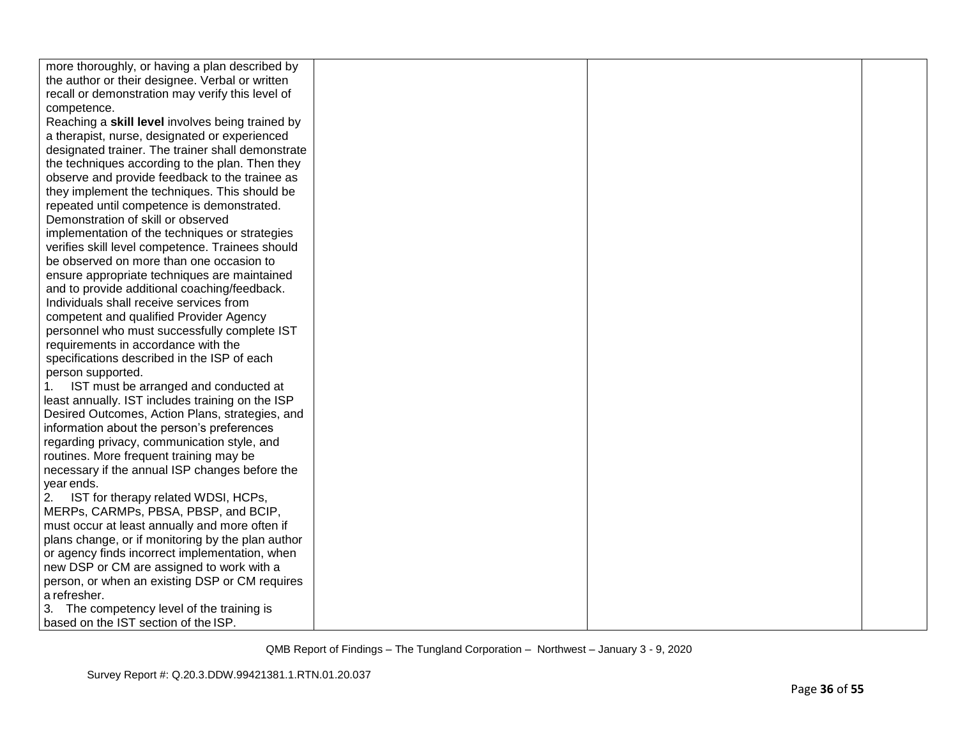| more thoroughly, or having a plan described by    |  |  |
|---------------------------------------------------|--|--|
| the author or their designee. Verbal or written   |  |  |
| recall or demonstration may verify this level of  |  |  |
| competence.                                       |  |  |
| Reaching a skill level involves being trained by  |  |  |
| a therapist, nurse, designated or experienced     |  |  |
| designated trainer. The trainer shall demonstrate |  |  |
| the techniques according to the plan. Then they   |  |  |
| observe and provide feedback to the trainee as    |  |  |
| they implement the techniques. This should be     |  |  |
| repeated until competence is demonstrated.        |  |  |
| Demonstration of skill or observed                |  |  |
| implementation of the techniques or strategies    |  |  |
| verifies skill level competence. Trainees should  |  |  |
| be observed on more than one occasion to          |  |  |
| ensure appropriate techniques are maintained      |  |  |
| and to provide additional coaching/feedback.      |  |  |
| Individuals shall receive services from           |  |  |
| competent and qualified Provider Agency           |  |  |
| personnel who must successfully complete IST      |  |  |
| requirements in accordance with the               |  |  |
| specifications described in the ISP of each       |  |  |
| person supported.                                 |  |  |
| IST must be arranged and conducted at             |  |  |
| least annually. IST includes training on the ISP  |  |  |
| Desired Outcomes, Action Plans, strategies, and   |  |  |
| information about the person's preferences        |  |  |
| regarding privacy, communication style, and       |  |  |
| routines. More frequent training may be           |  |  |
| necessary if the annual ISP changes before the    |  |  |
| year ends.                                        |  |  |
| 2. IST for therapy related WDSI, HCPs,            |  |  |
| MERPs, CARMPs, PBSA, PBSP, and BCIP,              |  |  |
| must occur at least annually and more often if    |  |  |
| plans change, or if monitoring by the plan author |  |  |
| or agency finds incorrect implementation, when    |  |  |
| new DSP or CM are assigned to work with a         |  |  |
| person, or when an existing DSP or CM requires    |  |  |
| a refresher.                                      |  |  |
| 3. The competency level of the training is        |  |  |
| based on the IST section of the ISP.              |  |  |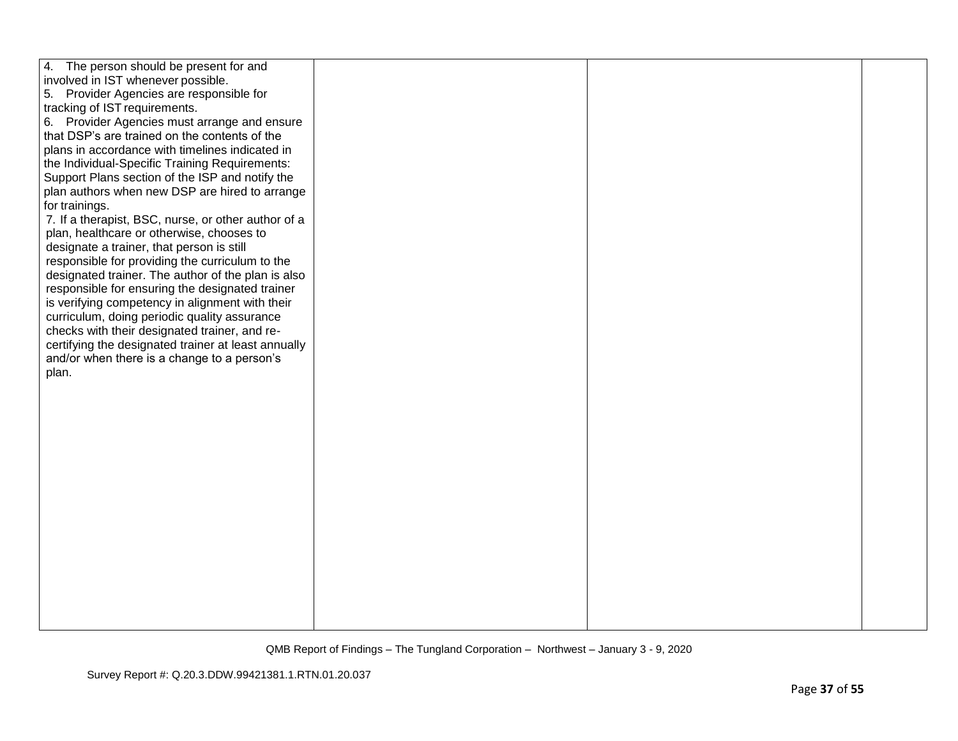| 4. The person should be present for and             |  |  |
|-----------------------------------------------------|--|--|
| involved in IST whenever possible.                  |  |  |
| 5. Provider Agencies are responsible for            |  |  |
| tracking of IST requirements.                       |  |  |
| 6. Provider Agencies must arrange and ensure        |  |  |
| that DSP's are trained on the contents of the       |  |  |
| plans in accordance with timelines indicated in     |  |  |
| the Individual-Specific Training Requirements:      |  |  |
| Support Plans section of the ISP and notify the     |  |  |
| plan authors when new DSP are hired to arrange      |  |  |
| for trainings.                                      |  |  |
| 7. If a therapist, BSC, nurse, or other author of a |  |  |
| plan, healthcare or otherwise, chooses to           |  |  |
| designate a trainer, that person is still           |  |  |
| responsible for providing the curriculum to the     |  |  |
| designated trainer. The author of the plan is also  |  |  |
| responsible for ensuring the designated trainer     |  |  |
| is verifying competency in alignment with their     |  |  |
| curriculum, doing periodic quality assurance        |  |  |
| checks with their designated trainer, and re-       |  |  |
| certifying the designated trainer at least annually |  |  |
| and/or when there is a change to a person's         |  |  |
| plan.                                               |  |  |
|                                                     |  |  |
|                                                     |  |  |
|                                                     |  |  |
|                                                     |  |  |
|                                                     |  |  |
|                                                     |  |  |
|                                                     |  |  |
|                                                     |  |  |
|                                                     |  |  |
|                                                     |  |  |
|                                                     |  |  |
|                                                     |  |  |
|                                                     |  |  |
|                                                     |  |  |
|                                                     |  |  |
|                                                     |  |  |
|                                                     |  |  |
|                                                     |  |  |
|                                                     |  |  |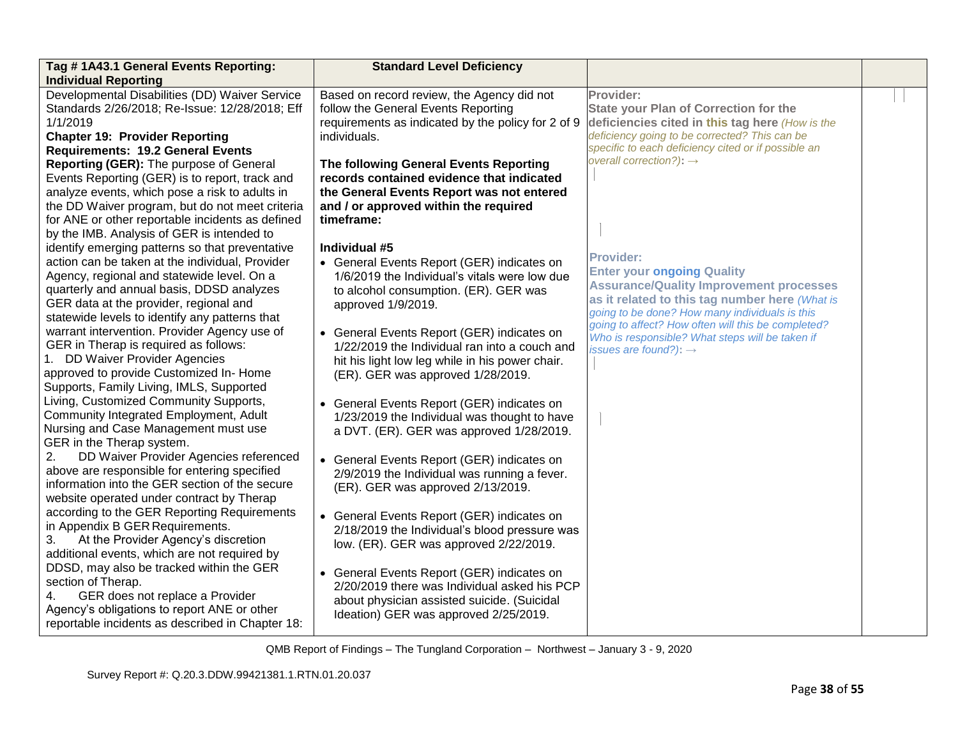| Tag # 1A43.1 General Events Reporting:<br><b>Individual Reporting</b>                            | <b>Standard Level Deficiency</b>                                                            |                                                           |  |
|--------------------------------------------------------------------------------------------------|---------------------------------------------------------------------------------------------|-----------------------------------------------------------|--|
| Developmental Disabilities (DD) Waiver Service<br>Standards 2/26/2018; Re-Issue: 12/28/2018; Eff | Based on record review, the Agency did not<br>follow the General Events Reporting           | Provider:<br><b>State your Plan of Correction for the</b> |  |
| 1/1/2019                                                                                         | requirements as indicated by the policy for 2 of 9                                          | deficiencies cited in this tag here (How is the           |  |
| <b>Chapter 19: Provider Reporting</b>                                                            | individuals.                                                                                | deficiency going to be corrected? This can be             |  |
| <b>Requirements: 19.2 General Events</b>                                                         |                                                                                             | specific to each deficiency cited or if possible an       |  |
| Reporting (GER): The purpose of General                                                          | The following General Events Reporting                                                      | overall correction?): $\rightarrow$                       |  |
| Events Reporting (GER) is to report, track and                                                   | records contained evidence that indicated                                                   |                                                           |  |
| analyze events, which pose a risk to adults in                                                   | the General Events Report was not entered                                                   |                                                           |  |
| the DD Waiver program, but do not meet criteria                                                  | and / or approved within the required                                                       |                                                           |  |
| for ANE or other reportable incidents as defined                                                 | timeframe:                                                                                  |                                                           |  |
| by the IMB. Analysis of GER is intended to                                                       |                                                                                             |                                                           |  |
| identify emerging patterns so that preventative                                                  | Individual #5                                                                               | <b>Provider:</b>                                          |  |
| action can be taken at the individual, Provider                                                  | • General Events Report (GER) indicates on                                                  | <b>Enter your ongoing Quality</b>                         |  |
| Agency, regional and statewide level. On a                                                       | 1/6/2019 the Individual's vitals were low due                                               | <b>Assurance/Quality Improvement processes</b>            |  |
| quarterly and annual basis, DDSD analyzes                                                        | to alcohol consumption. (ER). GER was                                                       | as it related to this tag number here (What is            |  |
| GER data at the provider, regional and                                                           | approved 1/9/2019.                                                                          | going to be done? How many individuals is this            |  |
| statewide levels to identify any patterns that                                                   |                                                                                             | going to affect? How often will this be completed?        |  |
| warrant intervention. Provider Agency use of<br>GER in Therap is required as follows:            | • General Events Report (GER) indicates on<br>1/22/2019 the Individual ran into a couch and | Who is responsible? What steps will be taken if           |  |
| 1. DD Waiver Provider Agencies                                                                   | hit his light low leg while in his power chair.                                             | issues are found?): $\rightarrow$                         |  |
| approved to provide Customized In-Home                                                           | (ER). GER was approved 1/28/2019.                                                           |                                                           |  |
| Supports, Family Living, IMLS, Supported                                                         |                                                                                             |                                                           |  |
| Living, Customized Community Supports,                                                           | • General Events Report (GER) indicates on                                                  |                                                           |  |
| Community Integrated Employment, Adult                                                           | 1/23/2019 the Individual was thought to have                                                |                                                           |  |
| Nursing and Case Management must use                                                             | a DVT. (ER). GER was approved 1/28/2019.                                                    |                                                           |  |
| GER in the Therap system.                                                                        |                                                                                             |                                                           |  |
| 2.<br>DD Waiver Provider Agencies referenced                                                     | • General Events Report (GER) indicates on                                                  |                                                           |  |
| above are responsible for entering specified                                                     | 2/9/2019 the Individual was running a fever.                                                |                                                           |  |
| information into the GER section of the secure                                                   | (ER). GER was approved 2/13/2019.                                                           |                                                           |  |
| website operated under contract by Therap                                                        |                                                                                             |                                                           |  |
| according to the GER Reporting Requirements                                                      | • General Events Report (GER) indicates on                                                  |                                                           |  |
| in Appendix B GER Requirements.                                                                  | 2/18/2019 the Individual's blood pressure was                                               |                                                           |  |
| At the Provider Agency's discretion<br>3.<br>additional events, which are not required by        | low. (ER). GER was approved 2/22/2019.                                                      |                                                           |  |
| DDSD, may also be tracked within the GER                                                         |                                                                                             |                                                           |  |
| section of Therap.                                                                               | • General Events Report (GER) indicates on                                                  |                                                           |  |
| GER does not replace a Provider<br>4.                                                            | 2/20/2019 there was Individual asked his PCP                                                |                                                           |  |
| Agency's obligations to report ANE or other                                                      | about physician assisted suicide. (Suicidal                                                 |                                                           |  |
| reportable incidents as described in Chapter 18:                                                 | Ideation) GER was approved 2/25/2019.                                                       |                                                           |  |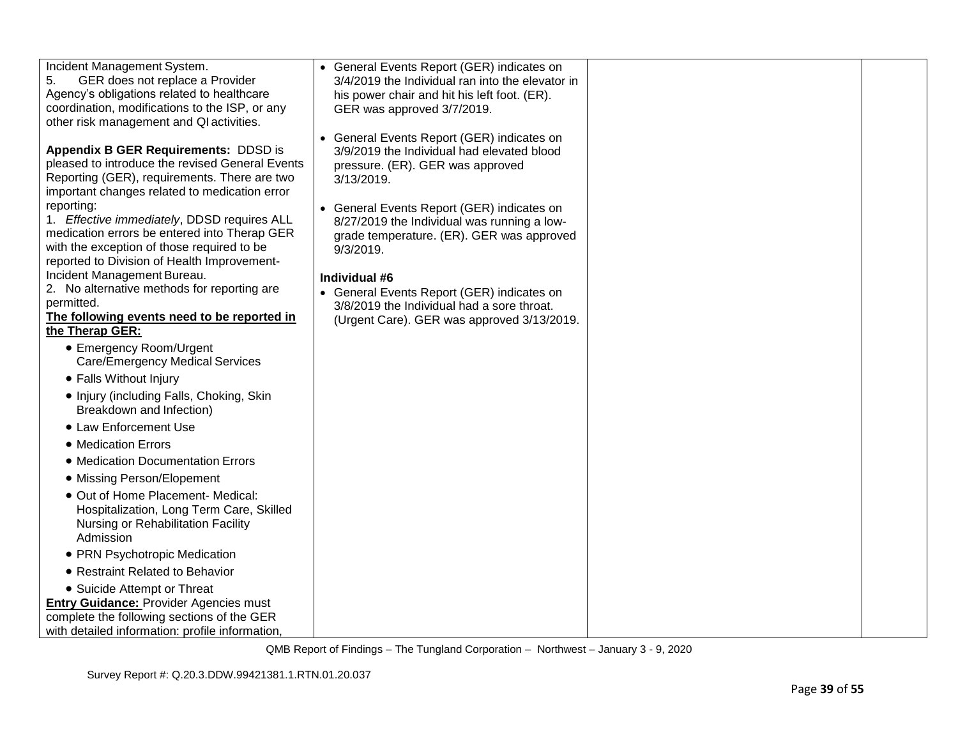| Incident Management System.                                                                 | • General Events Report (GER) indicates on                                               |  |
|---------------------------------------------------------------------------------------------|------------------------------------------------------------------------------------------|--|
| GER does not replace a Provider<br>5.                                                       | 3/4/2019 the Individual ran into the elevator in                                         |  |
| Agency's obligations related to healthcare                                                  | his power chair and hit his left foot. (ER).                                             |  |
| coordination, modifications to the ISP, or any                                              | GER was approved 3/7/2019.                                                               |  |
| other risk management and QI activities.                                                    |                                                                                          |  |
|                                                                                             | • General Events Report (GER) indicates on                                               |  |
| <b>Appendix B GER Requirements: DDSD is</b>                                                 | 3/9/2019 the Individual had elevated blood                                               |  |
| pleased to introduce the revised General Events                                             | pressure. (ER). GER was approved                                                         |  |
| Reporting (GER), requirements. There are two                                                | 3/13/2019.                                                                               |  |
| important changes related to medication error                                               |                                                                                          |  |
| reporting:                                                                                  | • General Events Report (GER) indicates on                                               |  |
| 1. Effective immediately, DDSD requires ALL<br>medication errors be entered into Therap GER | 8/27/2019 the Individual was running a low-                                              |  |
| with the exception of those required to be                                                  | grade temperature. (ER). GER was approved                                                |  |
| reported to Division of Health Improvement-                                                 | $9/3/2019$ .                                                                             |  |
| Incident Management Bureau.                                                                 | Individual #6                                                                            |  |
| 2. No alternative methods for reporting are                                                 |                                                                                          |  |
| permitted.                                                                                  | • General Events Report (GER) indicates on<br>3/8/2019 the Individual had a sore throat. |  |
| The following events need to be reported in                                                 | (Urgent Care). GER was approved 3/13/2019.                                               |  |
| the Therap GER:                                                                             |                                                                                          |  |
| • Emergency Room/Urgent                                                                     |                                                                                          |  |
| <b>Care/Emergency Medical Services</b>                                                      |                                                                                          |  |
| • Falls Without Injury                                                                      |                                                                                          |  |
| • Injury (including Falls, Choking, Skin                                                    |                                                                                          |  |
| Breakdown and Infection)                                                                    |                                                                                          |  |
|                                                                                             |                                                                                          |  |
| • Law Enforcement Use                                                                       |                                                                                          |  |
| • Medication Errors                                                                         |                                                                                          |  |
| • Medication Documentation Errors                                                           |                                                                                          |  |
| • Missing Person/Elopement                                                                  |                                                                                          |  |
| • Out of Home Placement- Medical:                                                           |                                                                                          |  |
| Hospitalization, Long Term Care, Skilled                                                    |                                                                                          |  |
| Nursing or Rehabilitation Facility                                                          |                                                                                          |  |
| Admission                                                                                   |                                                                                          |  |
| • PRN Psychotropic Medication                                                               |                                                                                          |  |
| • Restraint Related to Behavior                                                             |                                                                                          |  |
| • Suicide Attempt or Threat                                                                 |                                                                                          |  |
| <b>Entry Guidance: Provider Agencies must</b>                                               |                                                                                          |  |
| complete the following sections of the GER                                                  |                                                                                          |  |
| with detailed information: profile information,                                             |                                                                                          |  |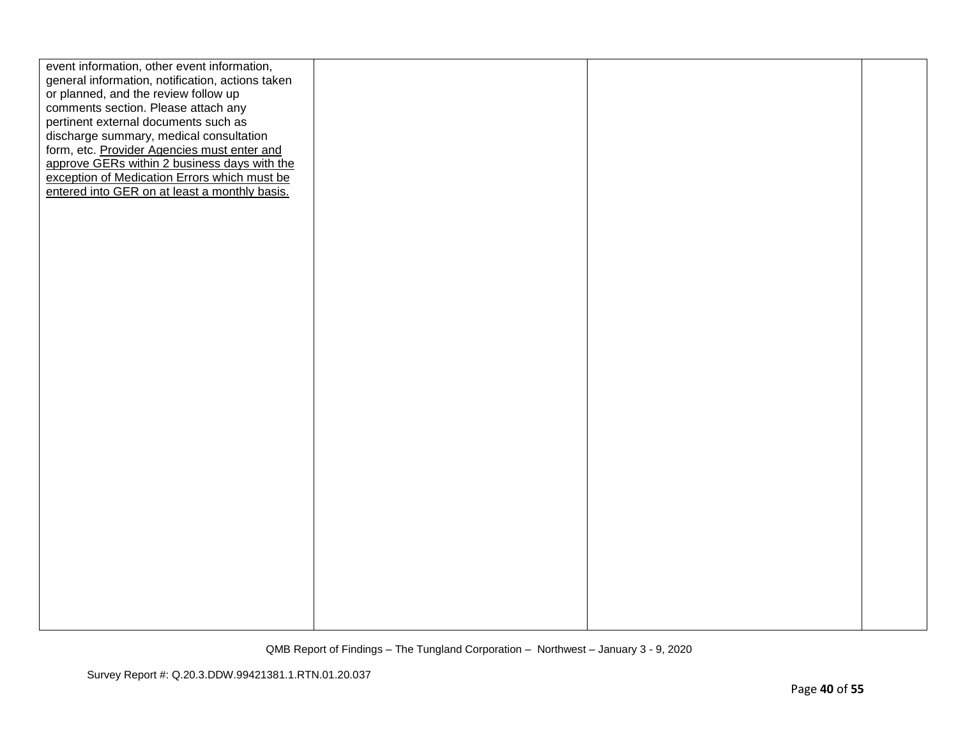| event information, other event information,      |  |  |
|--------------------------------------------------|--|--|
| general information, notification, actions taken |  |  |
|                                                  |  |  |
| or planned, and the review follow up             |  |  |
| comments section. Please attach any              |  |  |
| pertinent external documents such as             |  |  |
| discharge summary, medical consultation          |  |  |
| form, etc. Provider Agencies must enter and      |  |  |
| approve GERs within 2 business days with the     |  |  |
| exception of Medication Errors which must be     |  |  |
| entered into GER on at least a monthly basis.    |  |  |
|                                                  |  |  |
|                                                  |  |  |
|                                                  |  |  |
|                                                  |  |  |
|                                                  |  |  |
|                                                  |  |  |
|                                                  |  |  |
|                                                  |  |  |
|                                                  |  |  |
|                                                  |  |  |
|                                                  |  |  |
|                                                  |  |  |
|                                                  |  |  |
|                                                  |  |  |
|                                                  |  |  |
|                                                  |  |  |
|                                                  |  |  |
|                                                  |  |  |
|                                                  |  |  |
|                                                  |  |  |
|                                                  |  |  |
|                                                  |  |  |
|                                                  |  |  |
|                                                  |  |  |
|                                                  |  |  |
|                                                  |  |  |
|                                                  |  |  |
|                                                  |  |  |
|                                                  |  |  |
|                                                  |  |  |
|                                                  |  |  |
|                                                  |  |  |
|                                                  |  |  |
|                                                  |  |  |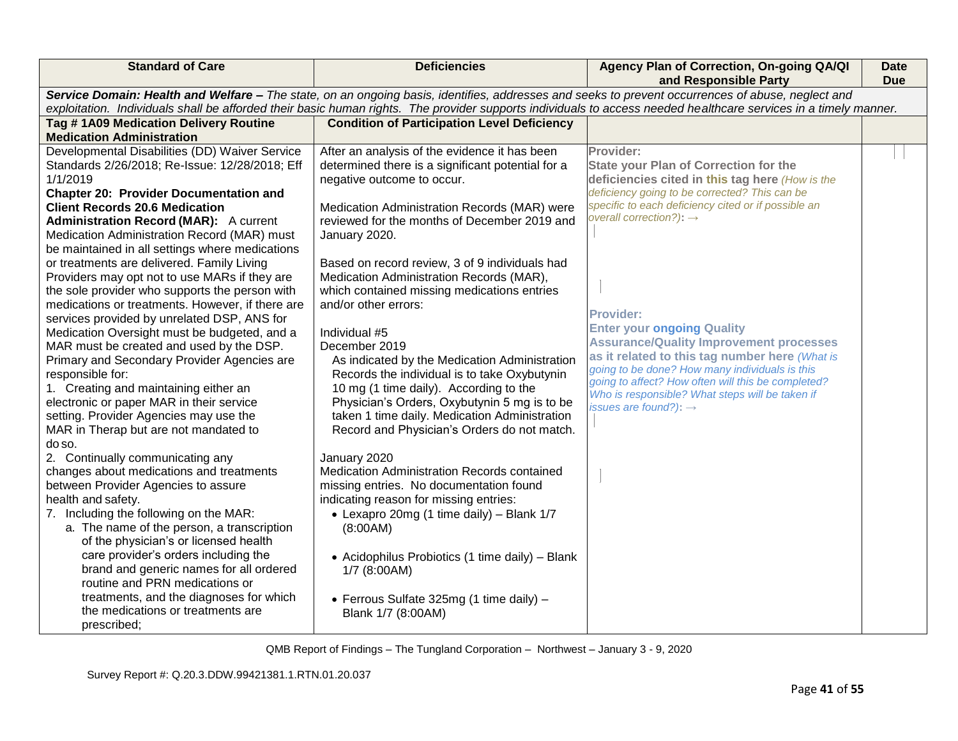| <b>Deficiencies</b>                                                                                                                                                                                                                                                                                                                                                                                                                                                                                                                                                                                                                                                                                                                                                                                                                                                                                                                                                                                                                                                             | Agency Plan of Correction, On-going QA/QI<br>and Responsible Party                                                                                                                                                                                                                                                                                                                                                                                                                                                                                                                                                       | Date<br><b>Due</b> |
|---------------------------------------------------------------------------------------------------------------------------------------------------------------------------------------------------------------------------------------------------------------------------------------------------------------------------------------------------------------------------------------------------------------------------------------------------------------------------------------------------------------------------------------------------------------------------------------------------------------------------------------------------------------------------------------------------------------------------------------------------------------------------------------------------------------------------------------------------------------------------------------------------------------------------------------------------------------------------------------------------------------------------------------------------------------------------------|--------------------------------------------------------------------------------------------------------------------------------------------------------------------------------------------------------------------------------------------------------------------------------------------------------------------------------------------------------------------------------------------------------------------------------------------------------------------------------------------------------------------------------------------------------------------------------------------------------------------------|--------------------|
|                                                                                                                                                                                                                                                                                                                                                                                                                                                                                                                                                                                                                                                                                                                                                                                                                                                                                                                                                                                                                                                                                 | Service Domain: Health and Welfare - The state, on an ongoing basis, identifies, addresses and seeks to prevent occurrences of abuse, neglect and<br>exploitation. Individuals shall be afforded their basic human rights. The provider supports individuals to access needed healthcare services in a timely manner.                                                                                                                                                                                                                                                                                                    |                    |
| <b>Condition of Participation Level Deficiency</b>                                                                                                                                                                                                                                                                                                                                                                                                                                                                                                                                                                                                                                                                                                                                                                                                                                                                                                                                                                                                                              |                                                                                                                                                                                                                                                                                                                                                                                                                                                                                                                                                                                                                          |                    |
|                                                                                                                                                                                                                                                                                                                                                                                                                                                                                                                                                                                                                                                                                                                                                                                                                                                                                                                                                                                                                                                                                 |                                                                                                                                                                                                                                                                                                                                                                                                                                                                                                                                                                                                                          |                    |
| After an analysis of the evidence it has been<br>determined there is a significant potential for a<br>negative outcome to occur.<br>Medication Administration Records (MAR) were<br>reviewed for the months of December 2019 and<br>January 2020.<br>Based on record review, 3 of 9 individuals had<br>Medication Administration Records (MAR),<br>which contained missing medications entries<br>and/or other errors:<br>Individual #5<br>December 2019<br>As indicated by the Medication Administration<br>Records the individual is to take Oxybutynin<br>10 mg (1 time daily). According to the<br>Physician's Orders, Oxybutynin 5 mg is to be<br>taken 1 time daily. Medication Administration<br>Record and Physician's Orders do not match.<br>January 2020<br>Medication Administration Records contained<br>missing entries. No documentation found<br>indicating reason for missing entries:<br>• Lexapro 20mg (1 time daily) - Blank 1/7<br>(8:00AM)<br>• Acidophilus Probiotics (1 time daily) - Blank<br>1/7 (8:00AM)<br>• Ferrous Sulfate 325mg (1 time daily) - | Provider:<br><b>State your Plan of Correction for the</b><br>deficiencies cited in this tag here (How is the<br>deficiency going to be corrected? This can be<br>specific to each deficiency cited or if possible an<br>overall correction?): $\rightarrow$<br><b>Provider:</b><br><b>Enter your ongoing Quality</b><br><b>Assurance/Quality Improvement processes</b><br>as it related to this tag number here (What is<br>going to be done? How many individuals is this<br>going to affect? How often will this be completed?<br>Who is responsible? What steps will be taken if<br>issues are found?): $\rightarrow$ |                    |
|                                                                                                                                                                                                                                                                                                                                                                                                                                                                                                                                                                                                                                                                                                                                                                                                                                                                                                                                                                                                                                                                                 | Blank 1/7 (8:00AM)                                                                                                                                                                                                                                                                                                                                                                                                                                                                                                                                                                                                       |                    |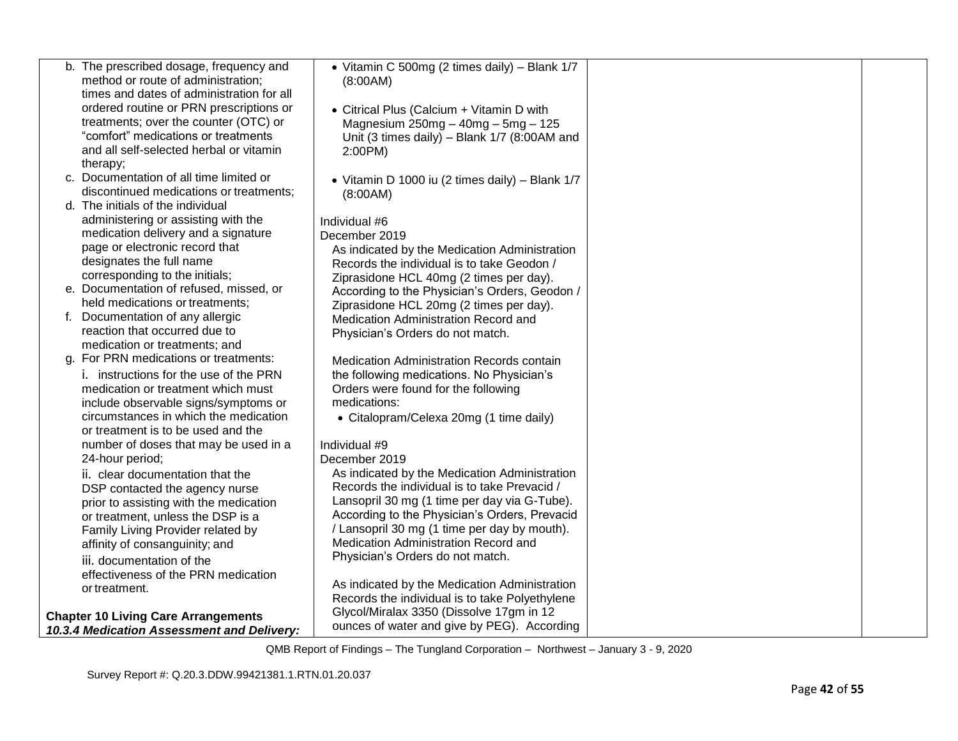| b. The prescribed dosage, frequency and                                              | • Vitamin C 500mg (2 times daily) - Blank 1/7                                                 |  |
|--------------------------------------------------------------------------------------|-----------------------------------------------------------------------------------------------|--|
| method or route of administration;                                                   | (8:00AM)                                                                                      |  |
| times and dates of administration for all<br>ordered routine or PRN prescriptions or |                                                                                               |  |
| treatments; over the counter (OTC) or                                                | • Citrical Plus (Calcium + Vitamin D with                                                     |  |
| "comfort" medications or treatments                                                  | Magnesium $250mg - 40mg - 5mg - 125$<br>Unit (3 times daily) - Blank 1/7 (8:00AM and          |  |
| and all self-selected herbal or vitamin                                              | 2:00PM)                                                                                       |  |
| therapy;                                                                             |                                                                                               |  |
| c. Documentation of all time limited or                                              | • Vitamin D 1000 iu (2 times daily) - Blank 1/7                                               |  |
| discontinued medications or treatments;                                              | (8:00AM)                                                                                      |  |
| d. The initials of the individual                                                    |                                                                                               |  |
| administering or assisting with the                                                  | Individual #6                                                                                 |  |
| medication delivery and a signature                                                  | December 2019                                                                                 |  |
| page or electronic record that                                                       | As indicated by the Medication Administration                                                 |  |
| designates the full name                                                             | Records the individual is to take Geodon /                                                    |  |
| corresponding to the initials;                                                       | Ziprasidone HCL 40mg (2 times per day).                                                       |  |
| e. Documentation of refused, missed, or                                              | According to the Physician's Orders, Geodon /                                                 |  |
| held medications or treatments;                                                      | Ziprasidone HCL 20mg (2 times per day).                                                       |  |
| f. Documentation of any allergic<br>reaction that occurred due to                    | Medication Administration Record and                                                          |  |
| medication or treatments; and                                                        | Physician's Orders do not match.                                                              |  |
| g. For PRN medications or treatments:                                                | Medication Administration Records contain                                                     |  |
| i. instructions for the use of the PRN                                               | the following medications. No Physician's                                                     |  |
| medication or treatment which must                                                   | Orders were found for the following                                                           |  |
| include observable signs/symptoms or                                                 | medications:                                                                                  |  |
| circumstances in which the medication                                                | • Citalopram/Celexa 20mg (1 time daily)                                                       |  |
| or treatment is to be used and the                                                   |                                                                                               |  |
| number of doses that may be used in a                                                | Individual #9                                                                                 |  |
| 24-hour period;                                                                      | December 2019                                                                                 |  |
| ii. clear documentation that the                                                     | As indicated by the Medication Administration                                                 |  |
| DSP contacted the agency nurse                                                       | Records the individual is to take Prevacid /                                                  |  |
| prior to assisting with the medication                                               | Lansopril 30 mg (1 time per day via G-Tube).<br>According to the Physician's Orders, Prevacid |  |
| or treatment, unless the DSP is a                                                    | / Lansopril 30 mg (1 time per day by mouth).                                                  |  |
| Family Living Provider related by<br>affinity of consanguinity; and                  | Medication Administration Record and                                                          |  |
| iii. documentation of the                                                            | Physician's Orders do not match.                                                              |  |
| effectiveness of the PRN medication                                                  |                                                                                               |  |
| or treatment.                                                                        | As indicated by the Medication Administration                                                 |  |
|                                                                                      | Records the individual is to take Polyethylene                                                |  |
| <b>Chapter 10 Living Care Arrangements</b>                                           | Glycol/Miralax 3350 (Dissolve 17gm in 12                                                      |  |
| 10.3.4 Medication Assessment and Delivery:                                           | ounces of water and give by PEG). According                                                   |  |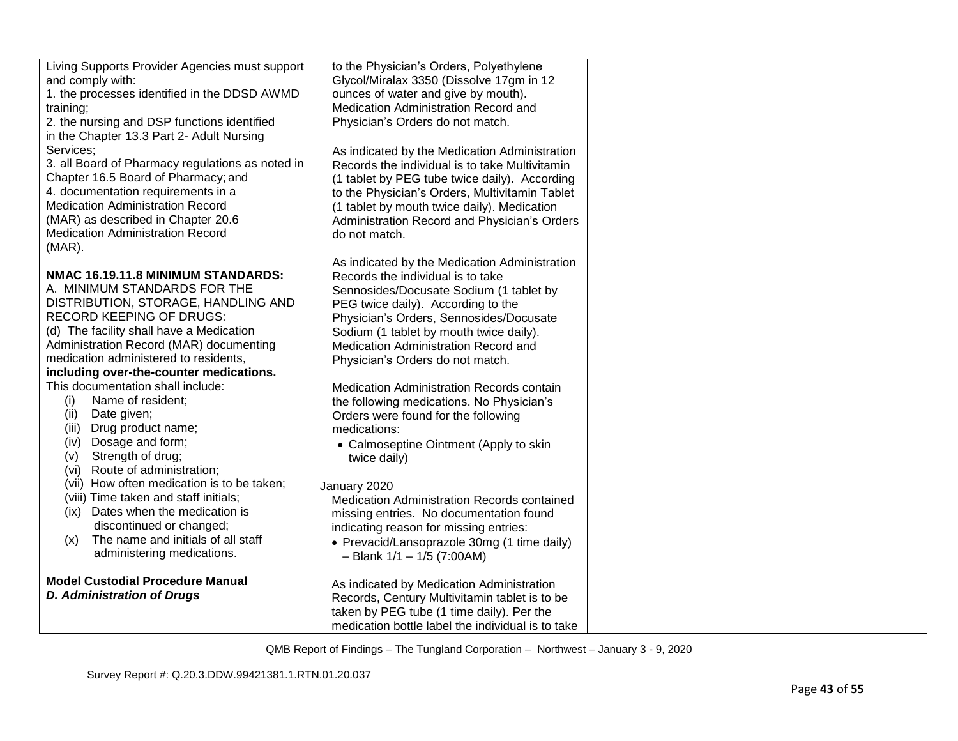| Living Supports Provider Agencies must support   | to the Physician's Orders, Polyethylene                                       |  |
|--------------------------------------------------|-------------------------------------------------------------------------------|--|
| and comply with:                                 | Glycol/Miralax 3350 (Dissolve 17gm in 12                                      |  |
| 1. the processes identified in the DDSD AWMD     | ounces of water and give by mouth).                                           |  |
| training;                                        | Medication Administration Record and                                          |  |
| 2. the nursing and DSP functions identified      | Physician's Orders do not match.                                              |  |
| in the Chapter 13.3 Part 2- Adult Nursing        |                                                                               |  |
| Services:                                        | As indicated by the Medication Administration                                 |  |
| 3. all Board of Pharmacy regulations as noted in | Records the individual is to take Multivitamin                                |  |
| Chapter 16.5 Board of Pharmacy; and              | (1 tablet by PEG tube twice daily). According                                 |  |
| 4. documentation requirements in a               | to the Physician's Orders, Multivitamin Tablet                                |  |
| <b>Medication Administration Record</b>          | (1 tablet by mouth twice daily). Medication                                   |  |
| (MAR) as described in Chapter 20.6               | Administration Record and Physician's Orders                                  |  |
| <b>Medication Administration Record</b>          | do not match.                                                                 |  |
| $(MAR)$ .                                        |                                                                               |  |
| NMAC 16.19.11.8 MINIMUM STANDARDS:               | As indicated by the Medication Administration                                 |  |
| A. MINIMUM STANDARDS FOR THE                     | Records the individual is to take                                             |  |
| DISTRIBUTION, STORAGE, HANDLING AND              | Sennosides/Docusate Sodium (1 tablet by                                       |  |
| <b>RECORD KEEPING OF DRUGS:</b>                  | PEG twice daily). According to the<br>Physician's Orders, Sennosides/Docusate |  |
| (d) The facility shall have a Medication         | Sodium (1 tablet by mouth twice daily).                                       |  |
| Administration Record (MAR) documenting          | Medication Administration Record and                                          |  |
| medication administered to residents,            | Physician's Orders do not match.                                              |  |
| including over-the-counter medications.          |                                                                               |  |
| This documentation shall include:                | Medication Administration Records contain                                     |  |
| Name of resident;<br>(i)                         | the following medications. No Physician's                                     |  |
| (ii)<br>Date given;                              | Orders were found for the following                                           |  |
| (iii) Drug product name;                         | medications:                                                                  |  |
| Dosage and form;<br>(iv)                         | • Calmoseptine Ointment (Apply to skin                                        |  |
| Strength of drug;<br>(v)                         | twice daily)                                                                  |  |
| Route of administration;<br>(vi)                 |                                                                               |  |
| (vii) How often medication is to be taken;       | January 2020                                                                  |  |
| (viii) Time taken and staff initials;            | Medication Administration Records contained                                   |  |
| (ix) Dates when the medication is                | missing entries. No documentation found                                       |  |
| discontinued or changed;                         | indicating reason for missing entries:                                        |  |
| The name and initials of all staff<br>(x)        | • Prevacid/Lansoprazole 30mg (1 time daily)                                   |  |
| administering medications.                       | $-$ Blank $1/1 - 1/5$ (7:00AM)                                                |  |
| <b>Model Custodial Procedure Manual</b>          |                                                                               |  |
| <b>D. Administration of Drugs</b>                | As indicated by Medication Administration                                     |  |
|                                                  | Records, Century Multivitamin tablet is to be                                 |  |
|                                                  | taken by PEG tube (1 time daily). Per the                                     |  |
|                                                  | medication bottle label the individual is to take                             |  |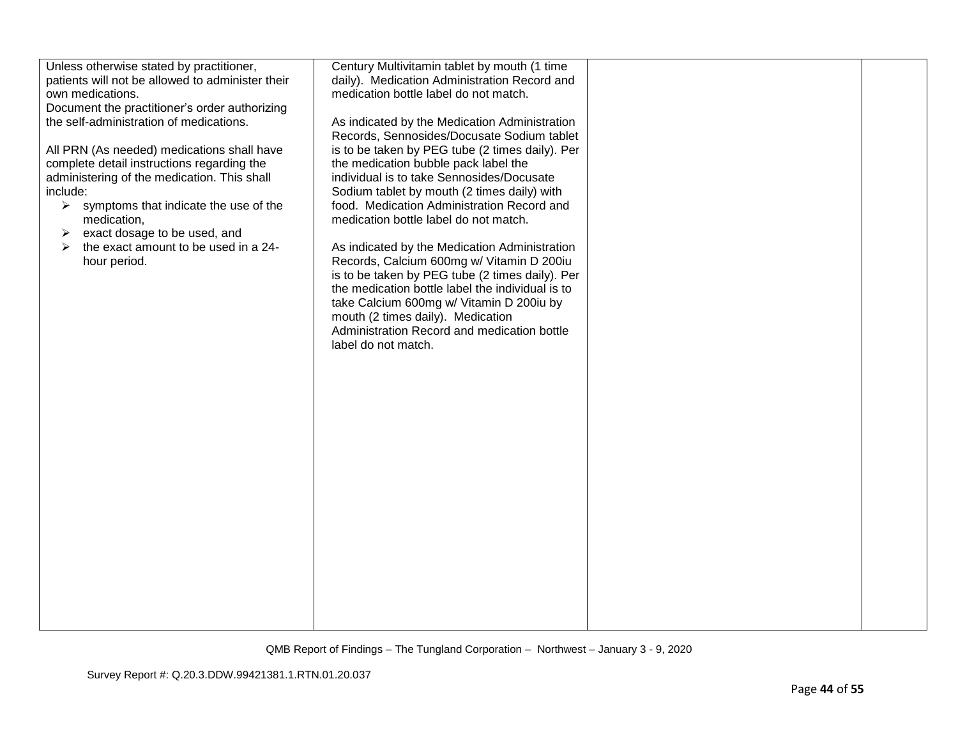| medication bottle label do not match.<br>own medications.<br>Document the practitioner's order authorizing<br>the self-administration of medications.<br>As indicated by the Medication Administration<br>Records, Sennosides/Docusate Sodium tablet<br>is to be taken by PEG tube (2 times daily). Per<br>All PRN (As needed) medications shall have<br>the medication bubble pack label the<br>complete detail instructions regarding the<br>administering of the medication. This shall<br>individual is to take Sennosides/Docusate<br>Sodium tablet by mouth (2 times daily) with<br>include:<br>food. Medication Administration Record and<br>$\triangleright$ symptoms that indicate the use of the<br>medication bottle label do not match.<br>medication,<br>exact dosage to be used, and<br>➤<br>the exact amount to be used in a 24-<br>As indicated by the Medication Administration<br>Records, Calcium 600mg w/ Vitamin D 200iu<br>hour period.<br>is to be taken by PEG tube (2 times daily). Per<br>the medication bottle label the individual is to<br>take Calcium 600mg w/ Vitamin D 200iu by<br>mouth (2 times daily). Medication<br>Administration Record and medication bottle<br>label do not match. | Unless otherwise stated by practitioner,         | Century Multivitamin tablet by mouth (1 time |  |
|-----------------------------------------------------------------------------------------------------------------------------------------------------------------------------------------------------------------------------------------------------------------------------------------------------------------------------------------------------------------------------------------------------------------------------------------------------------------------------------------------------------------------------------------------------------------------------------------------------------------------------------------------------------------------------------------------------------------------------------------------------------------------------------------------------------------------------------------------------------------------------------------------------------------------------------------------------------------------------------------------------------------------------------------------------------------------------------------------------------------------------------------------------------------------------------------------------------------------------|--------------------------------------------------|----------------------------------------------|--|
|                                                                                                                                                                                                                                                                                                                                                                                                                                                                                                                                                                                                                                                                                                                                                                                                                                                                                                                                                                                                                                                                                                                                                                                                                             | patients will not be allowed to administer their | daily). Medication Administration Record and |  |
|                                                                                                                                                                                                                                                                                                                                                                                                                                                                                                                                                                                                                                                                                                                                                                                                                                                                                                                                                                                                                                                                                                                                                                                                                             |                                                  |                                              |  |
|                                                                                                                                                                                                                                                                                                                                                                                                                                                                                                                                                                                                                                                                                                                                                                                                                                                                                                                                                                                                                                                                                                                                                                                                                             |                                                  |                                              |  |
|                                                                                                                                                                                                                                                                                                                                                                                                                                                                                                                                                                                                                                                                                                                                                                                                                                                                                                                                                                                                                                                                                                                                                                                                                             |                                                  |                                              |  |
|                                                                                                                                                                                                                                                                                                                                                                                                                                                                                                                                                                                                                                                                                                                                                                                                                                                                                                                                                                                                                                                                                                                                                                                                                             |                                                  |                                              |  |
|                                                                                                                                                                                                                                                                                                                                                                                                                                                                                                                                                                                                                                                                                                                                                                                                                                                                                                                                                                                                                                                                                                                                                                                                                             |                                                  |                                              |  |
|                                                                                                                                                                                                                                                                                                                                                                                                                                                                                                                                                                                                                                                                                                                                                                                                                                                                                                                                                                                                                                                                                                                                                                                                                             |                                                  |                                              |  |
|                                                                                                                                                                                                                                                                                                                                                                                                                                                                                                                                                                                                                                                                                                                                                                                                                                                                                                                                                                                                                                                                                                                                                                                                                             |                                                  |                                              |  |
|                                                                                                                                                                                                                                                                                                                                                                                                                                                                                                                                                                                                                                                                                                                                                                                                                                                                                                                                                                                                                                                                                                                                                                                                                             |                                                  |                                              |  |
|                                                                                                                                                                                                                                                                                                                                                                                                                                                                                                                                                                                                                                                                                                                                                                                                                                                                                                                                                                                                                                                                                                                                                                                                                             |                                                  |                                              |  |
|                                                                                                                                                                                                                                                                                                                                                                                                                                                                                                                                                                                                                                                                                                                                                                                                                                                                                                                                                                                                                                                                                                                                                                                                                             |                                                  |                                              |  |
|                                                                                                                                                                                                                                                                                                                                                                                                                                                                                                                                                                                                                                                                                                                                                                                                                                                                                                                                                                                                                                                                                                                                                                                                                             |                                                  |                                              |  |
|                                                                                                                                                                                                                                                                                                                                                                                                                                                                                                                                                                                                                                                                                                                                                                                                                                                                                                                                                                                                                                                                                                                                                                                                                             |                                                  |                                              |  |
|                                                                                                                                                                                                                                                                                                                                                                                                                                                                                                                                                                                                                                                                                                                                                                                                                                                                                                                                                                                                                                                                                                                                                                                                                             |                                                  |                                              |  |
|                                                                                                                                                                                                                                                                                                                                                                                                                                                                                                                                                                                                                                                                                                                                                                                                                                                                                                                                                                                                                                                                                                                                                                                                                             |                                                  |                                              |  |
|                                                                                                                                                                                                                                                                                                                                                                                                                                                                                                                                                                                                                                                                                                                                                                                                                                                                                                                                                                                                                                                                                                                                                                                                                             |                                                  |                                              |  |
|                                                                                                                                                                                                                                                                                                                                                                                                                                                                                                                                                                                                                                                                                                                                                                                                                                                                                                                                                                                                                                                                                                                                                                                                                             |                                                  |                                              |  |
|                                                                                                                                                                                                                                                                                                                                                                                                                                                                                                                                                                                                                                                                                                                                                                                                                                                                                                                                                                                                                                                                                                                                                                                                                             |                                                  |                                              |  |
|                                                                                                                                                                                                                                                                                                                                                                                                                                                                                                                                                                                                                                                                                                                                                                                                                                                                                                                                                                                                                                                                                                                                                                                                                             |                                                  |                                              |  |
|                                                                                                                                                                                                                                                                                                                                                                                                                                                                                                                                                                                                                                                                                                                                                                                                                                                                                                                                                                                                                                                                                                                                                                                                                             |                                                  |                                              |  |
|                                                                                                                                                                                                                                                                                                                                                                                                                                                                                                                                                                                                                                                                                                                                                                                                                                                                                                                                                                                                                                                                                                                                                                                                                             |                                                  |                                              |  |
|                                                                                                                                                                                                                                                                                                                                                                                                                                                                                                                                                                                                                                                                                                                                                                                                                                                                                                                                                                                                                                                                                                                                                                                                                             |                                                  |                                              |  |
|                                                                                                                                                                                                                                                                                                                                                                                                                                                                                                                                                                                                                                                                                                                                                                                                                                                                                                                                                                                                                                                                                                                                                                                                                             |                                                  |                                              |  |
|                                                                                                                                                                                                                                                                                                                                                                                                                                                                                                                                                                                                                                                                                                                                                                                                                                                                                                                                                                                                                                                                                                                                                                                                                             |                                                  |                                              |  |
|                                                                                                                                                                                                                                                                                                                                                                                                                                                                                                                                                                                                                                                                                                                                                                                                                                                                                                                                                                                                                                                                                                                                                                                                                             |                                                  |                                              |  |
|                                                                                                                                                                                                                                                                                                                                                                                                                                                                                                                                                                                                                                                                                                                                                                                                                                                                                                                                                                                                                                                                                                                                                                                                                             |                                                  |                                              |  |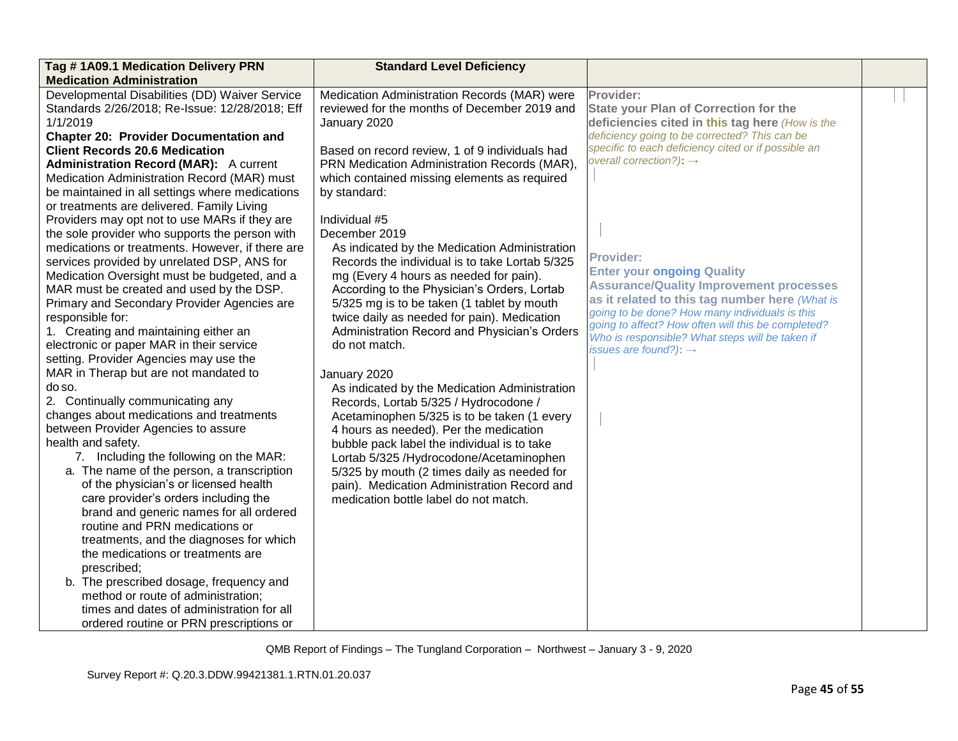| Tag #1A09.1 Medication Delivery PRN<br><b>Medication Administration</b>                                                                                                                                                                                                                                                                                                                                                                                                                                                                                                                                                                                                                                                                                                                                                                                                                                                                                                                                                                                                                                                                                                                                                                                                                                                                                                                                                                                                                                                                                                                                                                   | <b>Standard Level Deficiency</b>                                                                                                                                                                                                                                                                                                                                                                                                                                                                                                                                                                                                                                                                                                                                                                                                                                                                                                                                                                                                                                                                               |                                                                                                                                                                                                                                                                                                                                                                                                                                                                                                                                                                                                                          |  |
|-------------------------------------------------------------------------------------------------------------------------------------------------------------------------------------------------------------------------------------------------------------------------------------------------------------------------------------------------------------------------------------------------------------------------------------------------------------------------------------------------------------------------------------------------------------------------------------------------------------------------------------------------------------------------------------------------------------------------------------------------------------------------------------------------------------------------------------------------------------------------------------------------------------------------------------------------------------------------------------------------------------------------------------------------------------------------------------------------------------------------------------------------------------------------------------------------------------------------------------------------------------------------------------------------------------------------------------------------------------------------------------------------------------------------------------------------------------------------------------------------------------------------------------------------------------------------------------------------------------------------------------------|----------------------------------------------------------------------------------------------------------------------------------------------------------------------------------------------------------------------------------------------------------------------------------------------------------------------------------------------------------------------------------------------------------------------------------------------------------------------------------------------------------------------------------------------------------------------------------------------------------------------------------------------------------------------------------------------------------------------------------------------------------------------------------------------------------------------------------------------------------------------------------------------------------------------------------------------------------------------------------------------------------------------------------------------------------------------------------------------------------------|--------------------------------------------------------------------------------------------------------------------------------------------------------------------------------------------------------------------------------------------------------------------------------------------------------------------------------------------------------------------------------------------------------------------------------------------------------------------------------------------------------------------------------------------------------------------------------------------------------------------------|--|
| Developmental Disabilities (DD) Waiver Service<br>Standards 2/26/2018; Re-Issue: 12/28/2018; Eff<br>1/1/2019<br><b>Chapter 20: Provider Documentation and</b><br><b>Client Records 20.6 Medication</b><br><b>Administration Record (MAR):</b> A current<br>Medication Administration Record (MAR) must<br>be maintained in all settings where medications<br>or treatments are delivered. Family Living<br>Providers may opt not to use MARs if they are<br>the sole provider who supports the person with<br>medications or treatments. However, if there are<br>services provided by unrelated DSP, ANS for<br>Medication Oversight must be budgeted, and a<br>MAR must be created and used by the DSP.<br>Primary and Secondary Provider Agencies are<br>responsible for:<br>1. Creating and maintaining either an<br>electronic or paper MAR in their service<br>setting. Provider Agencies may use the<br>MAR in Therap but are not mandated to<br>do so.<br>2. Continually communicating any<br>changes about medications and treatments<br>between Provider Agencies to assure<br>health and safety.<br>7. Including the following on the MAR:<br>a. The name of the person, a transcription<br>of the physician's or licensed health<br>care provider's orders including the<br>brand and generic names for all ordered<br>routine and PRN medications or<br>treatments, and the diagnoses for which<br>the medications or treatments are<br>prescribed;<br>b. The prescribed dosage, frequency and<br>method or route of administration;<br>times and dates of administration for all<br>ordered routine or PRN prescriptions or | Medication Administration Records (MAR) were<br>reviewed for the months of December 2019 and<br>January 2020<br>Based on record review, 1 of 9 individuals had<br>PRN Medication Administration Records (MAR),<br>which contained missing elements as required<br>by standard:<br>Individual #5<br>December 2019<br>As indicated by the Medication Administration<br>Records the individual is to take Lortab 5/325<br>mg (Every 4 hours as needed for pain).<br>According to the Physician's Orders, Lortab<br>5/325 mg is to be taken (1 tablet by mouth<br>twice daily as needed for pain). Medication<br>Administration Record and Physician's Orders<br>do not match.<br>January 2020<br>As indicated by the Medication Administration<br>Records, Lortab 5/325 / Hydrocodone /<br>Acetaminophen 5/325 is to be taken (1 every<br>4 hours as needed). Per the medication<br>bubble pack label the individual is to take<br>Lortab 5/325 /Hydrocodone/Acetaminophen<br>5/325 by mouth (2 times daily as needed for<br>pain). Medication Administration Record and<br>medication bottle label do not match. | Provider:<br><b>State your Plan of Correction for the</b><br>deficiencies cited in this tag here (How is the<br>deficiency going to be corrected? This can be<br>specific to each deficiency cited or if possible an<br>overall correction?): $\rightarrow$<br><b>Provider:</b><br><b>Enter your ongoing Quality</b><br><b>Assurance/Quality Improvement processes</b><br>as it related to this tag number here (What is<br>going to be done? How many individuals is this<br>going to affect? How often will this be completed?<br>Who is responsible? What steps will be taken if<br>issues are found?): $\rightarrow$ |  |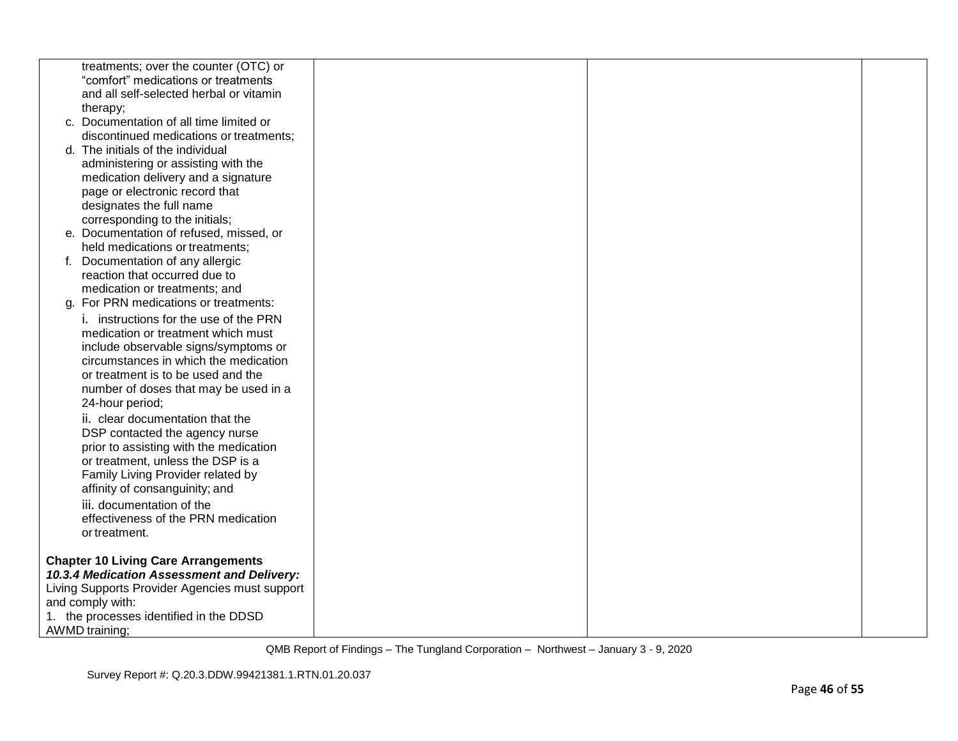| treatments; over the counter (OTC) or          |  |  |
|------------------------------------------------|--|--|
| "comfort" medications or treatments            |  |  |
| and all self-selected herbal or vitamin        |  |  |
| therapy;                                       |  |  |
| c. Documentation of all time limited or        |  |  |
| discontinued medications or treatments;        |  |  |
| d. The initials of the individual              |  |  |
| administering or assisting with the            |  |  |
| medication delivery and a signature            |  |  |
| page or electronic record that                 |  |  |
| designates the full name                       |  |  |
| corresponding to the initials;                 |  |  |
| e. Documentation of refused, missed, or        |  |  |
| held medications or treatments;                |  |  |
| f. Documentation of any allergic               |  |  |
| reaction that occurred due to                  |  |  |
| medication or treatments; and                  |  |  |
| g. For PRN medications or treatments:          |  |  |
| i. instructions for the use of the PRN         |  |  |
| medication or treatment which must             |  |  |
|                                                |  |  |
| include observable signs/symptoms or           |  |  |
| circumstances in which the medication          |  |  |
| or treatment is to be used and the             |  |  |
| number of doses that may be used in a          |  |  |
| 24-hour period;                                |  |  |
| ii. clear documentation that the               |  |  |
| DSP contacted the agency nurse                 |  |  |
| prior to assisting with the medication         |  |  |
| or treatment, unless the DSP is a              |  |  |
| Family Living Provider related by              |  |  |
| affinity of consanguinity; and                 |  |  |
| iii. documentation of the                      |  |  |
| effectiveness of the PRN medication            |  |  |
| or treatment.                                  |  |  |
|                                                |  |  |
| <b>Chapter 10 Living Care Arrangements</b>     |  |  |
| 10.3.4 Medication Assessment and Delivery:     |  |  |
| Living Supports Provider Agencies must support |  |  |
| and comply with:                               |  |  |
| 1. the processes identified in the DDSD        |  |  |
| AWMD training;                                 |  |  |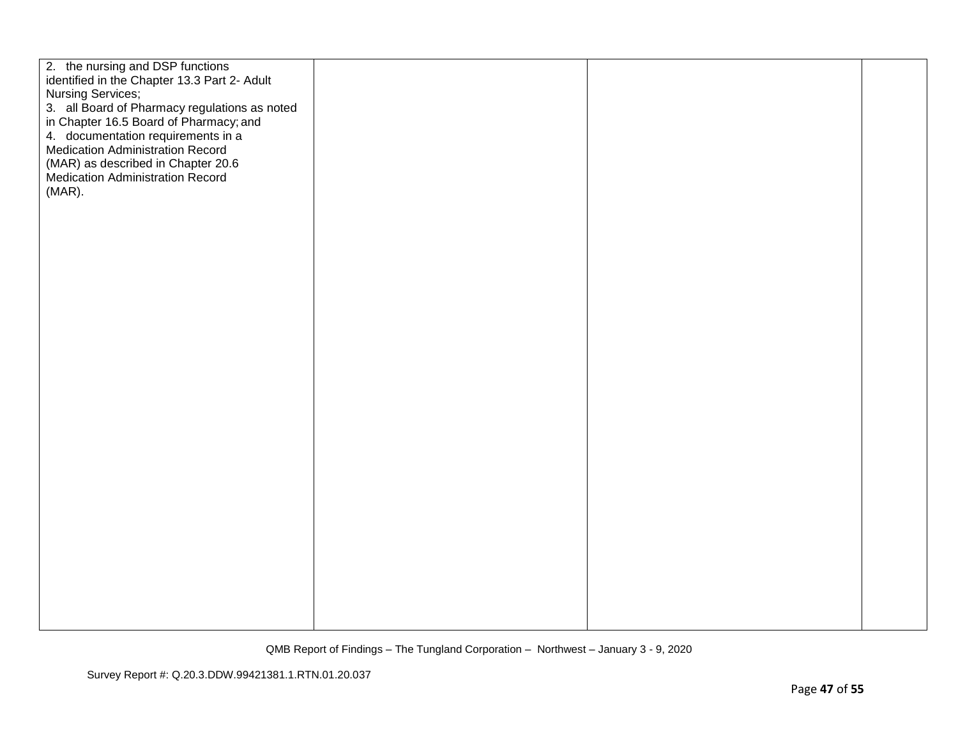| 2. the nursing and DSP functions<br>identified in the Chapter 13.3 Part 2- Adult<br>Nursing Services;<br>3. all Board of Pharmacy regulations as noted<br>in Chapter 16.5 Board of Pharmacy; and<br>4. documentation requirements in a<br><b>Medication Administration Record</b><br>(MAR) as described in Chapter 20.6<br>Medication Administration Record<br>(MAR). |  |  |
|-----------------------------------------------------------------------------------------------------------------------------------------------------------------------------------------------------------------------------------------------------------------------------------------------------------------------------------------------------------------------|--|--|
|                                                                                                                                                                                                                                                                                                                                                                       |  |  |
|                                                                                                                                                                                                                                                                                                                                                                       |  |  |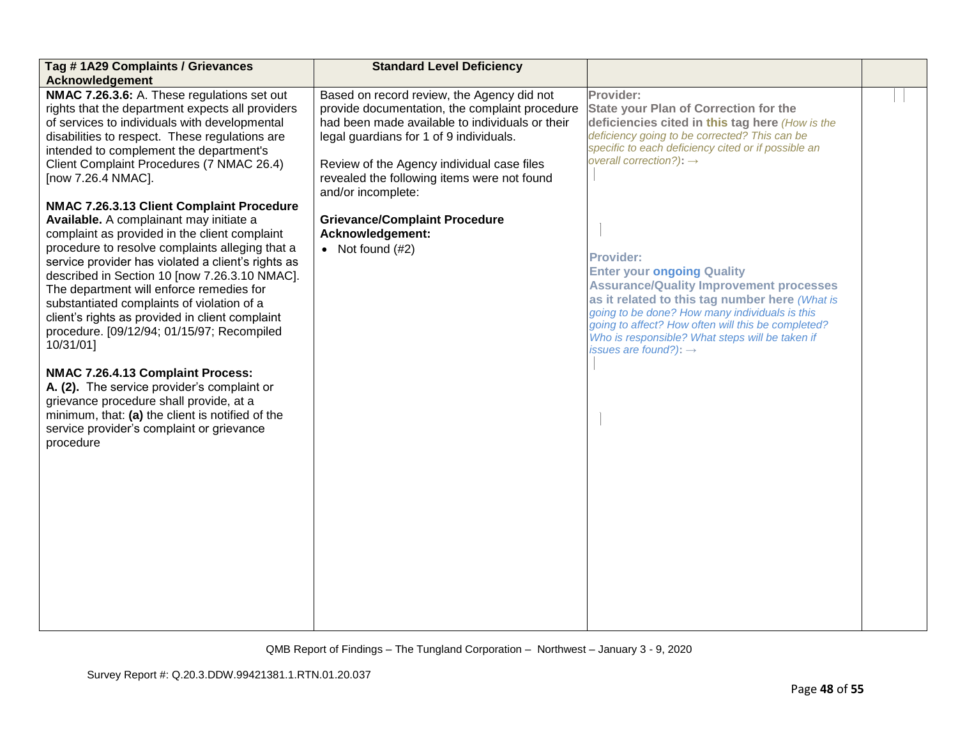| Tag #1A29 Complaints / Grievances<br><b>Acknowledgement</b>                                                                                                                                                                                                                                                                                                                                                                                                                                                                                                                                                                                                                                                                                                                                                                                                                                                                                                                                                                                                              | <b>Standard Level Deficiency</b>                                                                                                                                                                                                                                                                                                                                                                |                                                                                                                                                                                                                                                                                                                                                                                                                                                                                                                                                                                                                          |  |
|--------------------------------------------------------------------------------------------------------------------------------------------------------------------------------------------------------------------------------------------------------------------------------------------------------------------------------------------------------------------------------------------------------------------------------------------------------------------------------------------------------------------------------------------------------------------------------------------------------------------------------------------------------------------------------------------------------------------------------------------------------------------------------------------------------------------------------------------------------------------------------------------------------------------------------------------------------------------------------------------------------------------------------------------------------------------------|-------------------------------------------------------------------------------------------------------------------------------------------------------------------------------------------------------------------------------------------------------------------------------------------------------------------------------------------------------------------------------------------------|--------------------------------------------------------------------------------------------------------------------------------------------------------------------------------------------------------------------------------------------------------------------------------------------------------------------------------------------------------------------------------------------------------------------------------------------------------------------------------------------------------------------------------------------------------------------------------------------------------------------------|--|
| NMAC 7.26.3.6: A. These regulations set out<br>rights that the department expects all providers<br>of services to individuals with developmental<br>disabilities to respect. These regulations are<br>intended to complement the department's<br>Client Complaint Procedures (7 NMAC 26.4)<br>[now 7.26.4 NMAC].<br>NMAC 7.26.3.13 Client Complaint Procedure<br>Available. A complainant may initiate a<br>complaint as provided in the client complaint<br>procedure to resolve complaints alleging that a<br>service provider has violated a client's rights as<br>described in Section 10 [now 7.26.3.10 NMAC].<br>The department will enforce remedies for<br>substantiated complaints of violation of a<br>client's rights as provided in client complaint<br>procedure. [09/12/94; 01/15/97; Recompiled<br>10/31/01]<br>NMAC 7.26.4.13 Complaint Process:<br>A. (2). The service provider's complaint or<br>grievance procedure shall provide, at a<br>minimum, that: (a) the client is notified of the<br>service provider's complaint or grievance<br>procedure | Based on record review, the Agency did not<br>provide documentation, the complaint procedure<br>had been made available to individuals or their<br>legal guardians for 1 of 9 individuals.<br>Review of the Agency individual case files<br>revealed the following items were not found<br>and/or incomplete:<br><b>Grievance/Complaint Procedure</b><br>Acknowledgement:<br>• Not found $(H2)$ | Provider:<br><b>State your Plan of Correction for the</b><br>deficiencies cited in this tag here (How is the<br>deficiency going to be corrected? This can be<br>specific to each deficiency cited or if possible an<br>overall correction?): $\rightarrow$<br><b>Provider:</b><br><b>Enter your ongoing Quality</b><br><b>Assurance/Quality Improvement processes</b><br>as it related to this tag number here (What is<br>going to be done? How many individuals is this<br>going to affect? How often will this be completed?<br>Who is responsible? What steps will be taken if<br>issues are found?): $\rightarrow$ |  |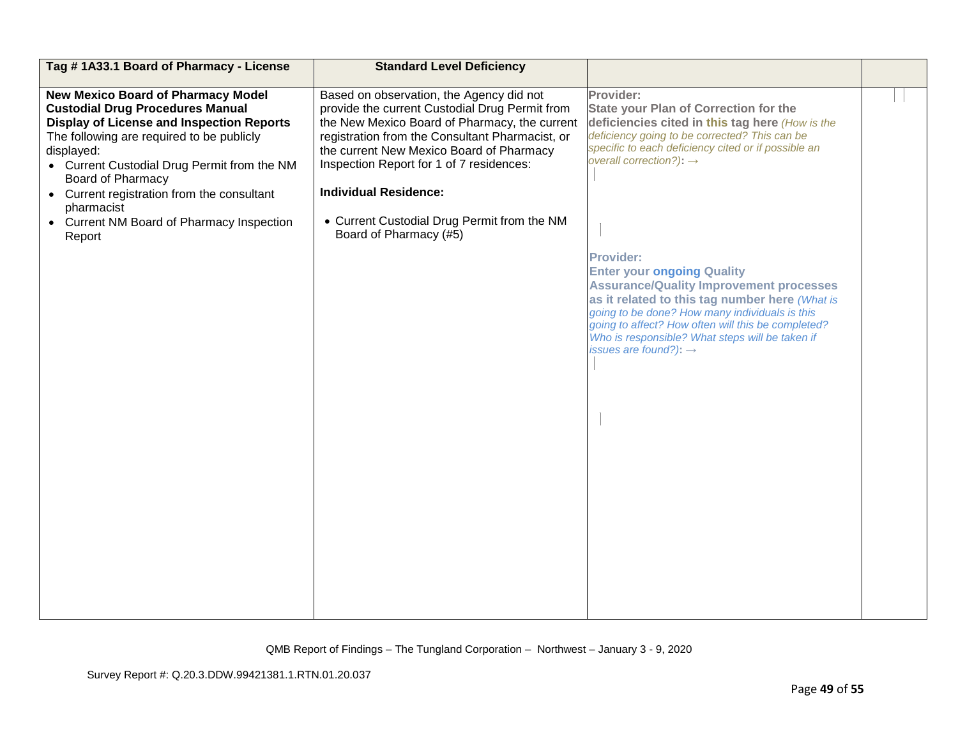| Tag #1A33.1 Board of Pharmacy - License                                                                                                                                                                                                                                                                                                               | <b>Standard Level Deficiency</b>                                                                                                                                                                                                                                                                                       |                                                                                                                                                                                                                                                                                                                                                           |  |
|-------------------------------------------------------------------------------------------------------------------------------------------------------------------------------------------------------------------------------------------------------------------------------------------------------------------------------------------------------|------------------------------------------------------------------------------------------------------------------------------------------------------------------------------------------------------------------------------------------------------------------------------------------------------------------------|-----------------------------------------------------------------------------------------------------------------------------------------------------------------------------------------------------------------------------------------------------------------------------------------------------------------------------------------------------------|--|
| <b>New Mexico Board of Pharmacy Model</b><br><b>Custodial Drug Procedures Manual</b><br><b>Display of License and Inspection Reports</b><br>The following are required to be publicly<br>displayed:<br>• Current Custodial Drug Permit from the NM<br><b>Board of Pharmacy</b><br>Current registration from the consultant<br>$\bullet$<br>pharmacist | Based on observation, the Agency did not<br>provide the current Custodial Drug Permit from<br>the New Mexico Board of Pharmacy, the current<br>registration from the Consultant Pharmacist, or<br>the current New Mexico Board of Pharmacy<br>Inspection Report for 1 of 7 residences:<br><b>Individual Residence:</b> | Provider:<br><b>State your Plan of Correction for the</b><br>deficiencies cited in this tag here (How is the<br>deficiency going to be corrected? This can be<br>specific to each deficiency cited or if possible an<br>overall correction?): $\rightarrow$                                                                                               |  |
| • Current NM Board of Pharmacy Inspection<br>Report                                                                                                                                                                                                                                                                                                   | • Current Custodial Drug Permit from the NM<br>Board of Pharmacy (#5)                                                                                                                                                                                                                                                  | <b>Provider:</b><br><b>Enter your ongoing Quality</b><br><b>Assurance/Quality Improvement processes</b><br>as it related to this tag number here (What is<br>going to be done? How many individuals is this<br>going to affect? How often will this be completed?<br>Who is responsible? What steps will be taken if<br>issues are found?): $\rightarrow$ |  |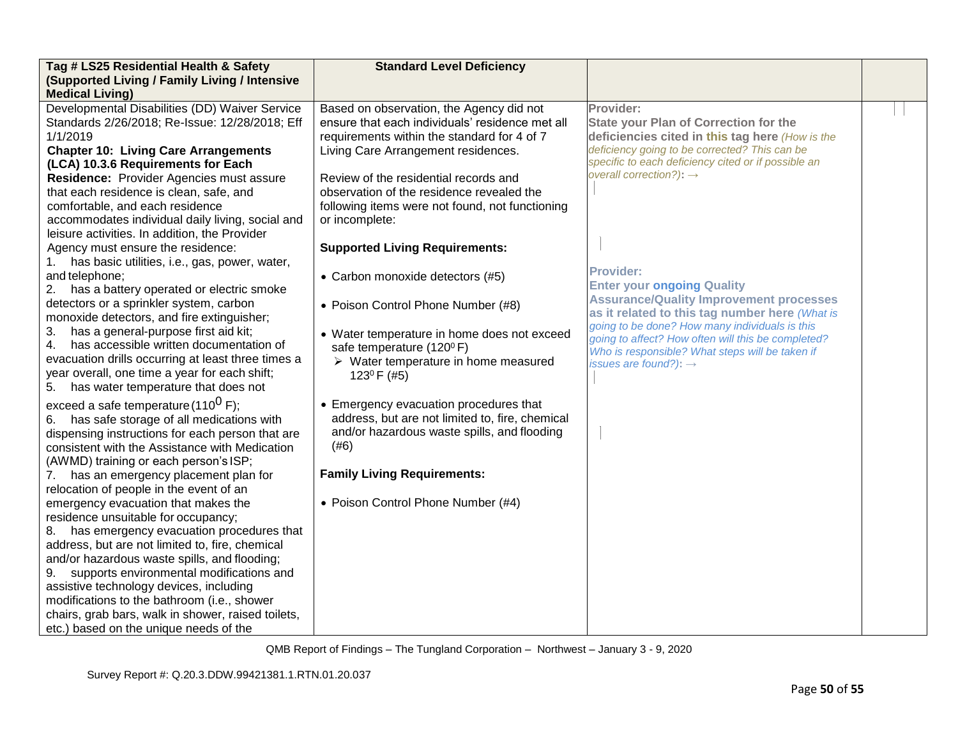| Tag # LS25 Residential Health & Safety                                                  | <b>Standard Level Deficiency</b>                    |                                                       |  |
|-----------------------------------------------------------------------------------------|-----------------------------------------------------|-------------------------------------------------------|--|
| (Supported Living / Family Living / Intensive<br><b>Medical Living)</b>                 |                                                     |                                                       |  |
| Developmental Disabilities (DD) Waiver Service                                          | Based on observation, the Agency did not            | Provider:                                             |  |
| Standards 2/26/2018; Re-Issue: 12/28/2018; Eff                                          | ensure that each individuals' residence met all     | <b>State your Plan of Correction for the</b>          |  |
| 1/1/2019                                                                                | requirements within the standard for 4 of 7         | deficiencies cited in this tag here (How is the       |  |
| <b>Chapter 10: Living Care Arrangements</b>                                             | Living Care Arrangement residences.                 | deficiency going to be corrected? This can be         |  |
| (LCA) 10.3.6 Requirements for Each                                                      |                                                     | specific to each deficiency cited or if possible an   |  |
| Residence: Provider Agencies must assure                                                | Review of the residential records and               | overall correction?): $\rightarrow$                   |  |
| that each residence is clean, safe, and                                                 | observation of the residence revealed the           |                                                       |  |
| comfortable, and each residence                                                         | following items were not found, not functioning     |                                                       |  |
| accommodates individual daily living, social and                                        | or incomplete:                                      |                                                       |  |
| leisure activities. In addition, the Provider                                           |                                                     |                                                       |  |
| Agency must ensure the residence:                                                       | <b>Supported Living Requirements:</b>               |                                                       |  |
| 1.<br>has basic utilities, i.e., gas, power, water,                                     |                                                     |                                                       |  |
| and telephone;                                                                          | • Carbon monoxide detectors (#5)                    | <b>Provider:</b><br><b>Enter your ongoing Quality</b> |  |
| 2. has a battery operated or electric smoke                                             |                                                     | <b>Assurance/Quality Improvement processes</b>        |  |
| detectors or a sprinkler system, carbon                                                 | • Poison Control Phone Number (#8)                  | as it related to this tag number here (What is        |  |
| monoxide detectors, and fire extinguisher;                                              |                                                     | going to be done? How many individuals is this        |  |
| has a general-purpose first aid kit;<br>3.                                              | • Water temperature in home does not exceed         | going to affect? How often will this be completed?    |  |
| has accessible written documentation of<br>4.                                           | safe temperature (120 <sup>0</sup> F)               | Who is responsible? What steps will be taken if       |  |
| evacuation drills occurring at least three times a                                      | $\triangleright$ Water temperature in home measured | issues are found?): $\rightarrow$                     |  |
| year overall, one time a year for each shift;<br>5. has water temperature that does not | 123 $0$ F (#5)                                      |                                                       |  |
|                                                                                         |                                                     |                                                       |  |
| exceed a safe temperature (110 <sup>0</sup> F);                                         | • Emergency evacuation procedures that              |                                                       |  |
| 6. has safe storage of all medications with                                             | address, but are not limited to, fire, chemical     |                                                       |  |
| dispensing instructions for each person that are                                        | and/or hazardous waste spills, and flooding         |                                                       |  |
| consistent with the Assistance with Medication                                          | (#6)                                                |                                                       |  |
| (AWMD) training or each person's ISP;                                                   | <b>Family Living Requirements:</b>                  |                                                       |  |
| 7. has an emergency placement plan for                                                  |                                                     |                                                       |  |
| relocation of people in the event of an<br>emergency evacuation that makes the          | • Poison Control Phone Number (#4)                  |                                                       |  |
| residence unsuitable for occupancy;                                                     |                                                     |                                                       |  |
| 8. has emergency evacuation procedures that                                             |                                                     |                                                       |  |
| address, but are not limited to, fire, chemical                                         |                                                     |                                                       |  |
| and/or hazardous waste spills, and flooding;                                            |                                                     |                                                       |  |
| 9.<br>supports environmental modifications and                                          |                                                     |                                                       |  |
| assistive technology devices, including                                                 |                                                     |                                                       |  |
| modifications to the bathroom (i.e., shower                                             |                                                     |                                                       |  |
| chairs, grab bars, walk in shower, raised toilets,                                      |                                                     |                                                       |  |
| etc.) based on the unique needs of the                                                  |                                                     |                                                       |  |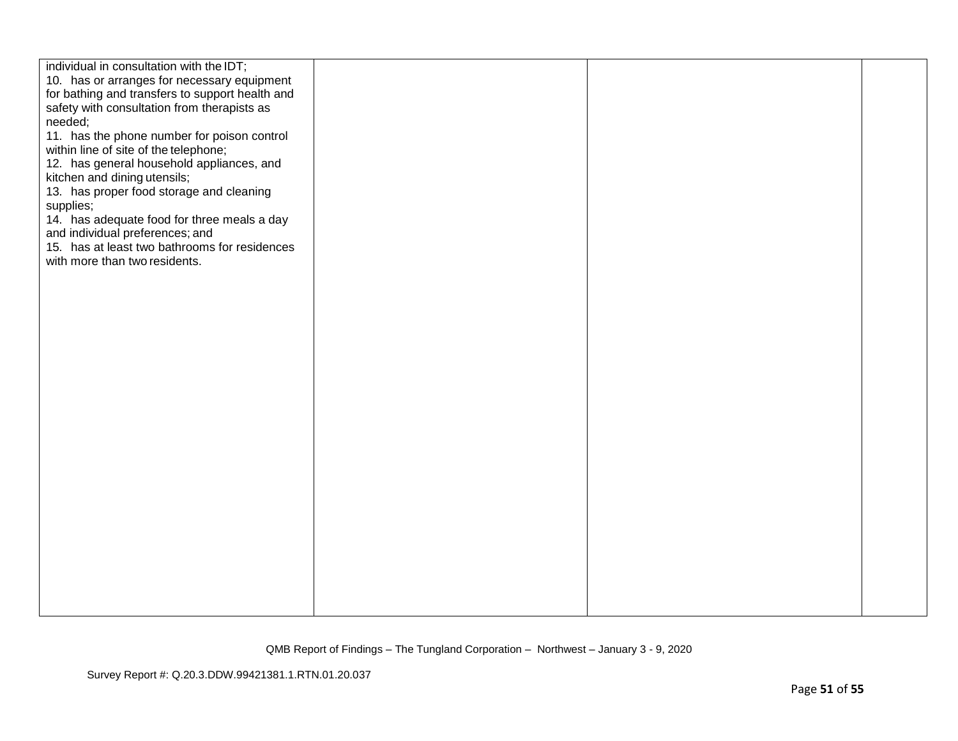| individual in consultation with the IDT;<br>10. has or arranges for necessary equipment<br>for bathing and transfers to support health and<br>safety with consultation from therapists as<br>needed;<br>11. has the phone number for poison control<br>within line of site of the telephone;<br>12. has general household appliances, and<br>kitchen and dining utensils;<br>13. has proper food storage and cleaning<br>supplies;<br>14. has adequate food for three meals a day<br>and individual preferences; and<br>15. has at least two bathrooms for residences<br>with more than two residents. |  |  |
|--------------------------------------------------------------------------------------------------------------------------------------------------------------------------------------------------------------------------------------------------------------------------------------------------------------------------------------------------------------------------------------------------------------------------------------------------------------------------------------------------------------------------------------------------------------------------------------------------------|--|--|
|                                                                                                                                                                                                                                                                                                                                                                                                                                                                                                                                                                                                        |  |  |
|                                                                                                                                                                                                                                                                                                                                                                                                                                                                                                                                                                                                        |  |  |
|                                                                                                                                                                                                                                                                                                                                                                                                                                                                                                                                                                                                        |  |  |
|                                                                                                                                                                                                                                                                                                                                                                                                                                                                                                                                                                                                        |  |  |
|                                                                                                                                                                                                                                                                                                                                                                                                                                                                                                                                                                                                        |  |  |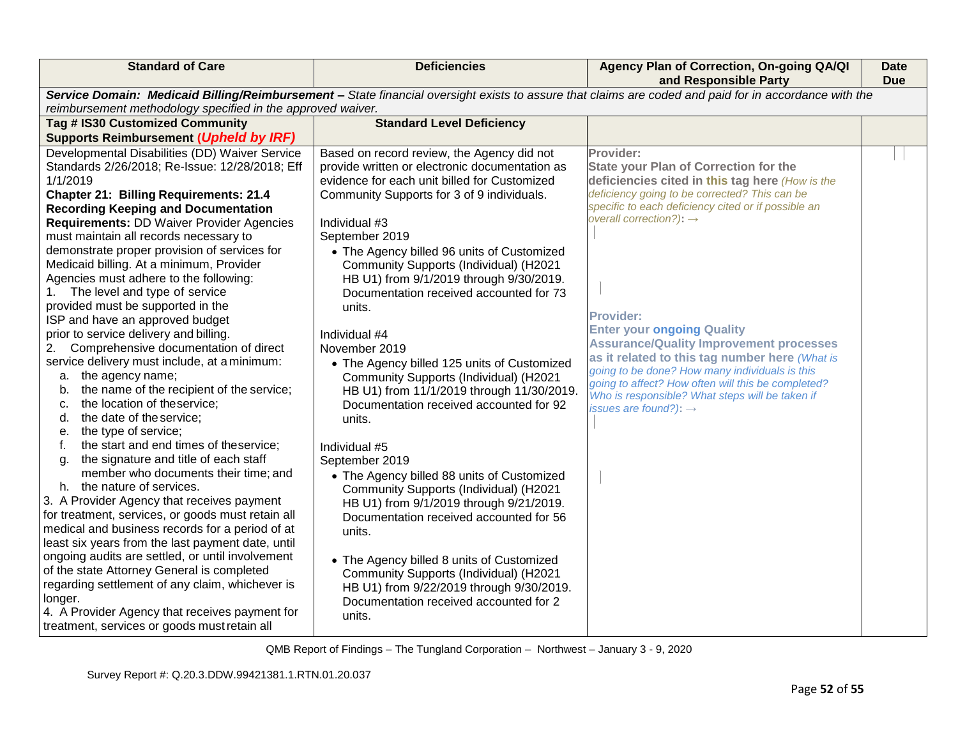| <b>Standard of Care</b>                                                                                                                               | <b>Deficiencies</b>                            | Agency Plan of Correction, On-going QA/QI<br>and Responsible Party                                    | <b>Date</b><br><b>Due</b> |
|-------------------------------------------------------------------------------------------------------------------------------------------------------|------------------------------------------------|-------------------------------------------------------------------------------------------------------|---------------------------|
| Service Domain: Medicaid Billing/Reimbursement - State financial oversight exists to assure that claims are coded and paid for in accordance with the |                                                |                                                                                                       |                           |
| reimbursement methodology specified in the approved waiver.                                                                                           |                                                |                                                                                                       |                           |
| Tag # IS30 Customized Community                                                                                                                       | <b>Standard Level Deficiency</b>               |                                                                                                       |                           |
| <b>Supports Reimbursement (Upheld by IRF)</b>                                                                                                         |                                                |                                                                                                       |                           |
| Developmental Disabilities (DD) Waiver Service                                                                                                        | Based on record review, the Agency did not     | Provider:                                                                                             |                           |
| Standards 2/26/2018; Re-Issue: 12/28/2018; Eff                                                                                                        | provide written or electronic documentation as | <b>State your Plan of Correction for the</b>                                                          |                           |
| 1/1/2019                                                                                                                                              | evidence for each unit billed for Customized   | deficiencies cited in this tag here (How is the                                                       |                           |
| <b>Chapter 21: Billing Requirements: 21.4</b>                                                                                                         | Community Supports for 3 of 9 individuals.     | deficiency going to be corrected? This can be                                                         |                           |
| <b>Recording Keeping and Documentation</b>                                                                                                            |                                                | specific to each deficiency cited or if possible an                                                   |                           |
| <b>Requirements: DD Waiver Provider Agencies</b>                                                                                                      | Individual #3                                  | overall correction?): $\rightarrow$                                                                   |                           |
| must maintain all records necessary to                                                                                                                | September 2019                                 |                                                                                                       |                           |
| demonstrate proper provision of services for                                                                                                          | • The Agency billed 96 units of Customized     |                                                                                                       |                           |
| Medicaid billing. At a minimum, Provider                                                                                                              | Community Supports (Individual) (H2021         |                                                                                                       |                           |
| Agencies must adhere to the following:                                                                                                                | HB U1) from 9/1/2019 through 9/30/2019.        |                                                                                                       |                           |
| The level and type of service<br>1.                                                                                                                   | Documentation received accounted for 73        |                                                                                                       |                           |
| provided must be supported in the                                                                                                                     | units.                                         |                                                                                                       |                           |
| ISP and have an approved budget                                                                                                                       |                                                | <b>Provider:</b>                                                                                      |                           |
| prior to service delivery and billing.                                                                                                                | Individual #4                                  | <b>Enter your ongoing Quality</b>                                                                     |                           |
| 2. Comprehensive documentation of direct                                                                                                              | November 2019                                  | <b>Assurance/Quality Improvement processes</b>                                                        |                           |
| service delivery must include, at a minimum:                                                                                                          | • The Agency billed 125 units of Customized    | as it related to this tag number here (What is                                                        |                           |
| a. the agency name;                                                                                                                                   | Community Supports (Individual) (H2021         | going to be done? How many individuals is this                                                        |                           |
| the name of the recipient of the service;<br>b.                                                                                                       | HB U1) from 11/1/2019 through 11/30/2019.      | going to affect? How often will this be completed?<br>Who is responsible? What steps will be taken if |                           |
| the location of theservice;<br>c.                                                                                                                     | Documentation received accounted for 92        | issues are found?): $\rightarrow$                                                                     |                           |
| the date of the service;<br>d.                                                                                                                        | units.                                         |                                                                                                       |                           |
| the type of service;<br>е.                                                                                                                            |                                                |                                                                                                       |                           |
| the start and end times of theservice;<br>f.                                                                                                          | Individual #5                                  |                                                                                                       |                           |
| the signature and title of each staff<br>q.                                                                                                           | September 2019                                 |                                                                                                       |                           |
| member who documents their time; and                                                                                                                  | • The Agency billed 88 units of Customized     |                                                                                                       |                           |
| h. the nature of services.                                                                                                                            | Community Supports (Individual) (H2021         |                                                                                                       |                           |
| 3. A Provider Agency that receives payment                                                                                                            | HB U1) from 9/1/2019 through 9/21/2019.        |                                                                                                       |                           |
| for treatment, services, or goods must retain all                                                                                                     | Documentation received accounted for 56        |                                                                                                       |                           |
| medical and business records for a period of at                                                                                                       | units.                                         |                                                                                                       |                           |
| least six years from the last payment date, until                                                                                                     |                                                |                                                                                                       |                           |
| ongoing audits are settled, or until involvement                                                                                                      | • The Agency billed 8 units of Customized      |                                                                                                       |                           |
| of the state Attorney General is completed                                                                                                            | Community Supports (Individual) (H2021         |                                                                                                       |                           |
| regarding settlement of any claim, whichever is                                                                                                       | HB U1) from 9/22/2019 through 9/30/2019.       |                                                                                                       |                           |
| longer.                                                                                                                                               | Documentation received accounted for 2         |                                                                                                       |                           |
| 4. A Provider Agency that receives payment for                                                                                                        | units.                                         |                                                                                                       |                           |
| treatment, services or goods must retain all                                                                                                          |                                                |                                                                                                       |                           |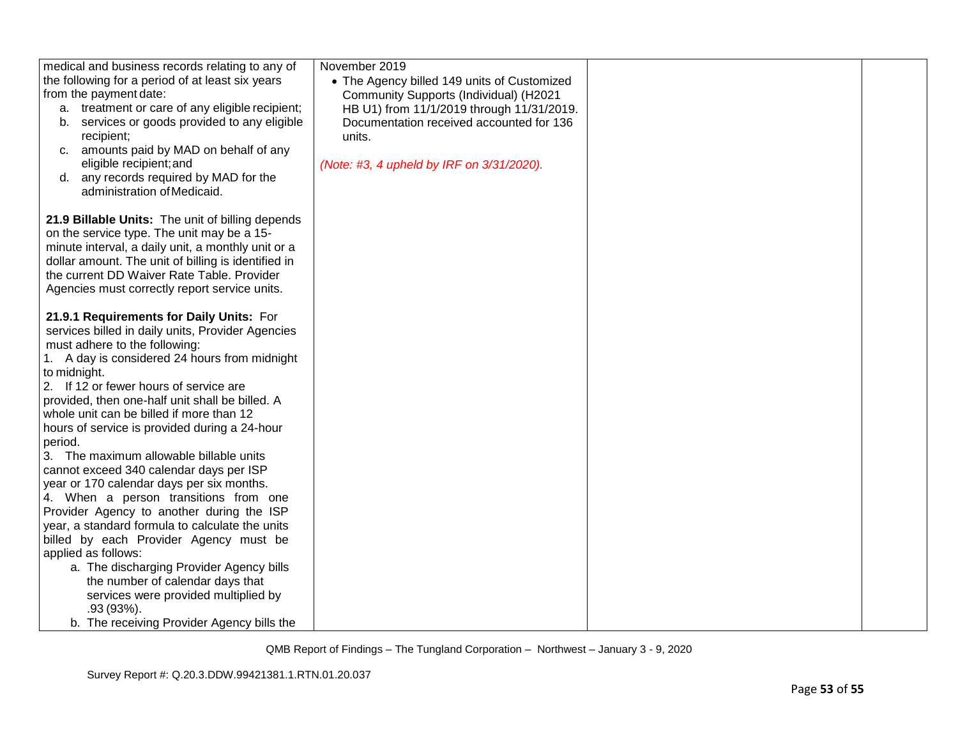| medical and business records relating to any of<br>the following for a period of at least six years<br>from the payment date:<br>a. treatment or care of any eligible recipient;<br>services or goods provided to any eligible<br>b.<br>recipient;<br>amounts paid by MAD on behalf of any<br>C.<br>eligible recipient; and<br>d. any records required by MAD for the<br>administration of Medicaid.                                                                              | November 2019<br>• The Agency billed 149 units of Customized<br>Community Supports (Individual) (H2021<br>HB U1) from 11/1/2019 through 11/31/2019.<br>Documentation received accounted for 136<br>units.<br>(Note: #3, 4 upheld by IRF on 3/31/2020). |  |
|-----------------------------------------------------------------------------------------------------------------------------------------------------------------------------------------------------------------------------------------------------------------------------------------------------------------------------------------------------------------------------------------------------------------------------------------------------------------------------------|--------------------------------------------------------------------------------------------------------------------------------------------------------------------------------------------------------------------------------------------------------|--|
| 21.9 Billable Units: The unit of billing depends<br>on the service type. The unit may be a 15-<br>minute interval, a daily unit, a monthly unit or a<br>dollar amount. The unit of billing is identified in<br>the current DD Waiver Rate Table. Provider<br>Agencies must correctly report service units.                                                                                                                                                                        |                                                                                                                                                                                                                                                        |  |
| 21.9.1 Requirements for Daily Units: For<br>services billed in daily units, Provider Agencies<br>must adhere to the following:<br>1. A day is considered 24 hours from midnight<br>to midnight.<br>2. If 12 or fewer hours of service are<br>provided, then one-half unit shall be billed. A<br>whole unit can be billed if more than 12<br>hours of service is provided during a 24-hour<br>period.                                                                              |                                                                                                                                                                                                                                                        |  |
| 3. The maximum allowable billable units<br>cannot exceed 340 calendar days per ISP<br>year or 170 calendar days per six months.<br>4. When a person transitions from one<br>Provider Agency to another during the ISP<br>year, a standard formula to calculate the units<br>billed by each Provider Agency must be<br>applied as follows:<br>a. The discharging Provider Agency bills<br>the number of calendar days that<br>services were provided multiplied by<br>$.93(93%)$ . |                                                                                                                                                                                                                                                        |  |
| b. The receiving Provider Agency bills the                                                                                                                                                                                                                                                                                                                                                                                                                                        |                                                                                                                                                                                                                                                        |  |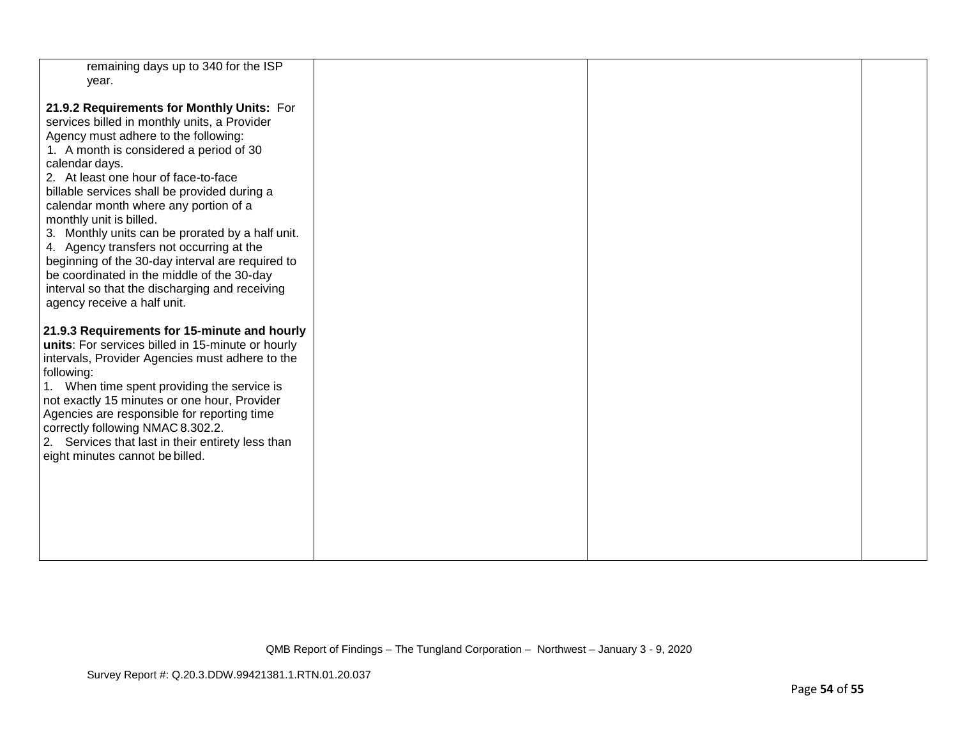| remaining days up to 340 for the ISP<br>year.                                                                                                                                                                                                                                                                                                                                                                                                                                                                                                                                                                                                  |  |  |
|------------------------------------------------------------------------------------------------------------------------------------------------------------------------------------------------------------------------------------------------------------------------------------------------------------------------------------------------------------------------------------------------------------------------------------------------------------------------------------------------------------------------------------------------------------------------------------------------------------------------------------------------|--|--|
| 21.9.2 Requirements for Monthly Units: For<br>services billed in monthly units, a Provider<br>Agency must adhere to the following:<br>1. A month is considered a period of 30<br>calendar days.<br>2. At least one hour of face-to-face<br>billable services shall be provided during a<br>calendar month where any portion of a<br>monthly unit is billed.<br>3. Monthly units can be prorated by a half unit.<br>4. Agency transfers not occurring at the<br>beginning of the 30-day interval are required to<br>be coordinated in the middle of the 30-day<br>interval so that the discharging and receiving<br>agency receive a half unit. |  |  |
| 21.9.3 Requirements for 15-minute and hourly<br>units: For services billed in 15-minute or hourly<br>intervals, Provider Agencies must adhere to the<br>following:<br>1. When time spent providing the service is<br>not exactly 15 minutes or one hour, Provider<br>Agencies are responsible for reporting time<br>correctly following NMAC 8.302.2.<br>2. Services that last in their entirety less than<br>eight minutes cannot be billed.                                                                                                                                                                                                  |  |  |